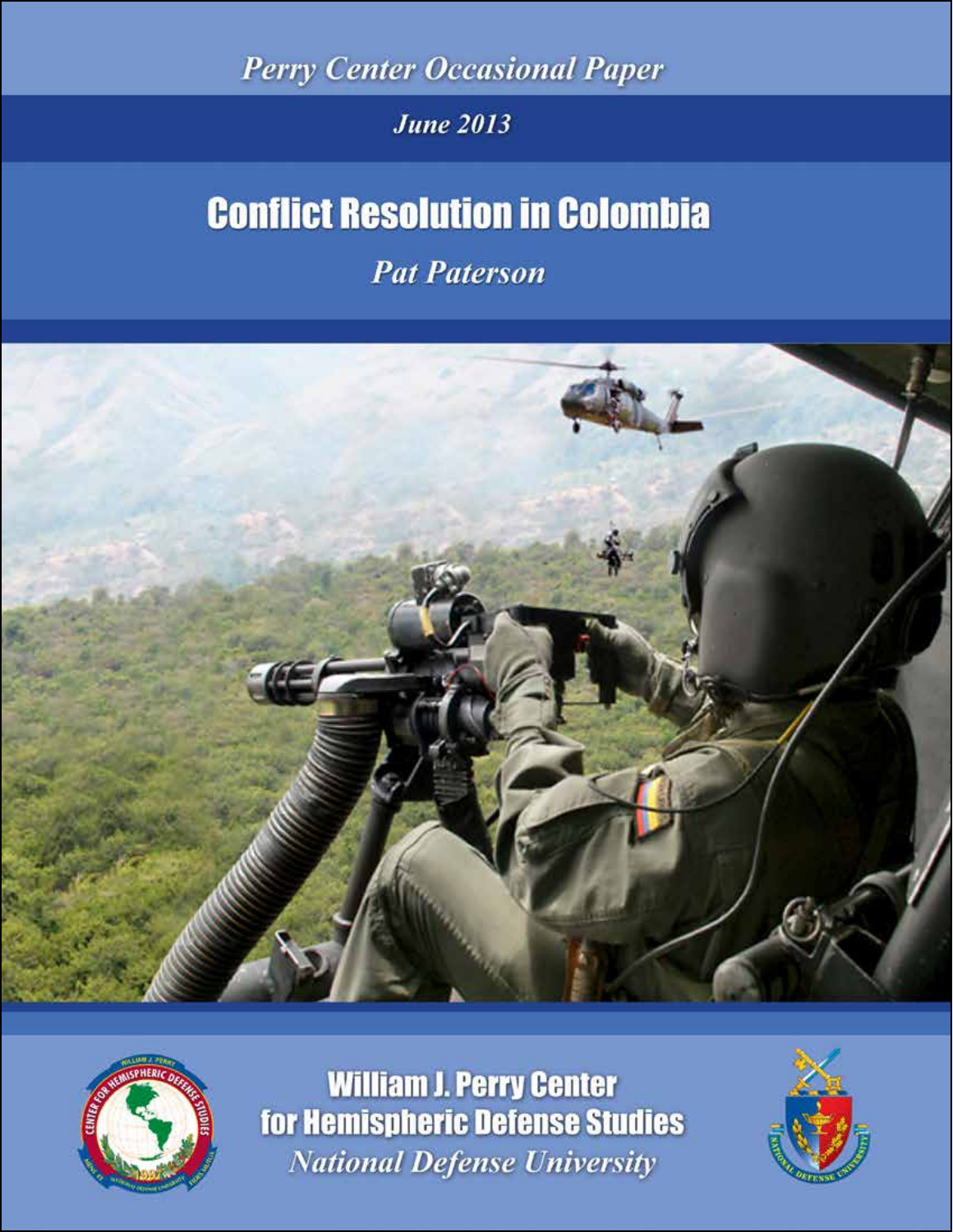**Perry Center Occasional Paper** 

# **June 2013**

# **Conflict Resolution in Colombia**

**Pat Paterson** 





**William J. Perry Center** for Hemispheric Defense Studies **National Defense University** 

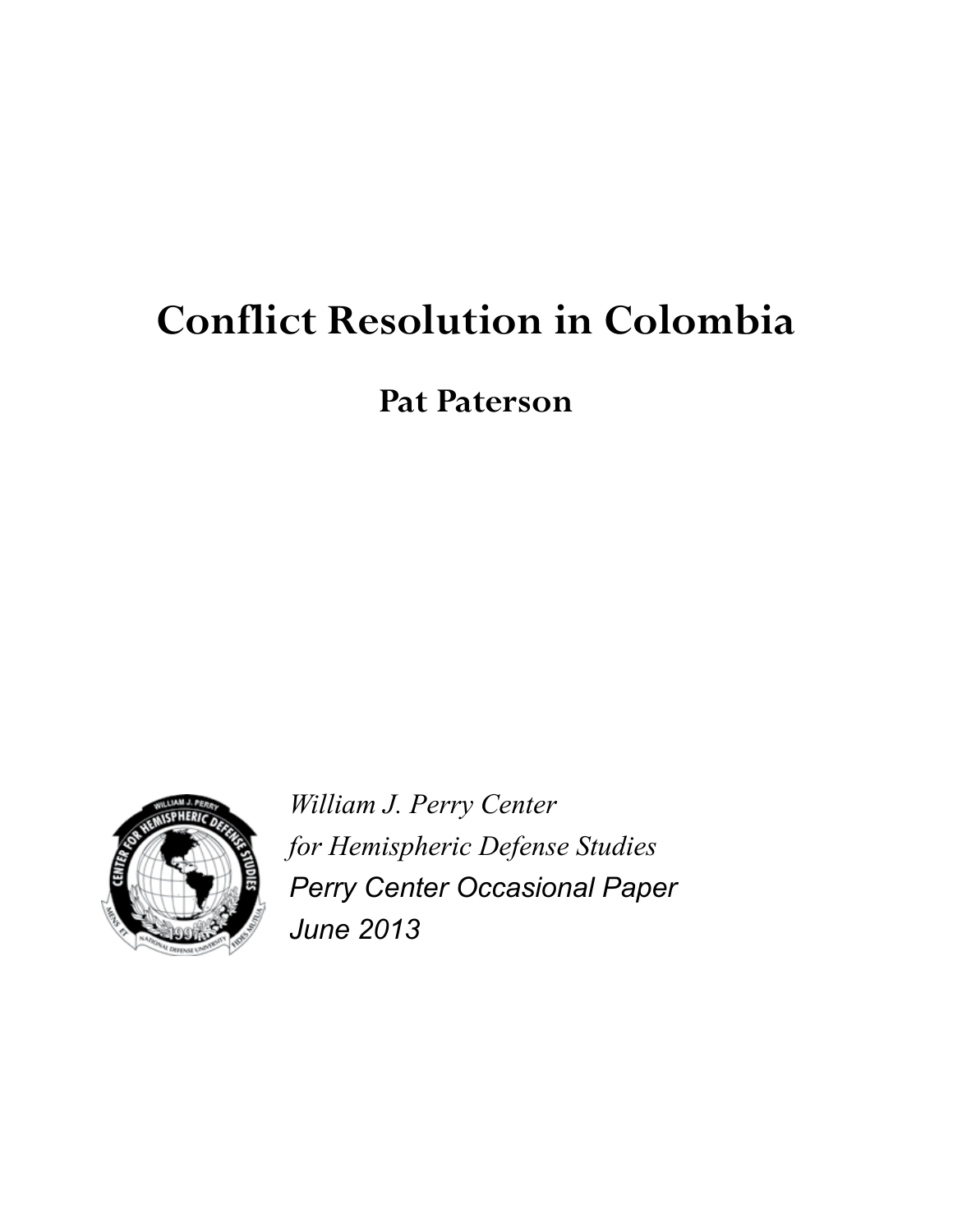# **Conflict Resolution in Colombia**

**Pat Paterson**



*William J. Perry Center for Hemispheric Defense Studies Perry Center Occasional Paper June 2013*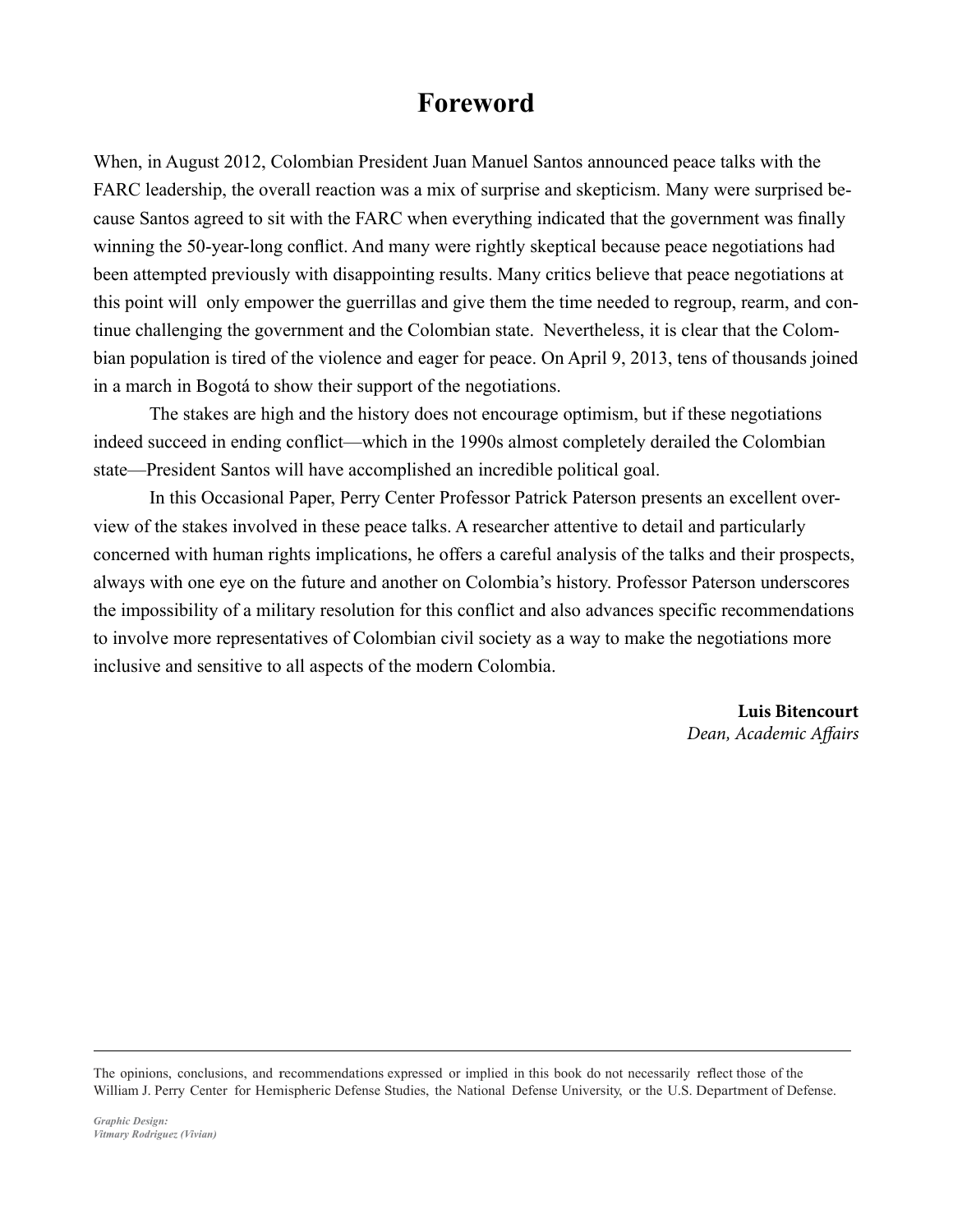### **Foreword**

When, in August 2012, Colombian President Juan Manuel Santos announced peace talks with the FARC leadership, the overall reaction was a mix of surprise and skepticism. Many were surprised because Santos agreed to sit with the FARC when everything indicated that the government was finally winning the 50-year-long conflict. And many were rightly skeptical because peace negotiations had been attempted previously with disappointing results. Many critics believe that peace negotiations at this point will only empower the guerrillas and give them the time needed to regroup, rearm, and continue challenging the government and the Colombian state. Nevertheless, it is clear that the Colombian population is tired of the violence and eager for peace. On April 9, 2013, tens of thousands joined in a march in Bogotá to show their support of the negotiations.

The stakes are high and the history does not encourage optimism, but if these negotiations indeed succeed in ending conflict—which in the 1990s almost completely derailed the Colombian state—President Santos will have accomplished an incredible political goal.

In this Occasional Paper, Perry Center Professor Patrick Paterson presents an excellent overview of the stakes involved in these peace talks. A researcher attentive to detail and particularly concerned with human rights implications, he offers a careful analysis of the talks and their prospects, always with one eye on the future and another on Colombia's history. Professor Paterson underscores the impossibility of a military resolution for this conflict and also advances specific recommendations to involve more representatives of Colombian civil society as a way to make the negotiations more inclusive and sensitive to all aspects of the modern Colombia.

> **Luis Bitencourt** *Dean, Academic Affairs*

The opinions, conclusions, and recommendations expressed or implied in this book do not necessarily reflect those of the William J. Perry Center for Hemispheric Defense Studies, the National Defense University, or the U.S. Department of Defense.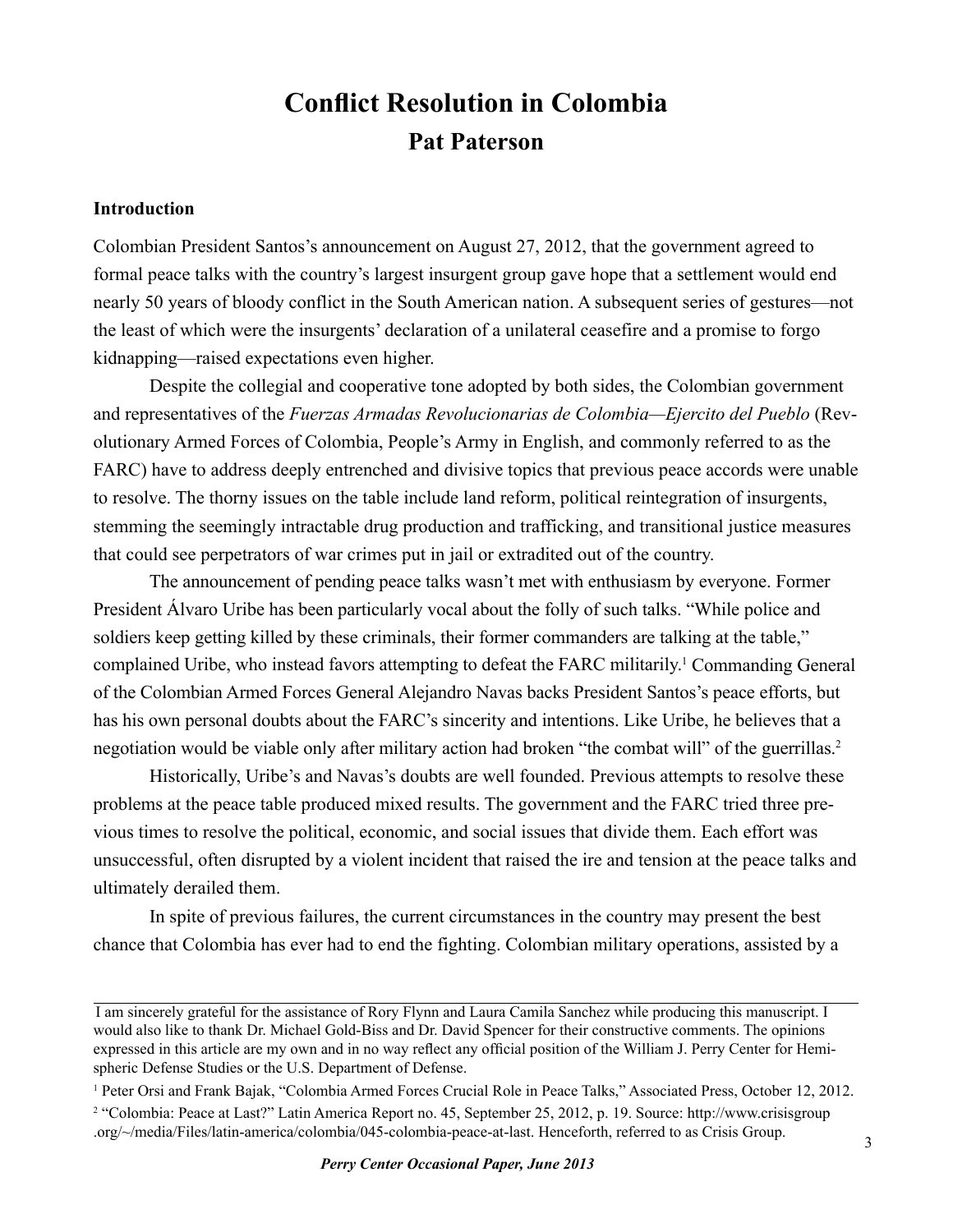## **Conflict Resolution in Colombia Pat Paterson**

#### **Introduction**

Colombian President Santos's announcement on August 27, 2012, that the government agreed to formal peace talks with the country's largest insurgent group gave hope that a settlement would end nearly 50 years of bloody conflict in the South American nation. A subsequent series of gestures—not the least of which were the insurgents' declaration of a unilateral ceasefire and a promise to forgo kidnapping—raised expectations even higher.

Despite the collegial and cooperative tone adopted by both sides, the Colombian government and representatives of the *Fuerzas Armadas Revolucionarias de Colombia—Ejercito del Pueblo* (Revolutionary Armed Forces of Colombia, People's Army in English, and commonly referred to as the FARC) have to address deeply entrenched and divisive topics that previous peace accords were unable to resolve. The thorny issues on the table include land reform, political reintegration of insurgents, stemming the seemingly intractable drug production and trafficking, and transitional justice measures that could see perpetrators of war crimes put in jail or extradited out of the country.

The announcement of pending peace talks wasn't met with enthusiasm by everyone. Former President Álvaro Uribe has been particularly vocal about the folly of such talks. "While police and soldiers keep getting killed by these criminals, their former commanders are talking at the table," complained Uribe, who instead favors attempting to defeat the FARC militarily.<sup>1</sup> Commanding General of the Colombian Armed Forces General Alejandro Navas backs President Santos's peace efforts, but has his own personal doubts about the FARC's sincerity and intentions. Like Uribe, he believes that a negotiation would be viable only after military action had broken "the combat will" of the guerrillas.<sup>2</sup>

Historically, Uribe's and Navas's doubts are well founded. Previous attempts to resolve these problems at the peace table produced mixed results. The government and the FARC tried three previous times to resolve the political, economic, and social issues that divide them. Each effort was unsuccessful, often disrupted by a violent incident that raised the ire and tension at the peace talks and ultimately derailed them.

In spite of previous failures, the current circumstances in the country may present the best chance that Colombia has ever had to end the fighting. Colombian military operations, assisted by a

I am sincerely grateful for the assistance of Rory Flynn and Laura Camila Sanchez while producing this manuscript. I would also like to thank Dr. Michael Gold-Biss and Dr. David Spencer for their constructive comments. The opinions expressed in this article are my own and in no way reflect any official position of the William J. Perry Center for Hemispheric Defense Studies or the U.S. Department of Defense.

<sup>&</sup>lt;sup>1</sup> Peter Orsi and Frank Bajak, "Colombia Armed Forces Crucial Role in Peace Talks," Associated Press, October 12, 2012. 2 "Colombia: Peace at Last?" Latin America Report no. 45, September 25, 2012, p. 19. Source: http://www.crisisgroup .org/~/media/Files/latin-america/colombia/045-colombia-peace-at-last. Henceforth, referred to as Crisis Group.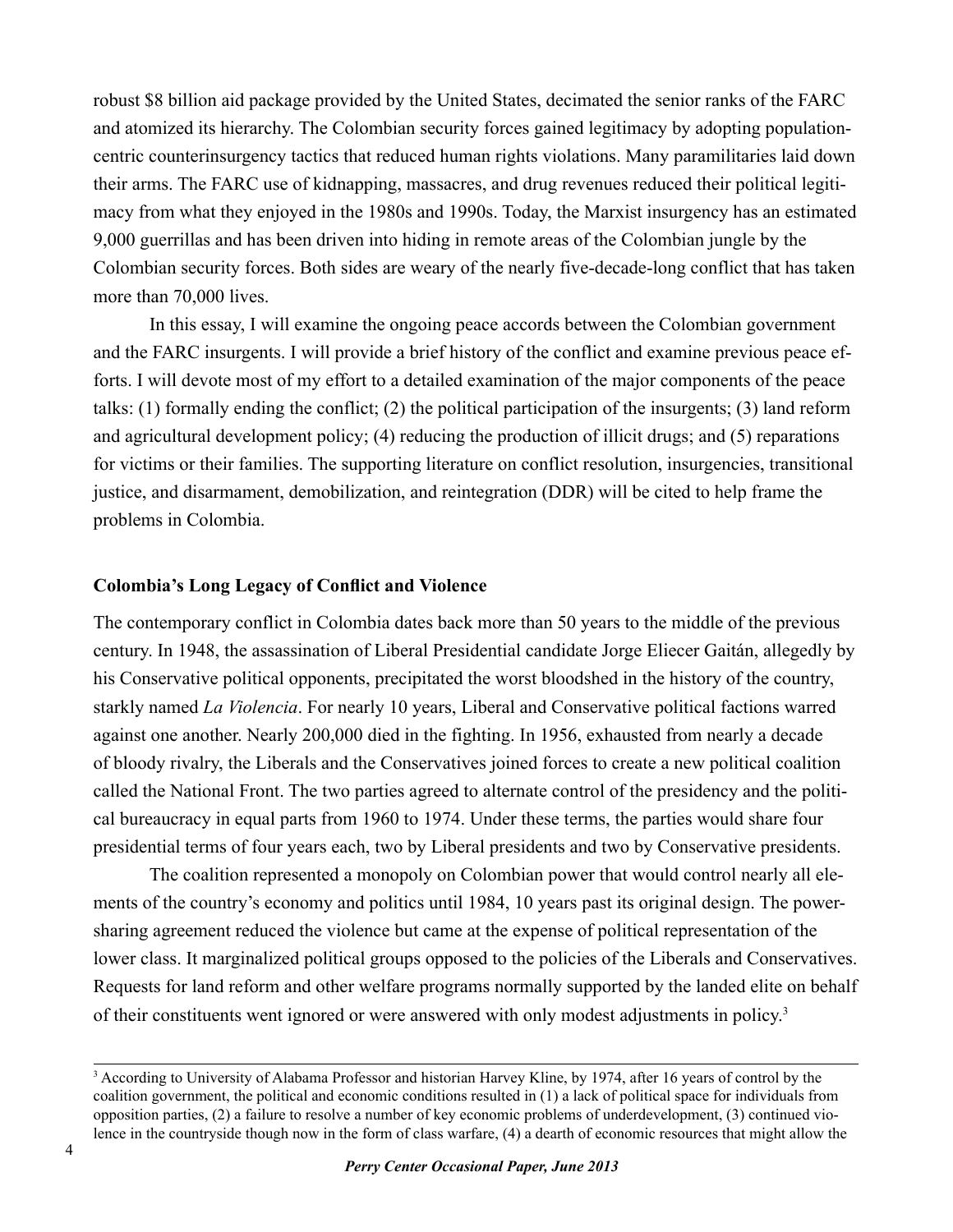robust \$8 billion aid package provided by the United States, decimated the senior ranks of the FARC and atomized its hierarchy. The Colombian security forces gained legitimacy by adopting populationcentric counterinsurgency tactics that reduced human rights violations. Many paramilitaries laid down their arms. The FARC use of kidnapping, massacres, and drug revenues reduced their political legitimacy from what they enjoyed in the 1980s and 1990s. Today, the Marxist insurgency has an estimated 9,000 guerrillas and has been driven into hiding in remote areas of the Colombian jungle by the Colombian security forces. Both sides are weary of the nearly five-decade-long conflict that has taken more than 70,000 lives.

In this essay, I will examine the ongoing peace accords between the Colombian government and the FARC insurgents. I will provide a brief history of the conflict and examine previous peace efforts. I will devote most of my effort to a detailed examination of the major components of the peace talks: (1) formally ending the conflict; (2) the political participation of the insurgents; (3) land reform and agricultural development policy; (4) reducing the production of illicit drugs; and (5) reparations for victims or their families. The supporting literature on conflict resolution, insurgencies, transitional justice, and disarmament, demobilization, and reintegration (DDR) will be cited to help frame the problems in Colombia.

#### **Colombia's Long Legacy of Conflict and Violence**

The contemporary conflict in Colombia dates back more than 50 years to the middle of the previous century. In 1948, the assassination of Liberal Presidential candidate Jorge Eliecer Gaitán, allegedly by his Conservative political opponents, precipitated the worst bloodshed in the history of the country, starkly named *La Violencia*. For nearly 10 years, Liberal and Conservative political factions warred against one another. Nearly 200,000 died in the fighting. In 1956, exhausted from nearly a decade of bloody rivalry, the Liberals and the Conservatives joined forces to create a new political coalition called the National Front. The two parties agreed to alternate control of the presidency and the political bureaucracy in equal parts from 1960 to 1974. Under these terms, the parties would share four presidential terms of four years each, two by Liberal presidents and two by Conservative presidents.

The coalition represented a monopoly on Colombian power that would control nearly all elements of the country's economy and politics until 1984, 10 years past its original design. The powersharing agreement reduced the violence but came at the expense of political representation of the lower class. It marginalized political groups opposed to the policies of the Liberals and Conservatives. Requests for land reform and other welfare programs normally supported by the landed elite on behalf of their constituents went ignored or were answered with only modest adjustments in policy. 3

<sup>3</sup> According to University of Alabama Professor and historian Harvey Kline, by 1974, after 16 years of control by the coalition government, the political and economic conditions resulted in (1) a lack of political space for individuals from opposition parties, (2) a failure to resolve a number of key economic problems of underdevelopment, (3) continued violence in the countryside though now in the form of class warfare, (4) a dearth of economic resources that might allow the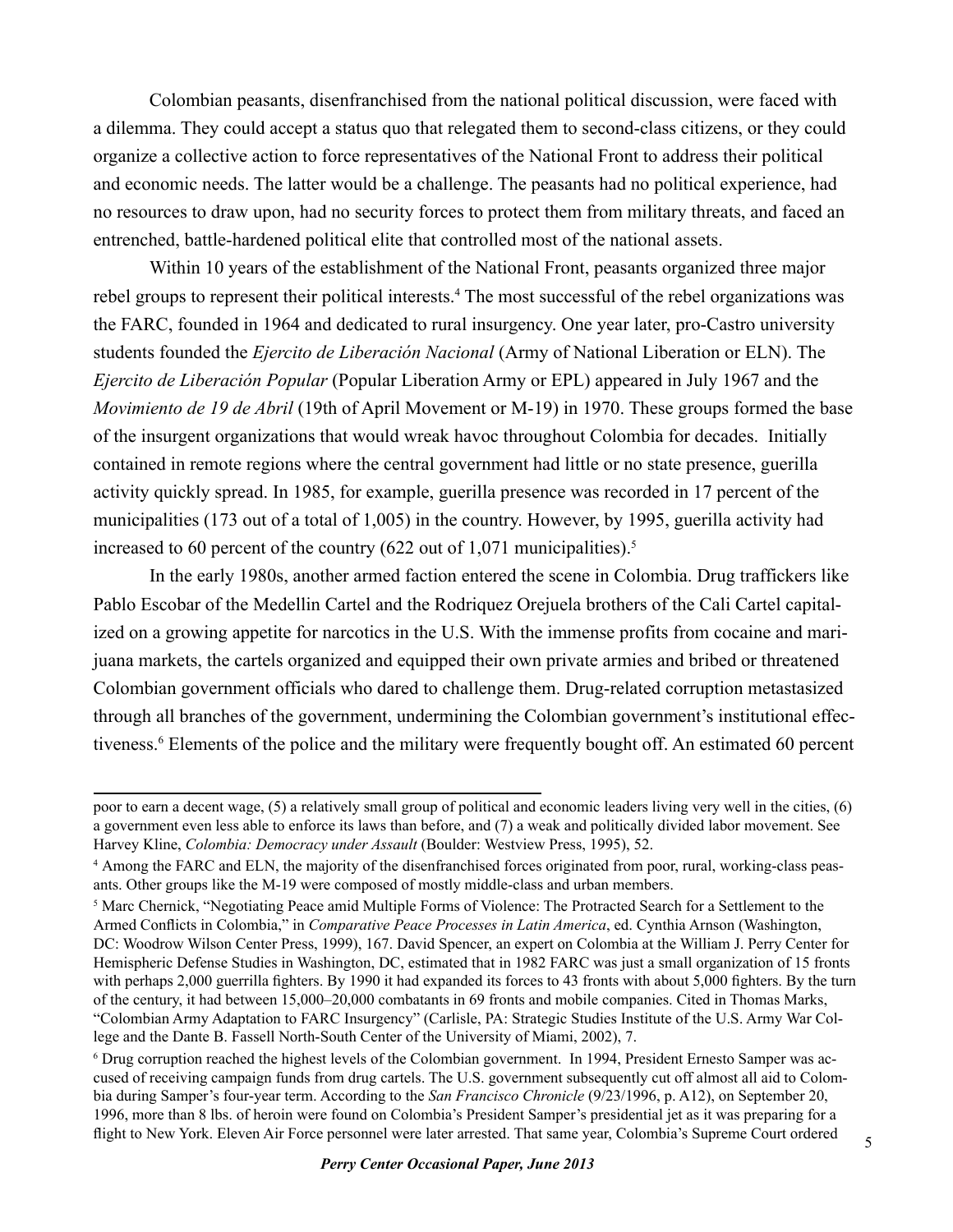Colombian peasants, disenfranchised from the national political discussion, were faced with a dilemma. They could accept a status quo that relegated them to second-class citizens, or they could organize a collective action to force representatives of the National Front to address their political and economic needs. The latter would be a challenge. The peasants had no political experience, had no resources to draw upon, had no security forces to protect them from military threats, and faced an entrenched, battle-hardened political elite that controlled most of the national assets.

Within 10 years of the establishment of the National Front, peasants organized three major rebel groups to represent their political interests.<sup>4</sup> The most successful of the rebel organizations was the FARC, founded in 1964 and dedicated to rural insurgency. One year later, pro-Castro university students founded the *Ejercito de Liberación Nacional* (Army of National Liberation or ELN). The *Ejercito de Liberación Popular* (Popular Liberation Army or EPL) appeared in July 1967 and the *Movimiento de 19 de Abril* (19th of April Movement or M-19) in 1970. These groups formed the base of the insurgent organizations that would wreak havoc throughout Colombia for decades. Initially contained in remote regions where the central government had little or no state presence, guerilla activity quickly spread. In 1985, for example, guerilla presence was recorded in 17 percent of the municipalities (173 out of a total of 1,005) in the country. However, by 1995, guerilla activity had increased to 60 percent of the country (622 out of 1,071 municipalities).5

In the early 1980s, another armed faction entered the scene in Colombia. Drug traffickers like Pablo Escobar of the Medellin Cartel and the Rodriquez Orejuela brothers of the Cali Cartel capitalized on a growing appetite for narcotics in the U.S. With the immense profits from cocaine and marijuana markets, the cartels organized and equipped their own private armies and bribed or threatened Colombian government officials who dared to challenge them. Drug-related corruption metastasized through all branches of the government, undermining the Colombian government's institutional effectiveness.<sup>6</sup> Elements of the police and the military were frequently bought off. An estimated 60 percent

poor to earn a decent wage, (5) a relatively small group of political and economic leaders living very well in the cities, (6) a government even less able to enforce its laws than before, and (7) a weak and politically divided labor movement. See Harvey Kline, *Colombia: Democracy under Assault* (Boulder: Westview Press, 1995), 52.

<sup>4</sup> Among the FARC and ELN, the majority of the disenfranchised forces originated from poor, rural, working-class peasants. Other groups like the M-19 were composed of mostly middle-class and urban members.

<sup>&</sup>lt;sup>5</sup> Marc Chernick, "Negotiating Peace amid Multiple Forms of Violence: The Protracted Search for a Settlement to the Armed Conflicts in Colombia," in *Comparative Peace Processes in Latin America*, ed. Cynthia Arnson (Washington, DC: Woodrow Wilson Center Press, 1999), 167. David Spencer, an expert on Colombia at the William J. Perry Center for Hemispheric Defense Studies in Washington, DC, estimated that in 1982 FARC was just a small organization of 15 fronts with perhaps 2,000 guerrilla fighters. By 1990 it had expanded its forces to 43 fronts with about 5,000 fighters. By the turn of the century, it had between 15,000–20,000 combatants in 69 fronts and mobile companies. Cited in Thomas Marks, "Colombian Army Adaptation to FARC Insurgency" (Carlisle, PA: Strategic Studies Institute of the U.S. Army War College and the Dante B. Fassell North-South Center of the University of Miami, 2002), 7.

<sup>6</sup> Drug corruption reached the highest levels of the Colombian government. In 1994, President Ernesto Samper was accused of receiving campaign funds from drug cartels. The U.S. government subsequently cut off almost all aid to Colombia during Samper's four-year term. According to the *San Francisco Chronicle* (9/23/1996, p. A12), on September 20, 1996, more than 8 lbs. of heroin were found on Colombia's President Samper's presidential jet as it was preparing for a flight to New York. Eleven Air Force personnel were later arrested. That same year, Colombia's Supreme Court ordered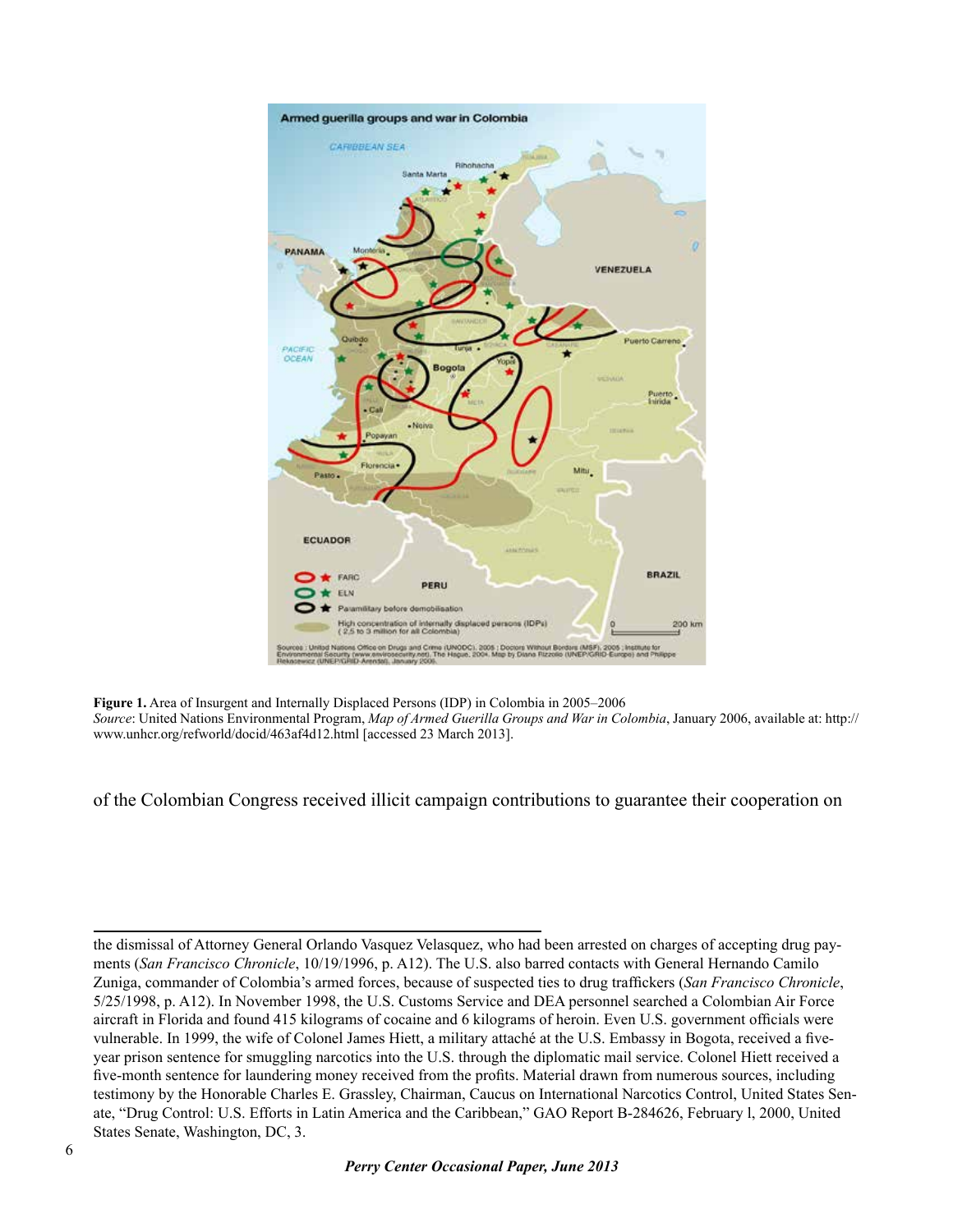

**Figure 1.** Area of Insurgent and Internally Displaced Persons (IDP) in Colombia in 2005–2006 *Source*: United Nations Environmental Program, *Map of Armed Guerilla Groups and War in Colombia*, January 2006, available at: http:// www.unhcr.org/refworld/docid/463af4d12.html [accessed 23 March 2013].

of the Colombian Congress received illicit campaign contributions to guarantee their cooperation on

the dismissal of Attorney General Orlando Vasquez Velasquez, who had been arrested on charges of accepting drug payments (*San Francisco Chronicle*, 10/19/1996, p. A12). The U.S. also barred contacts with General Hernando Camilo Zuniga, commander of Colombia's armed forces, because of suspected ties to drug traffickers (*San Francisco Chronicle*, 5/25/1998, p. A12). In November 1998, the U.S. Customs Service and DEA personnel searched a Colombian Air Force aircraft in Florida and found 415 kilograms of cocaine and 6 kilograms of heroin. Even U.S. government officials were vulnerable. In 1999, the wife of Colonel James Hiett, a military attaché at the U.S. Embassy in Bogota, received a fiveyear prison sentence for smuggling narcotics into the U.S. through the diplomatic mail service. Colonel Hiett received a five-month sentence for laundering money received from the profits. Material drawn from numerous sources, including testimony by the Honorable Charles E. Grassley, Chairman, Caucus on International Narcotics Control, United States Senate, "Drug Control: U.S. Efforts in Latin America and the Caribbean," GAO Report B-284626, February l, 2000, United States Senate, Washington, DC, 3.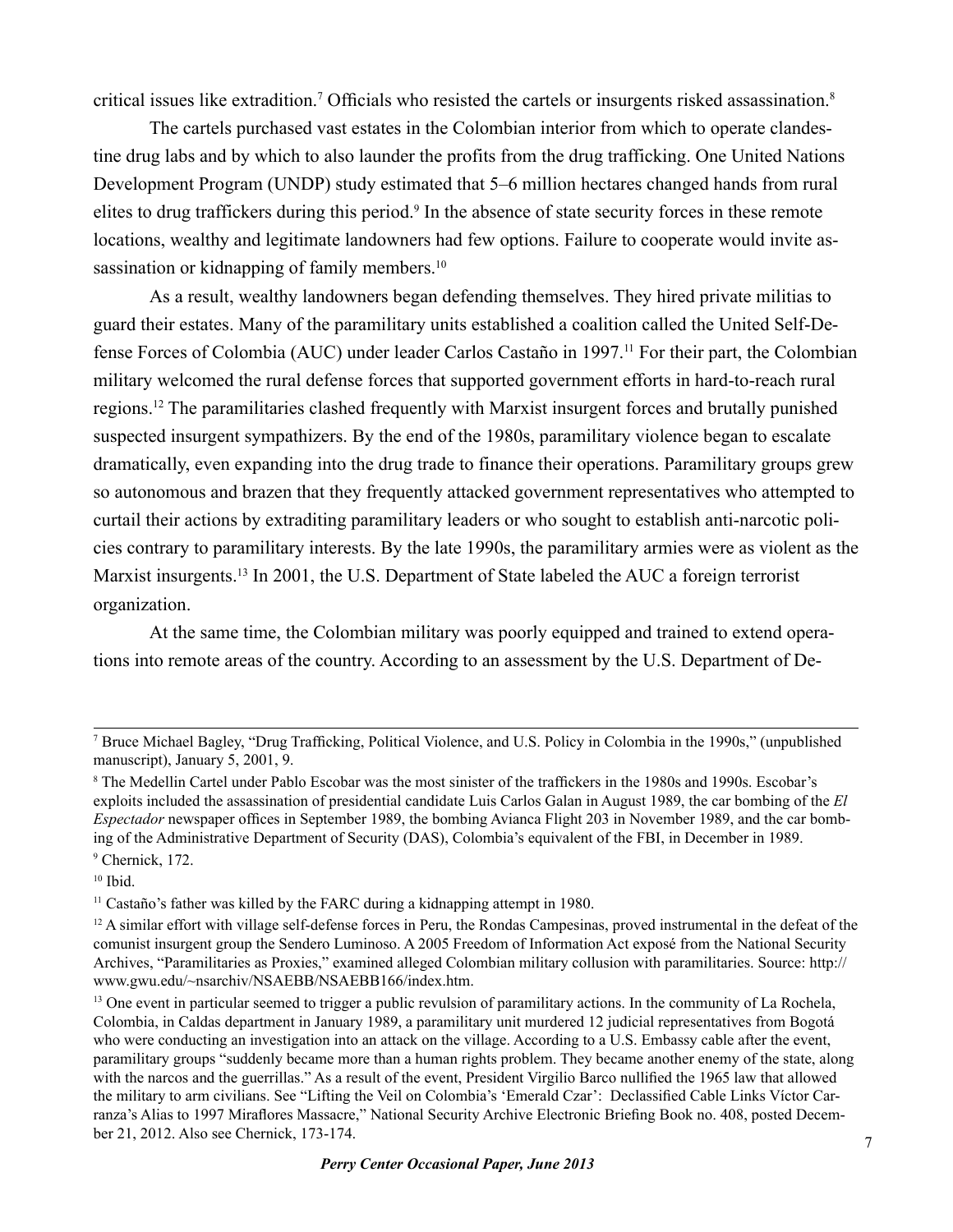critical issues like extradition.<sup>7</sup> Officials who resisted the cartels or insurgents risked assassination.<sup>8</sup>

The cartels purchased vast estates in the Colombian interior from which to operate clandestine drug labs and by which to also launder the profits from the drug trafficking. One United Nations Development Program (UNDP) study estimated that 5–6 million hectares changed hands from rural elites to drug traffickers during this period.<sup>9</sup> In the absence of state security forces in these remote locations, wealthy and legitimate landowners had few options. Failure to cooperate would invite assassination or kidnapping of family members.<sup>10</sup>

As a result, wealthy landowners began defending themselves. They hired private militias to guard their estates. Many of the paramilitary units established a coalition called the United Self-Defense Forces of Colombia (AUC) under leader Carlos Castaño in 1997.11 For their part, the Colombian military welcomed the rural defense forces that supported government efforts in hard-to-reach rural regions.12 The paramilitaries clashed frequently with Marxist insurgent forces and brutally punished suspected insurgent sympathizers. By the end of the 1980s, paramilitary violence began to escalate dramatically, even expanding into the drug trade to finance their operations. Paramilitary groups grew so autonomous and brazen that they frequently attacked government representatives who attempted to curtail their actions by extraditing paramilitary leaders or who sought to establish anti-narcotic policies contrary to paramilitary interests. By the late 1990s, the paramilitary armies were as violent as the Marxist insurgents.<sup>13</sup> In 2001, the U.S. Department of State labeled the AUC a foreign terrorist organization.

At the same time, the Colombian military was poorly equipped and trained to extend operations into remote areas of the country. According to an assessment by the U.S. Department of De-

<sup>7</sup> Bruce Michael Bagley, "Drug Trafficking, Political Violence, and U.S. Policy in Colombia in the 1990s," (unpublished manuscript), January 5, 2001, 9.

<sup>8</sup> The Medellin Cartel under Pablo Escobar was the most sinister of the traffickers in the 1980s and 1990s. Escobar's exploits included the assassination of presidential candidate Luis Carlos Galan in August 1989, the car bombing of the *El Espectador* newspaper offices in September 1989, the bombing Avianca Flight 203 in November 1989, and the car bombing of the Administrative Department of Security (DAS), Colombia's equivalent of the FBI, in December in 1989. 9 Chernick, 172.

 $10$  Ibid.

<sup>&</sup>lt;sup>11</sup> Castaño's father was killed by the FARC during a kidnapping attempt in 1980.

 $12$  A similar effort with village self-defense forces in Peru, the Rondas Campesinas, proved instrumental in the defeat of the comunist insurgent group the Sendero Luminoso. A 2005 Freedom of Information Act exposé from the National Security Archives, "Paramilitaries as Proxies," examined alleged Colombian military collusion with paramilitaries. Source: http:// www.gwu.edu/~nsarchiv/NSAEBB/NSAEBB166/index.htm.

<sup>&</sup>lt;sup>13</sup> One event in particular seemed to trigger a public revulsion of paramilitary actions. In the community of La Rochela, Colombia, in Caldas department in January 1989, a paramilitary unit murdered 12 judicial representatives from Bogotá who were conducting an investigation into an attack on the village. According to a U.S. Embassy cable after the event, paramilitary groups "suddenly became more than a human rights problem. They became another enemy of the state, along with the narcos and the guerrillas." As a result of the event, President Virgilio Barco nullified the 1965 law that allowed the military to arm civilians. See "Lifting the Veil on Colombia's 'Emerald Czar': Declassified Cable Links Víctor Carranza's Alias to 1997 Miraflores Massacre," National Security Archive Electronic Briefing Book no. 408, posted December 21, 2012. Also see Chernick, 173-174.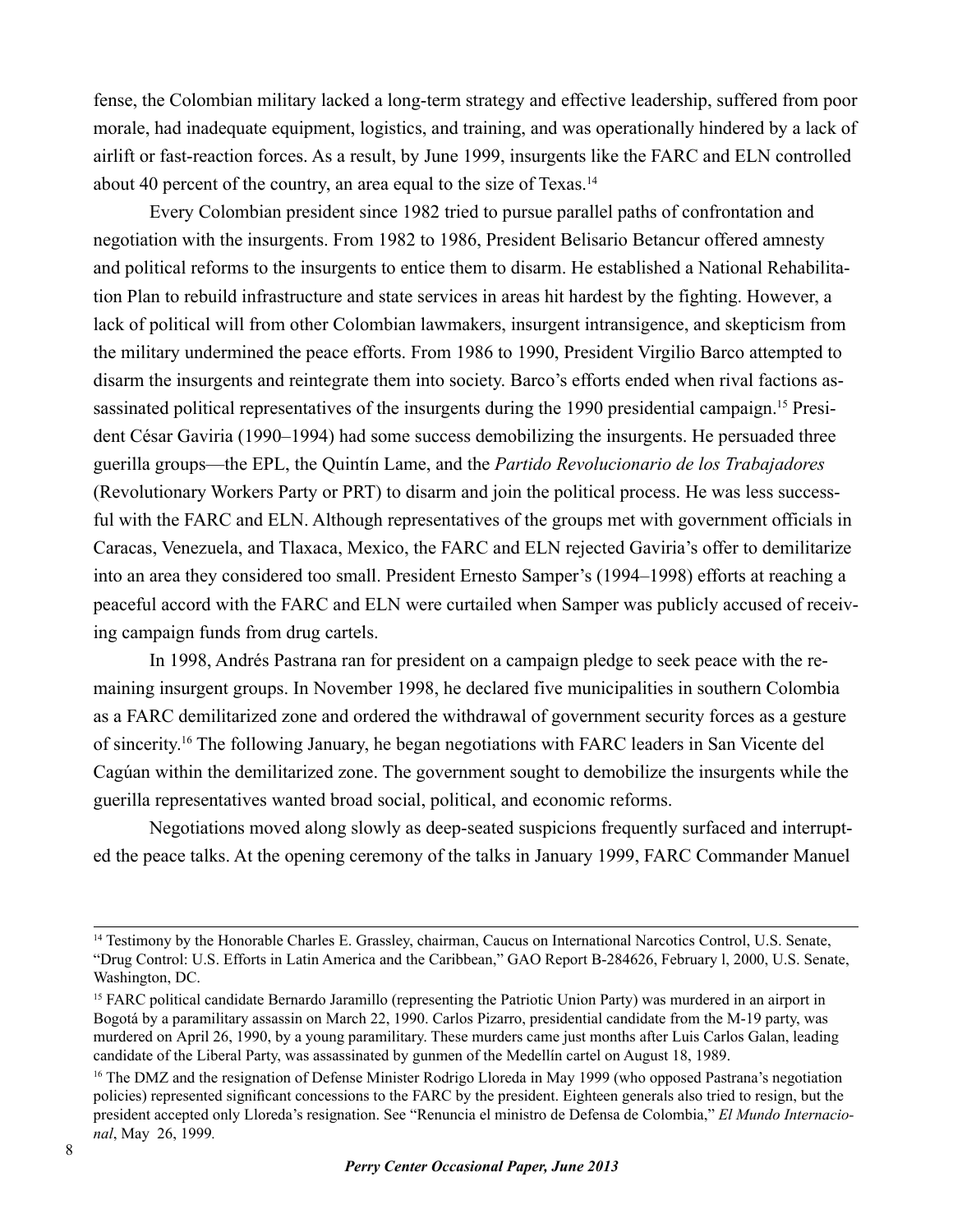fense, the Colombian military lacked a long-term strategy and effective leadership, suffered from poor morale, had inadequate equipment, logistics, and training, and was operationally hindered by a lack of airlift or fast-reaction forces. As a result, by June 1999, insurgents like the FARC and ELN controlled about 40 percent of the country, an area equal to the size of Texas.14

Every Colombian president since 1982 tried to pursue parallel paths of confrontation and negotiation with the insurgents. From 1982 to 1986, President Belisario Betancur offered amnesty and political reforms to the insurgents to entice them to disarm. He established a National Rehabilitation Plan to rebuild infrastructure and state services in areas hit hardest by the fighting. However, a lack of political will from other Colombian lawmakers, insurgent intransigence, and skepticism from the military undermined the peace efforts. From 1986 to 1990, President Virgilio Barco attempted to disarm the insurgents and reintegrate them into society. Barco's efforts ended when rival factions assassinated political representatives of the insurgents during the 1990 presidential campaign.<sup>15</sup> President César Gaviria (1990–1994) had some success demobilizing the insurgents. He persuaded three guerilla groups—the EPL, the Quintín Lame, and the *Partido Revolucionario de los Trabajadores*  (Revolutionary Workers Party or PRT) to disarm and join the political process. He was less successful with the FARC and ELN. Although representatives of the groups met with government officials in Caracas, Venezuela, and Tlaxaca, Mexico, the FARC and ELN rejected Gaviria's offer to demilitarize into an area they considered too small. President Ernesto Samper's (1994–1998) efforts at reaching a peaceful accord with the FARC and ELN were curtailed when Samper was publicly accused of receiving campaign funds from drug cartels.

In 1998, Andrés Pastrana ran for president on a campaign pledge to seek peace with the remaining insurgent groups. In November 1998, he declared five municipalities in southern Colombia as a FARC demilitarized zone and ordered the withdrawal of government security forces as a gesture of sincerity.16 The following January, he began negotiations with FARC leaders in San Vicente del Cagúan within the demilitarized zone. The government sought to demobilize the insurgents while the guerilla representatives wanted broad social, political, and economic reforms.

Negotiations moved along slowly as deep-seated suspicions frequently surfaced and interrupted the peace talks. At the opening ceremony of the talks in January 1999, FARC Commander Manuel

<sup>&</sup>lt;sup>14</sup> Testimony by the Honorable Charles E. Grassley, chairman, Caucus on International Narcotics Control, U.S. Senate, "Drug Control: U.S. Efforts in Latin America and the Caribbean," GAO Report B-284626, February l, 2000, U.S. Senate, Washington, DC.

<sup>&</sup>lt;sup>15</sup> FARC political candidate Bernardo Jaramillo (representing the Patriotic Union Party) was murdered in an airport in Bogotá by a paramilitary assassin on March 22, 1990. Carlos Pizarro, presidential candidate from the M-19 party, was murdered on April 26, 1990, by a young paramilitary. These murders came just months after Luis Carlos Galan, leading candidate of the Liberal Party, was assassinated by gunmen of the Medellín cartel on August 18, 1989.

<sup>&</sup>lt;sup>16</sup> The DMZ and the resignation of Defense Minister Rodrigo Lloreda in May 1999 (who opposed Pastrana's negotiation policies) represented significant concessions to the FARC by the president. Eighteen generals also tried to resign, but the president accepted only Lloreda's resignation. See "Renuncia el ministro de Defensa de Colombia," *El Mundo Internacional*, May 26, 1999*.*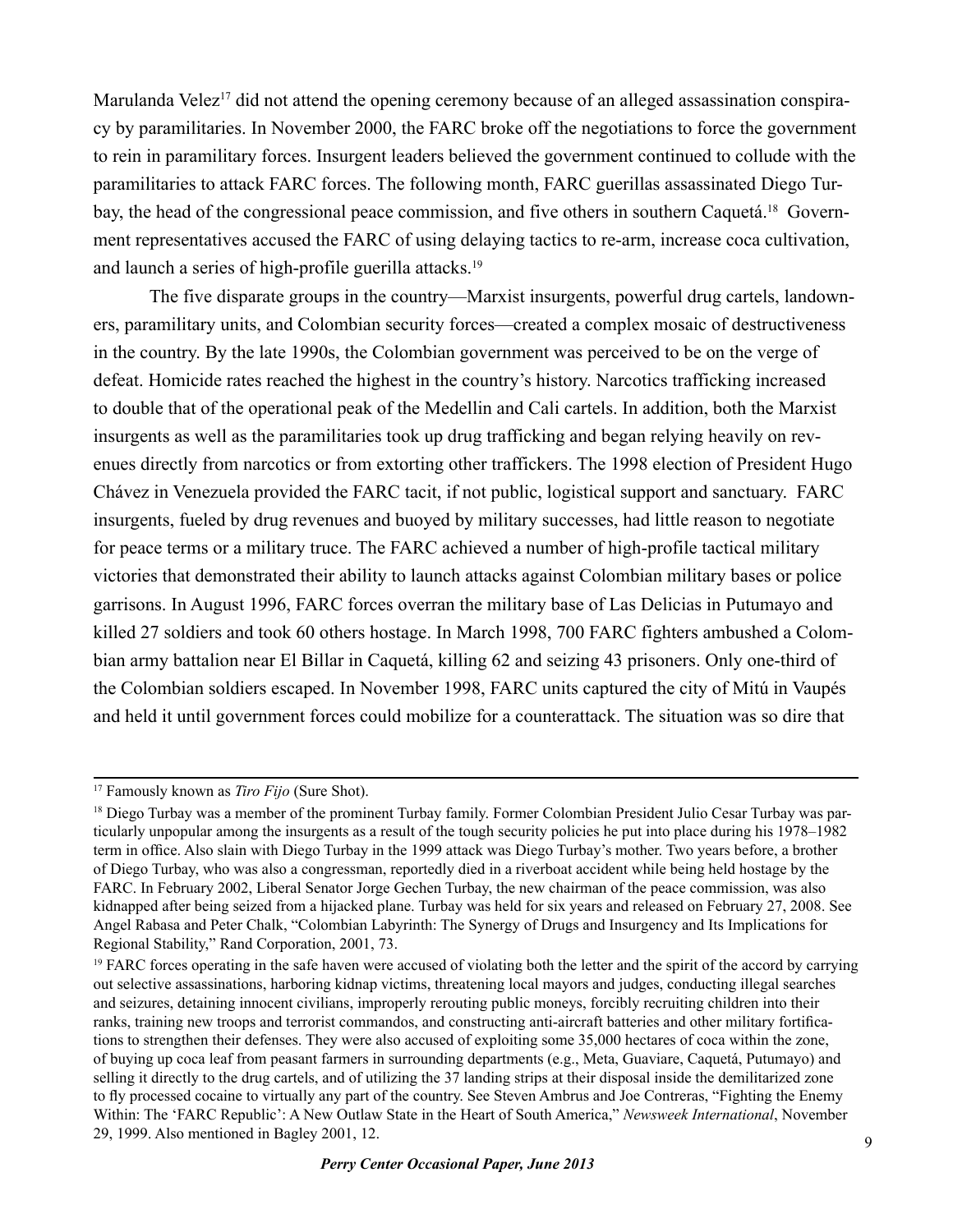Marulanda Velez<sup>17</sup> did not attend the opening ceremony because of an alleged assassination conspiracy by paramilitaries. In November 2000, the FARC broke off the negotiations to force the government to rein in paramilitary forces. Insurgent leaders believed the government continued to collude with the paramilitaries to attack FARC forces. The following month, FARC guerillas assassinated Diego Turbay, the head of the congressional peace commission, and five others in southern Caquetá.<sup>18</sup> Government representatives accused the FARC of using delaying tactics to re-arm, increase coca cultivation, and launch a series of high-profile guerilla attacks.19

The five disparate groups in the country—Marxist insurgents, powerful drug cartels, landowners, paramilitary units, and Colombian security forces—created a complex mosaic of destructiveness in the country. By the late 1990s, the Colombian government was perceived to be on the verge of defeat. Homicide rates reached the highest in the country's history. Narcotics trafficking increased to double that of the operational peak of the Medellin and Cali cartels. In addition, both the Marxist insurgents as well as the paramilitaries took up drug trafficking and began relying heavily on revenues directly from narcotics or from extorting other traffickers. The 1998 election of President Hugo Chávez in Venezuela provided the FARC tacit, if not public, logistical support and sanctuary. FARC insurgents, fueled by drug revenues and buoyed by military successes, had little reason to negotiate for peace terms or a military truce. The FARC achieved a number of high-profile tactical military victories that demonstrated their ability to launch attacks against Colombian military bases or police garrisons. In August 1996, FARC forces overran the military base of Las Delicias in Putumayo and killed 27 soldiers and took 60 others hostage. In March 1998, 700 FARC fighters ambushed a Colombian army battalion near El Billar in Caquetá, killing 62 and seizing 43 prisoners. Only one-third of the Colombian soldiers escaped. In November 1998, FARC units captured the city of Mitú in Vaupés and held it until government forces could mobilize for a counterattack. The situation was so dire that

<sup>17</sup> Famously known as *Tiro Fijo* (Sure Shot).

<sup>&</sup>lt;sup>18</sup> Diego Turbay was a member of the prominent Turbay family. Former Colombian President Julio Cesar Turbay was particularly unpopular among the insurgents as a result of the tough security policies he put into place during his 1978–1982 term in office. Also slain with Diego Turbay in the 1999 attack was Diego Turbay's mother. Two years before, a brother of Diego Turbay, who was also a congressman, reportedly died in a riverboat accident while being held hostage by the FARC. In February 2002, Liberal Senator Jorge Gechen Turbay, the new chairman of the peace commission, was also kidnapped after being seized from a hijacked plane. Turbay was held for six years and released on February 27, 2008. See Angel Rabasa and Peter Chalk, "Colombian Labyrinth: The Synergy of Drugs and Insurgency and Its Implications for Regional Stability," Rand Corporation, 2001, 73.

<sup>&</sup>lt;sup>19</sup> FARC forces operating in the safe haven were accused of violating both the letter and the spirit of the accord by carrying out selective assassinations, harboring kidnap victims, threatening local mayors and judges, conducting illegal searches and seizures, detaining innocent civilians, improperly rerouting public moneys, forcibly recruiting children into their ranks, training new troops and terrorist commandos, and constructing anti-aircraft batteries and other military fortifications to strengthen their defenses. They were also accused of exploiting some 35,000 hectares of coca within the zone, of buying up coca leaf from peasant farmers in surrounding departments (e.g., Meta, Guaviare, Caquetá, Putumayo) and selling it directly to the drug cartels, and of utilizing the 37 landing strips at their disposal inside the demilitarized zone to fly processed cocaine to virtually any part of the country. See Steven Ambrus and Joe Contreras, "Fighting the Enemy Within: The 'FARC Republic': A New Outlaw State in the Heart of South America," *Newsweek International*, November 29, 1999. Also mentioned in Bagley 2001, 12.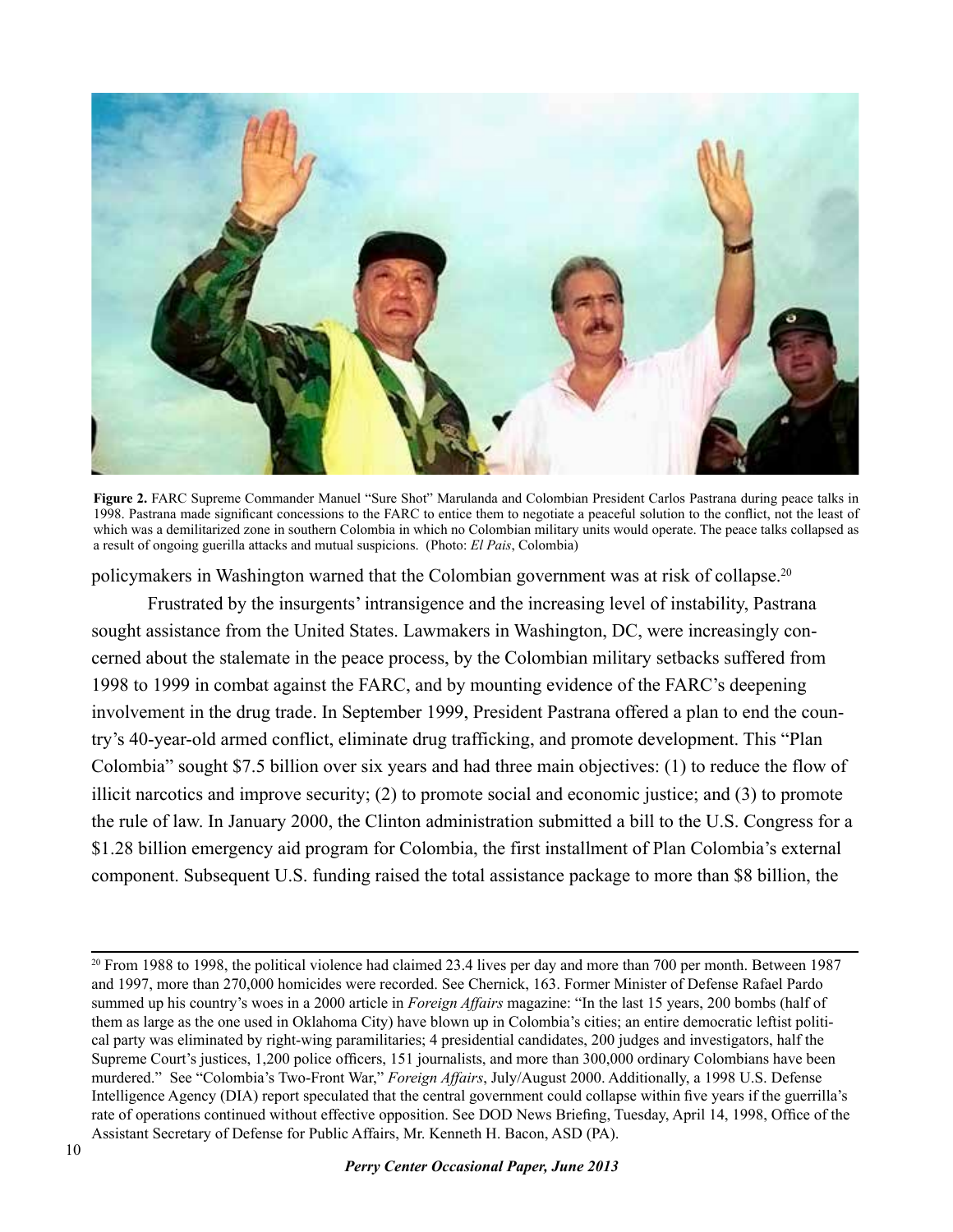

**Figure 2.** FARC Supreme Commander Manuel "Sure Shot" Marulanda and Colombian President Carlos Pastrana during peace talks in 1998. Pastrana made significant concessions to the FARC to entice them to negotiate a peaceful solution to the conflict, not the least of which was a demilitarized zone in southern Colombia in which no Colombian military units would operate. The peace talks collapsed as a result of ongoing guerilla attacks and mutual suspicions. (Photo: *El Pais*, Colombia)

policymakers in Washington warned that the Colombian government was at risk of collapse.<sup>20</sup>

Frustrated by the insurgents' intransigence and the increasing level of instability, Pastrana sought assistance from the United States. Lawmakers in Washington, DC, were increasingly concerned about the stalemate in the peace process, by the Colombian military setbacks suffered from 1998 to 1999 in combat against the FARC, and by mounting evidence of the FARC's deepening involvement in the drug trade. In September 1999, President Pastrana offered a plan to end the country's 40-year-old armed conflict, eliminate drug trafficking, and promote development. This "Plan Colombia" sought \$7.5 billion over six years and had three main objectives: (1) to reduce the flow of illicit narcotics and improve security; (2) to promote social and economic justice; and (3) to promote the rule of law. In January 2000, the Clinton administration submitted a bill to the U.S. Congress for a \$1.28 billion emergency aid program for Colombia, the first installment of Plan Colombia's external component. Subsequent U.S. funding raised the total assistance package to more than \$8 billion, the

 $20$  From 1988 to 1998, the political violence had claimed 23.4 lives per day and more than 700 per month. Between 1987 and 1997, more than 270,000 homicides were recorded. See Chernick, 163. Former Minister of Defense Rafael Pardo summed up his country's woes in a 2000 article in *Foreign Affairs* magazine: "In the last 15 years, 200 bombs (half of them as large as the one used in Oklahoma City) have blown up in Colombia's cities; an entire democratic leftist political party was eliminated by right-wing paramilitaries; 4 presidential candidates, 200 judges and investigators, half the Supreme Court's justices, 1,200 police officers, 151 journalists, and more than 300,000 ordinary Colombians have been murdered." See "Colombia's Two-Front War," *Foreign Affairs*, July/August 2000. Additionally, a 1998 U.S. Defense Intelligence Agency (DIA) report speculated that the central government could collapse within five years if the guerrilla's rate of operations continued without effective opposition. See DOD News Briefing, Tuesday, April 14, 1998, Office of the Assistant Secretary of Defense for Public Affairs, Mr. Kenneth H. Bacon, ASD (PA).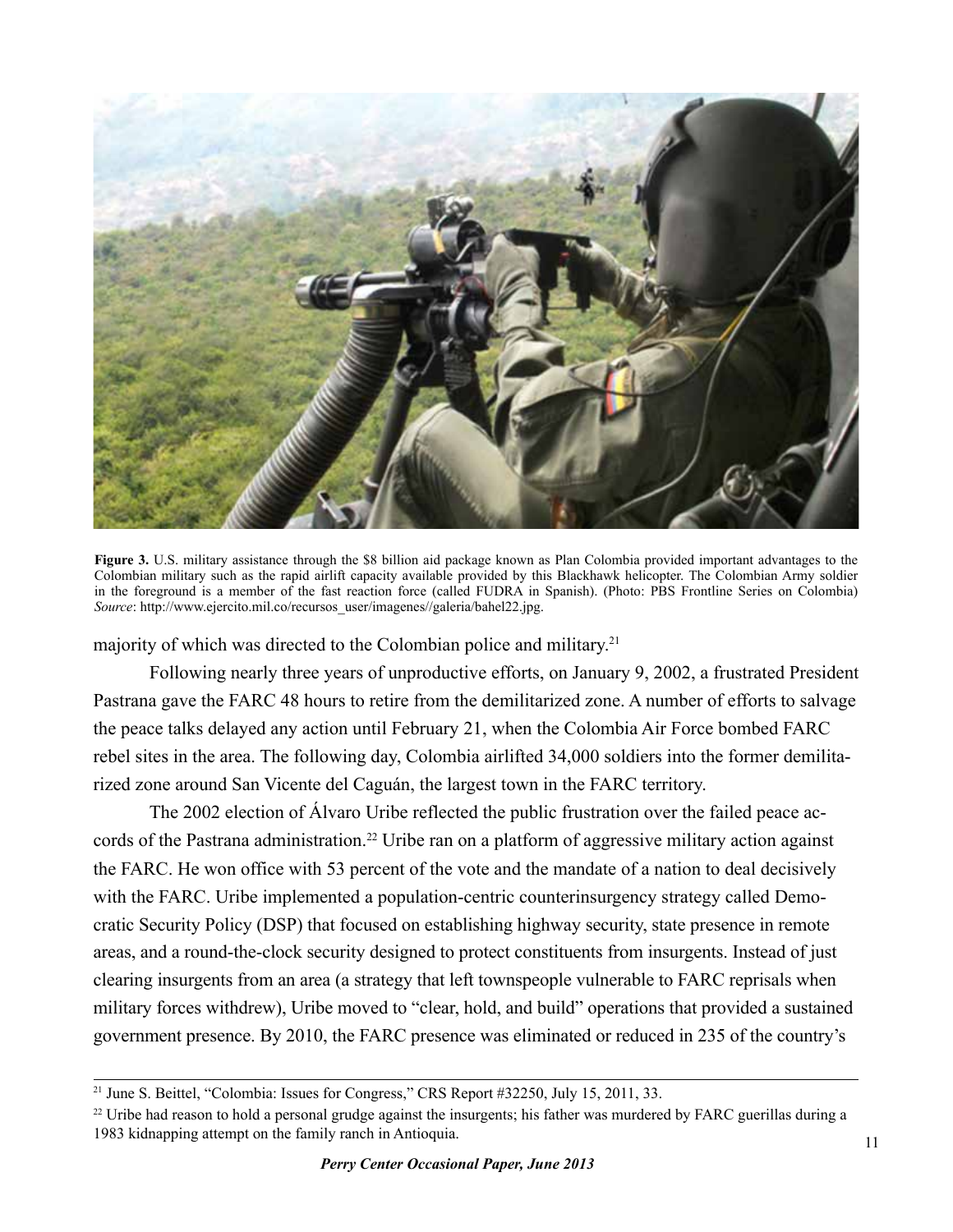

**Figure 3.** U.S. military assistance through the \$8 billion aid package known as Plan Colombia provided important advantages to the Colombian military such as the rapid airlift capacity available provided by this Blackhawk helicopter. The Colombian Army soldier in the foreground is a member of the fast reaction force (called FUDRA in Spanish). (Photo: PBS Frontline Series on Colombia) *Source*: http://www.ejercito.mil.co/recursos\_user/imagenes//galeria/bahel22.jpg.

majority of which was directed to the Colombian police and military. 21

Following nearly three years of unproductive efforts, on January 9, 2002, a frustrated President Pastrana gave the FARC 48 hours to retire from the demilitarized zone. A number of efforts to salvage the peace talks delayed any action until February 21, when the Colombia Air Force bombed FARC rebel sites in the area. The following day, Colombia airlifted 34,000 soldiers into the former demilitarized zone around San Vicente del Caguán, the largest town in the FARC territory.

The 2002 election of Álvaro Uribe reflected the public frustration over the failed peace accords of the Pastrana administration.<sup>22</sup> Uribe ran on a platform of aggressive military action against the FARC. He won office with 53 percent of the vote and the mandate of a nation to deal decisively with the FARC. Uribe implemented a population-centric counterinsurgency strategy called Democratic Security Policy (DSP) that focused on establishing highway security, state presence in remote areas, and a round-the-clock security designed to protect constituents from insurgents. Instead of just clearing insurgents from an area (a strategy that left townspeople vulnerable to FARC reprisals when military forces withdrew), Uribe moved to "clear, hold, and build" operations that provided a sustained government presence. By 2010, the FARC presence was eliminated or reduced in 235 of the country's

<sup>21</sup> June S. Beittel, "Colombia: Issues for Congress," CRS Report #32250, July 15, 2011, 33.

 $^{22}$  Uribe had reason to hold a personal grudge against the insurgents; his father was murdered by FARC guerillas during a 1983 kidnapping attempt on the family ranch in Antioquia.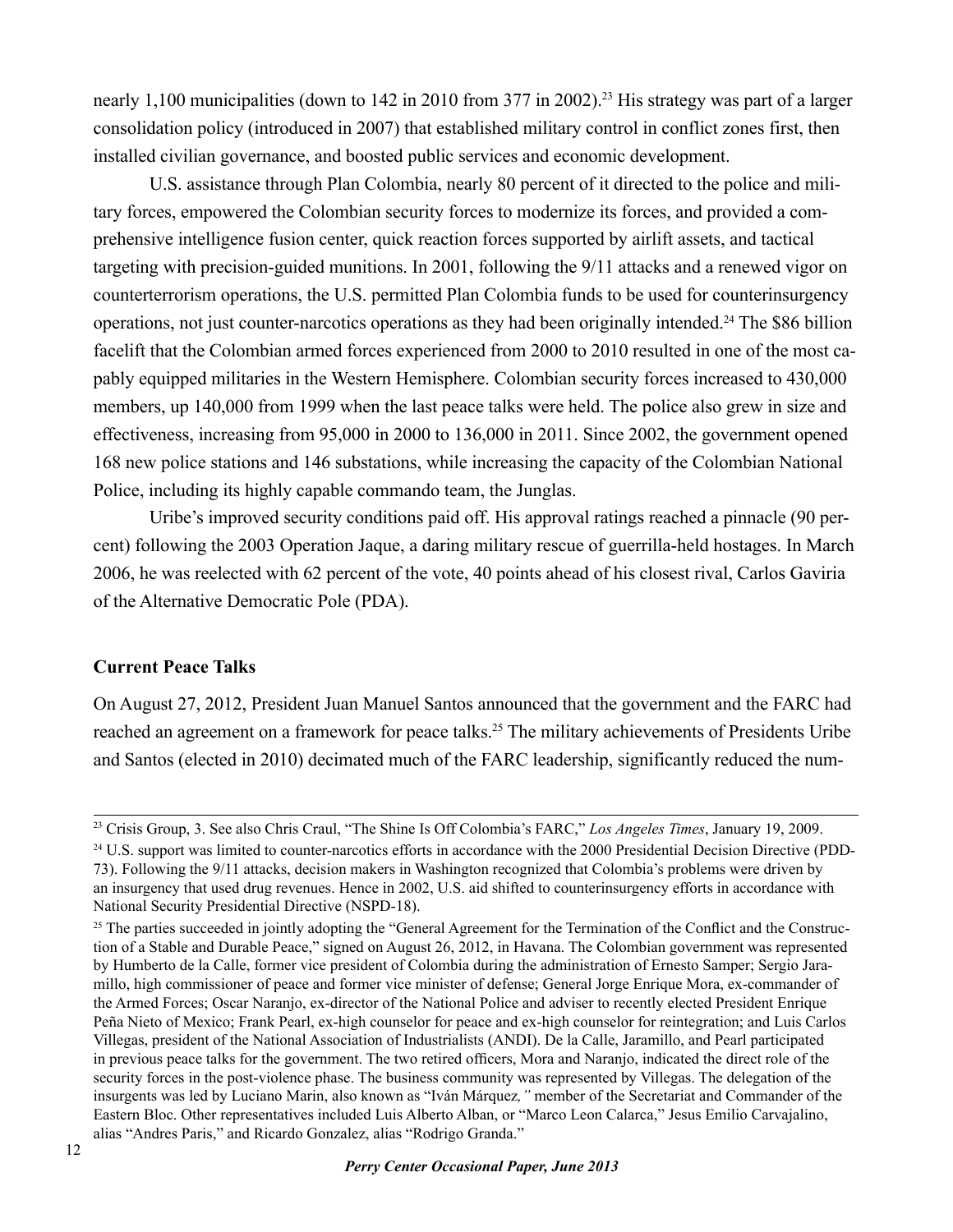nearly 1,100 municipalities (down to 142 in 2010 from 377 in 2002).<sup>23</sup> His strategy was part of a larger consolidation policy (introduced in 2007) that established military control in conflict zones first, then installed civilian governance, and boosted public services and economic development.

U.S. assistance through Plan Colombia, nearly 80 percent of it directed to the police and military forces, empowered the Colombian security forces to modernize its forces, and provided a comprehensive intelligence fusion center, quick reaction forces supported by airlift assets, and tactical targeting with precision-guided munitions. In 2001, following the 9/11 attacks and a renewed vigor on counterterrorism operations, the U.S. permitted Plan Colombia funds to be used for counterinsurgency operations, not just counter-narcotics operations as they had been originally intended.24 The \$86 billion facelift that the Colombian armed forces experienced from 2000 to 2010 resulted in one of the most capably equipped militaries in the Western Hemisphere. Colombian security forces increased to 430,000 members, up 140,000 from 1999 when the last peace talks were held. The police also grew in size and effectiveness, increasing from 95,000 in 2000 to 136,000 in 2011. Since 2002, the government opened 168 new police stations and 146 substations, while increasing the capacity of the Colombian National Police, including its highly capable commando team, the Junglas.

Uribe's improved security conditions paid off. His approval ratings reached a pinnacle (90 percent) following the 2003 Operation Jaque, a daring military rescue of guerrilla-held hostages. In March 2006, he was reelected with 62 percent of the vote, 40 points ahead of his closest rival, Carlos Gaviria of the Alternative Democratic Pole (PDA).

#### **Current Peace Talks**

On August 27, 2012, President Juan Manuel Santos announced that the government and the FARC had reached an agreement on a framework for peace talks.<sup>25</sup> The military achievements of Presidents Uribe and Santos (elected in 2010) decimated much of the FARC leadership, significantly reduced the num-

<sup>23</sup> Crisis Group, 3. See also Chris Craul, "The Shine Is Off Colombia's FARC," *Los Angeles Times*, January 19, 2009.

 $^{24}$  U.S. support was limited to counter-narcotics efforts in accordance with the 2000 Presidential Decision Directive (PDD-73). Following the 9/11 attacks, decision makers in Washington recognized that Colombia's problems were driven by an insurgency that used drug revenues. Hence in 2002, U.S. aid shifted to counterinsurgency efforts in accordance with National Security Presidential Directive (NSPD-18).

<sup>&</sup>lt;sup>25</sup> The parties succeeded in jointly adopting the "General Agreement for the Termination of the Conflict and the Construction of a Stable and Durable Peace," signed on August 26, 2012, in Havana. The Colombian government was represented by Humberto de la Calle, former vice president of Colombia during the administration of Ernesto Samper; Sergio Jaramillo, high commissioner of peace and former vice minister of defense; General Jorge Enrique Mora, ex-commander of the Armed Forces; Oscar Naranjo, ex-director of the National Police and adviser to recently elected President Enrique Peña Nieto of Mexico; Frank Pearl, ex-high counselor for peace and ex-high counselor for reintegration; and Luis Carlos Villegas, president of the National Association of Industrialists (ANDI). De la Calle, Jaramillo, and Pearl participated in previous peace talks for the government. The two retired officers, Mora and Naranjo, indicated the direct role of the security forces in the post-violence phase. The business community was represented by Villegas. The delegation of the insurgents was led by Luciano Marin, also known as "Iván Márquez*,"* member of the Secretariat and Commander of the Eastern Bloc. Other representatives included Luis Alberto Alban, or "Marco Leon Calarca," Jesus Emilio Carvajalino, alias "Andres Paris," and Ricardo Gonzalez, alias "Rodrigo Granda."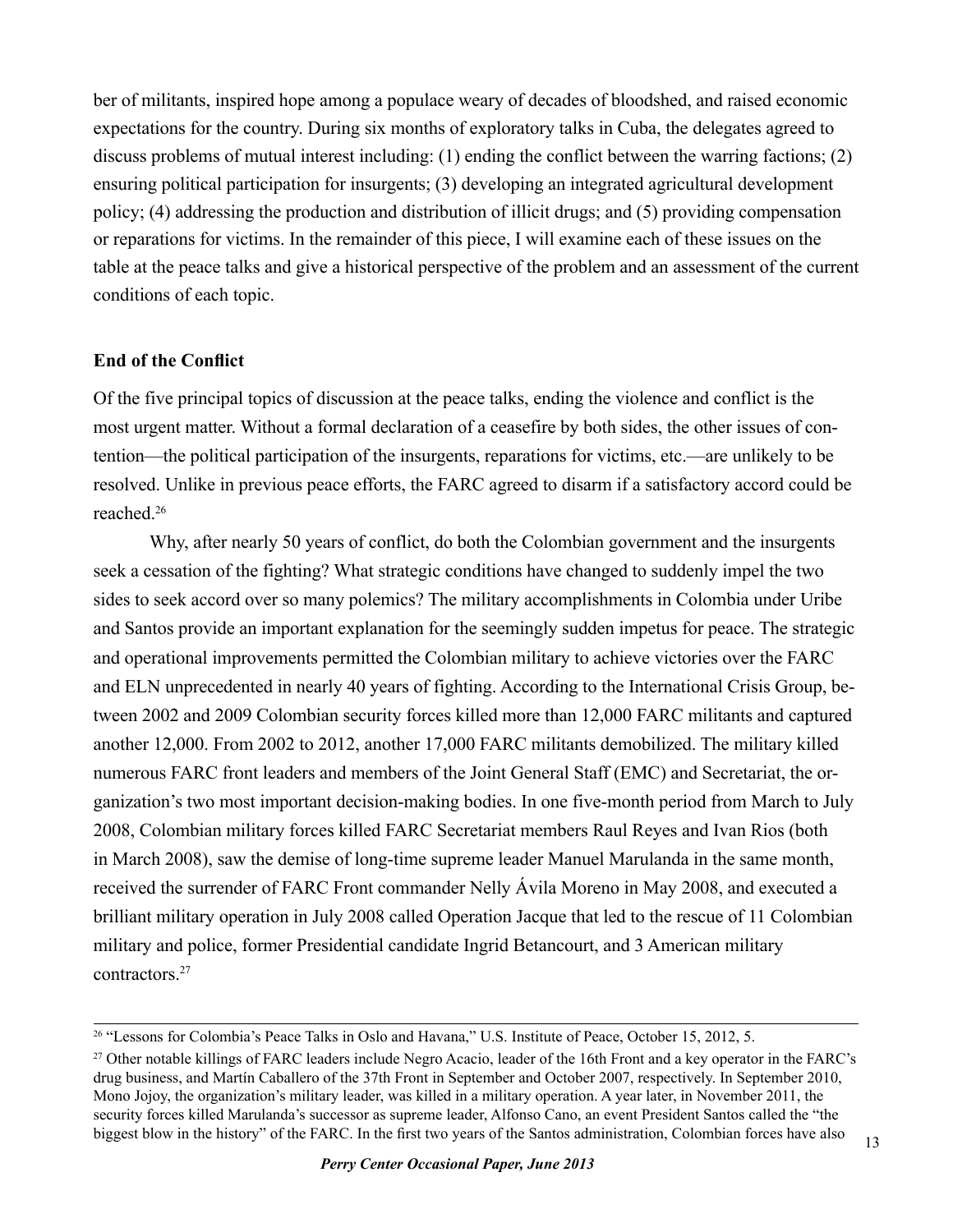ber of militants, inspired hope among a populace weary of decades of bloodshed, and raised economic expectations for the country. During six months of exploratory talks in Cuba, the delegates agreed to discuss problems of mutual interest including: (1) ending the conflict between the warring factions; (2) ensuring political participation for insurgents; (3) developing an integrated agricultural development policy; (4) addressing the production and distribution of illicit drugs; and (5) providing compensation or reparations for victims. In the remainder of this piece, I will examine each of these issues on the table at the peace talks and give a historical perspective of the problem and an assessment of the current conditions of each topic.

#### **End of the Conflict**

Of the five principal topics of discussion at the peace talks, ending the violence and conflict is the most urgent matter. Without a formal declaration of a ceasefire by both sides, the other issues of contention—the political participation of the insurgents, reparations for victims, etc.—are unlikely to be resolved. Unlike in previous peace efforts, the FARC agreed to disarm if a satisfactory accord could be reached.<sup>26</sup>

Why, after nearly 50 years of conflict, do both the Colombian government and the insurgents seek a cessation of the fighting? What strategic conditions have changed to suddenly impel the two sides to seek accord over so many polemics? The military accomplishments in Colombia under Uribe and Santos provide an important explanation for the seemingly sudden impetus for peace. The strategic and operational improvements permitted the Colombian military to achieve victories over the FARC and ELN unprecedented in nearly 40 years of fighting. According to the International Crisis Group, between 2002 and 2009 Colombian security forces killed more than 12,000 FARC militants and captured another 12,000. From 2002 to 2012, another 17,000 FARC militants demobilized. The military killed numerous FARC front leaders and members of the Joint General Staff (EMC) and Secretariat, the organization's two most important decision-making bodies. In one five-month period from March to July 2008, Colombian military forces killed FARC Secretariat members Raul Reyes and Ivan Rios (both in March 2008), saw the demise of long-time supreme leader Manuel Marulanda in the same month, received the surrender of FARC Front commander Nelly Ávila Moreno in May 2008, and executed a brilliant military operation in July 2008 called Operation Jacque that led to the rescue of 11 Colombian military and police, former Presidential candidate Ingrid Betancourt, and 3 American military contractors<sup>27</sup>

<sup>&</sup>lt;sup>26</sup> "Lessons for Colombia's Peace Talks in Oslo and Havana," U.S. Institute of Peace, October 15, 2012, 5.

<sup>27</sup> Other notable killings of FARC leaders include Negro Acacio, leader of the 16th Front and a key operator in the FARC's drug business, and Martín Caballero of the 37th Front in September and October 2007, respectively. In September 2010, Mono Jojoy, the organization's military leader, was killed in a military operation. A year later, in November 2011, the security forces killed Marulanda's successor as supreme leader, Alfonso Cano, an event President Santos called the "the biggest blow in the history" of the FARC. In the first two years of the Santos administration, Colombian forces have also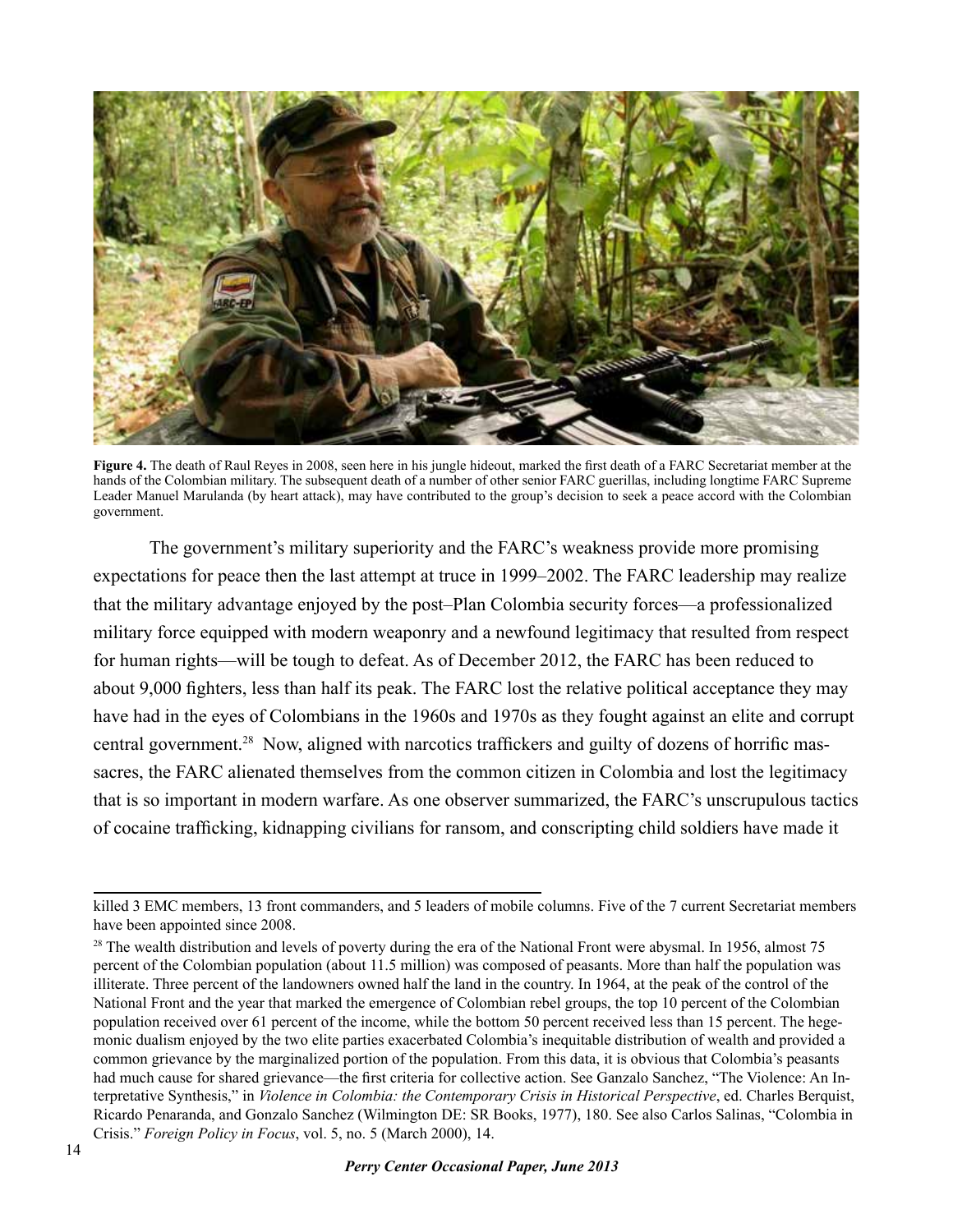

**Figure 4.** The death of Raul Reyes in 2008, seen here in his jungle hideout, marked the first death of a FARC Secretariat member at the hands of the Colombian military. The subsequent death of a number of other senior FARC guerillas, including longtime FARC Supreme Leader Manuel Marulanda (by heart attack), may have contributed to the group's decision to seek a peace accord with the Colombian government.

The government's military superiority and the FARC's weakness provide more promising expectations for peace then the last attempt at truce in 1999–2002. The FARC leadership may realize that the military advantage enjoyed by the post–Plan Colombia security forces—a professionalized military force equipped with modern weaponry and a newfound legitimacy that resulted from respect for human rights—will be tough to defeat. As of December 2012, the FARC has been reduced to about 9,000 fighters, less than half its peak. The FARC lost the relative political acceptance they may have had in the eyes of Colombians in the 1960s and 1970s as they fought against an elite and corrupt central government.28 Now, aligned with narcotics traffickers and guilty of dozens of horrific massacres, the FARC alienated themselves from the common citizen in Colombia and lost the legitimacy that is so important in modern warfare. As one observer summarized, the FARC's unscrupulous tactics of cocaine trafficking, kidnapping civilians for ransom, and conscripting child soldiers have made it

killed 3 EMC members, 13 front commanders, and 5 leaders of mobile columns. Five of the 7 current Secretariat members have been appointed since 2008.

<sup>&</sup>lt;sup>28</sup> The wealth distribution and levels of poverty during the era of the National Front were abysmal. In 1956, almost 75 percent of the Colombian population (about 11.5 million) was composed of peasants. More than half the population was illiterate. Three percent of the landowners owned half the land in the country. In 1964, at the peak of the control of the National Front and the year that marked the emergence of Colombian rebel groups, the top 10 percent of the Colombian population received over 61 percent of the income, while the bottom 50 percent received less than 15 percent. The hegemonic dualism enjoyed by the two elite parties exacerbated Colombia's inequitable distribution of wealth and provided a common grievance by the marginalized portion of the population. From this data, it is obvious that Colombia's peasants had much cause for shared grievance—the first criteria for collective action. See Ganzalo Sanchez, "The Violence: An Interpretative Synthesis," in *Violence in Colombia: the Contemporary Crisis in Historical Perspective*, ed. Charles Berquist, Ricardo Penaranda, and Gonzalo Sanchez (Wilmington DE: SR Books, 1977), 180. See also Carlos Salinas, "Colombia in Crisis." *Foreign Policy in Focus*, vol. 5, no. 5 (March 2000), 14.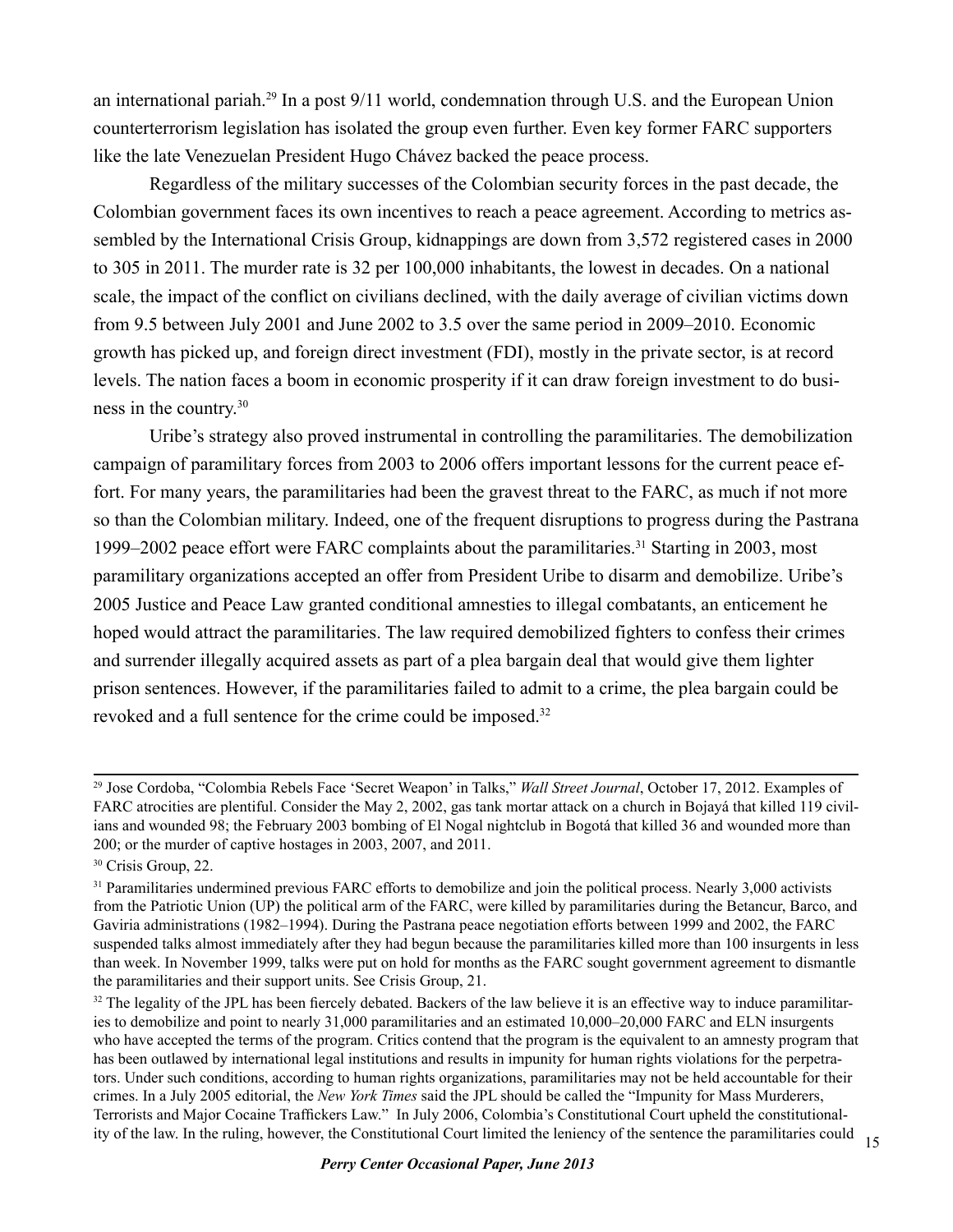an international pariah.29 In a post 9/11 world, condemnation through U.S. and the European Union counterterrorism legislation has isolated the group even further. Even key former FARC supporters like the late Venezuelan President Hugo Chávez backed the peace process.

Regardless of the military successes of the Colombian security forces in the past decade, the Colombian government faces its own incentives to reach a peace agreement. According to metrics assembled by the International Crisis Group, kidnappings are down from 3,572 registered cases in 2000 to 305 in 2011. The murder rate is 32 per 100,000 inhabitants, the lowest in decades. On a national scale, the impact of the conflict on civilians declined, with the daily average of civilian victims down from 9.5 between July 2001 and June 2002 to 3.5 over the same period in 2009–2010. Economic growth has picked up, and foreign direct investment (FDI), mostly in the private sector, is at record levels. The nation faces a boom in economic prosperity if it can draw foreign investment to do business in the country.<sup>30</sup>

Uribe's strategy also proved instrumental in controlling the paramilitaries. The demobilization campaign of paramilitary forces from 2003 to 2006 offers important lessons for the current peace effort. For many years, the paramilitaries had been the gravest threat to the FARC, as much if not more so than the Colombian military. Indeed, one of the frequent disruptions to progress during the Pastrana 1999–2002 peace effort were FARC complaints about the paramilitaries.31 Starting in 2003, most paramilitary organizations accepted an offer from President Uribe to disarm and demobilize. Uribe's 2005 Justice and Peace Law granted conditional amnesties to illegal combatants, an enticement he hoped would attract the paramilitaries. The law required demobilized fighters to confess their crimes and surrender illegally acquired assets as part of a plea bargain deal that would give them lighter prison sentences. However, if the paramilitaries failed to admit to a crime, the plea bargain could be revoked and a full sentence for the crime could be imposed.<sup>32</sup>

<sup>29</sup> Jose Cordoba, "Colombia Rebels Face 'Secret Weapon' in Talks," *Wall Street Journal*, October 17, 2012. Examples of FARC atrocities are plentiful. Consider the May 2, 2002, gas tank mortar attack on a church in Bojayá that killed 119 civilians and wounded 98; the February 2003 bombing of El Nogal nightclub in Bogotá that killed 36 and wounded more than 200; or the murder of captive hostages in 2003, 2007, and 2011.

<sup>&</sup>lt;sup>30</sup> Crisis Group, 22.

<sup>&</sup>lt;sup>31</sup> Paramilitaries undermined previous FARC efforts to demobilize and join the political process. Nearly 3,000 activists from the Patriotic Union (UP) the political arm of the FARC, were killed by paramilitaries during the Betancur, Barco, and Gaviria administrations (1982–1994). During the Pastrana peace negotiation efforts between 1999 and 2002, the FARC suspended talks almost immediately after they had begun because the paramilitaries killed more than 100 insurgents in less than week. In November 1999, talks were put on hold for months as the FARC sought government agreement to dismantle the paramilitaries and their support units. See Crisis Group, 21.

ity of the law. In the ruling, however, the Constitutional Court limited the leniency of the sentence the paramilitaries could  $15$ <sup>32</sup> The legality of the JPL has been fiercely debated. Backers of the law believe it is an effective way to induce paramilitaries to demobilize and point to nearly 31,000 paramilitaries and an estimated 10,000–20,000 FARC and ELN insurgents who have accepted the terms of the program. Critics contend that the program is the equivalent to an amnesty program that has been outlawed by international legal institutions and results in impunity for human rights violations for the perpetrators. Under such conditions, according to human rights organizations, paramilitaries may not be held accountable for their crimes. In a July 2005 editorial, the *New York Times* said the JPL should be called the "Impunity for Mass Murderers, Terrorists and Major Cocaine Traffickers Law." In July 2006, Colombia's Constitutional Court upheld the constitutional-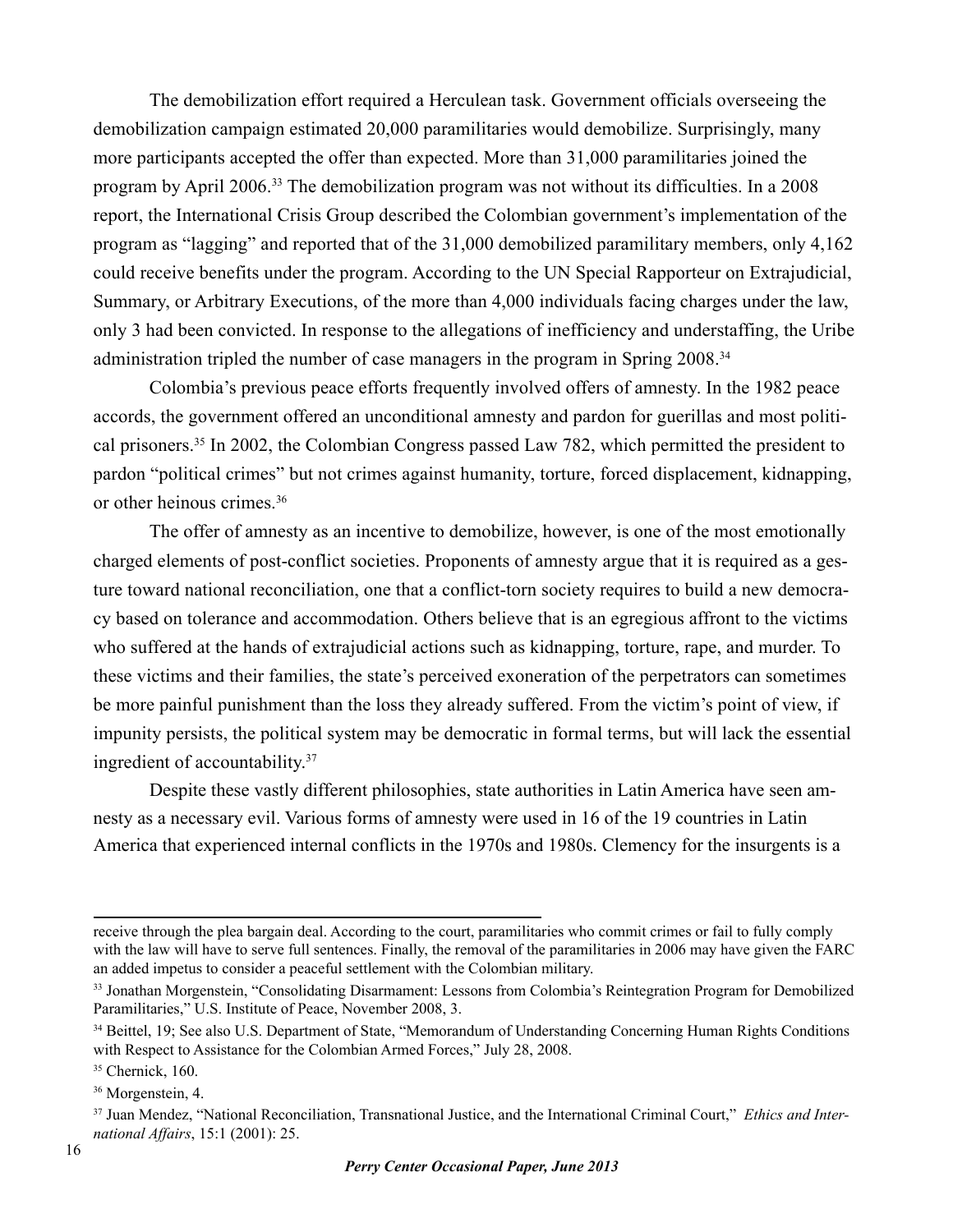The demobilization effort required a Herculean task. Government officials overseeing the demobilization campaign estimated 20,000 paramilitaries would demobilize. Surprisingly, many more participants accepted the offer than expected. More than 31,000 paramilitaries joined the program by April 2006.33 The demobilization program was not without its difficulties. In a 2008 report, the International Crisis Group described the Colombian government's implementation of the program as "lagging" and reported that of the 31,000 demobilized paramilitary members, only 4,162 could receive benefits under the program. According to the UN Special Rapporteur on Extrajudicial, Summary, or Arbitrary Executions, of the more than 4,000 individuals facing charges under the law, only 3 had been convicted. In response to the allegations of inefficiency and understaffing, the Uribe administration tripled the number of case managers in the program in Spring 2008.34

Colombia's previous peace efforts frequently involved offers of amnesty. In the 1982 peace accords, the government offered an unconditional amnesty and pardon for guerillas and most political prisoners.35 In 2002, the Colombian Congress passed Law 782, which permitted the president to pardon "political crimes" but not crimes against humanity, torture, forced displacement, kidnapping, or other heinous crimes.<sup>36</sup>

The offer of amnesty as an incentive to demobilize, however, is one of the most emotionally charged elements of post-conflict societies. Proponents of amnesty argue that it is required as a gesture toward national reconciliation, one that a conflict-torn society requires to build a new democracy based on tolerance and accommodation. Others believe that is an egregious affront to the victims who suffered at the hands of extrajudicial actions such as kidnapping, torture, rape, and murder. To these victims and their families, the state's perceived exoneration of the perpetrators can sometimes be more painful punishment than the loss they already suffered. From the victim's point of view, if impunity persists, the political system may be democratic in formal terms, but will lack the essential ingredient of accountability.37

Despite these vastly different philosophies, state authorities in Latin America have seen amnesty as a necessary evil. Various forms of amnesty were used in 16 of the 19 countries in Latin America that experienced internal conflicts in the 1970s and 1980s. Clemency for the insurgents is a

receive through the plea bargain deal. According to the court, paramilitaries who commit crimes or fail to fully comply with the law will have to serve full sentences. Finally, the removal of the paramilitaries in 2006 may have given the FARC an added impetus to consider a peaceful settlement with the Colombian military.

<sup>33</sup> Jonathan Morgenstein, "Consolidating Disarmament: Lessons from Colombia's Reintegration Program for Demobilized Paramilitaries," U.S. Institute of Peace, November 2008, 3.

<sup>34</sup> Beittel, 19; See also U.S. Department of State, "Memorandum of Understanding Concerning Human Rights Conditions with Respect to Assistance for the Colombian Armed Forces," July 28, 2008.

<sup>&</sup>lt;sup>35</sup> Chernick, 160.

<sup>36</sup> Morgenstein, 4.

<sup>37</sup> Juan Mendez, "National Reconciliation, Transnational Justice, and the International Criminal Court," *Ethics and International Affairs*, 15:1 (2001): 25.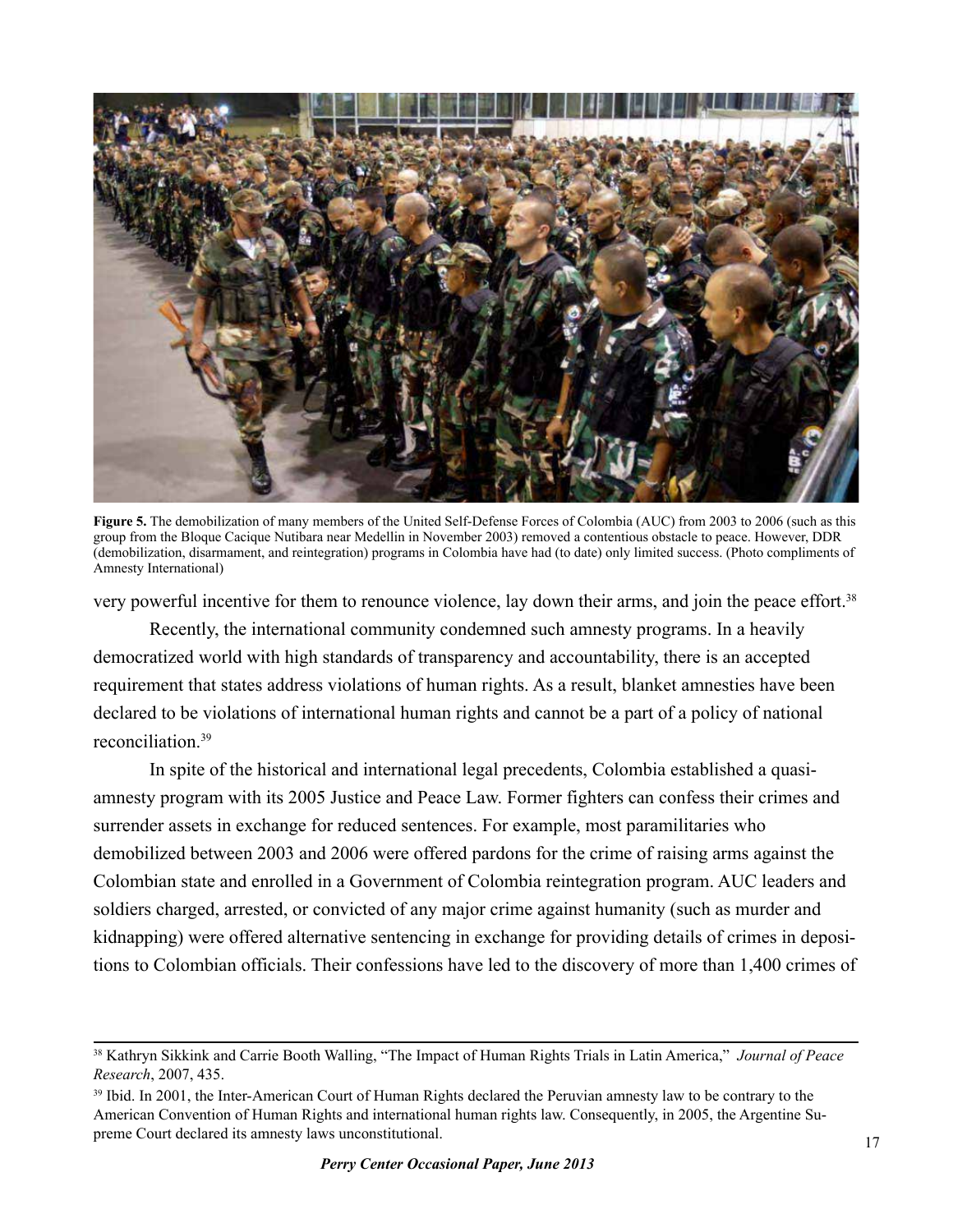

**Figure 5.** The demobilization of many members of the United Self-Defense Forces of Colombia (AUC) from 2003 to 2006 (such as this group from the Bloque Cacique Nutibara near Medellin in November 2003) removed a contentious obstacle to peace. However, DDR (demobilization, disarmament, and reintegration) programs in Colombia have had (to date) only limited success. (Photo compliments of Amnesty International)

very powerful incentive for them to renounce violence, lay down their arms, and join the peace effort.<sup>38</sup>

Recently, the international community condemned such amnesty programs. In a heavily democratized world with high standards of transparency and accountability, there is an accepted requirement that states address violations of human rights. As a result, blanket amnesties have been declared to be violations of international human rights and cannot be a part of a policy of national reconciliation.<sup>39</sup>

In spite of the historical and international legal precedents, Colombia established a quasiamnesty program with its 2005 Justice and Peace Law. Former fighters can confess their crimes and surrender assets in exchange for reduced sentences. For example, most paramilitaries who demobilized between 2003 and 2006 were offered pardons for the crime of raising arms against the Colombian state and enrolled in a Government of Colombia reintegration program. AUC leaders and soldiers charged, arrested, or convicted of any major crime against humanity (such as murder and kidnapping) were offered alternative sentencing in exchange for providing details of crimes in depositions to Colombian officials. Their confessions have led to the discovery of more than 1,400 crimes of

<sup>38</sup> Kathryn Sikkink and Carrie Booth Walling, "The Impact of Human Rights Trials in Latin America," *Journal of Peace Research*, 2007, 435.

<sup>&</sup>lt;sup>39</sup> Ibid. In 2001, the Inter-American Court of Human Rights declared the Peruvian amnesty law to be contrary to the American Convention of Human Rights and international human rights law. Consequently, in 2005, the Argentine Supreme Court declared its amnesty laws unconstitutional.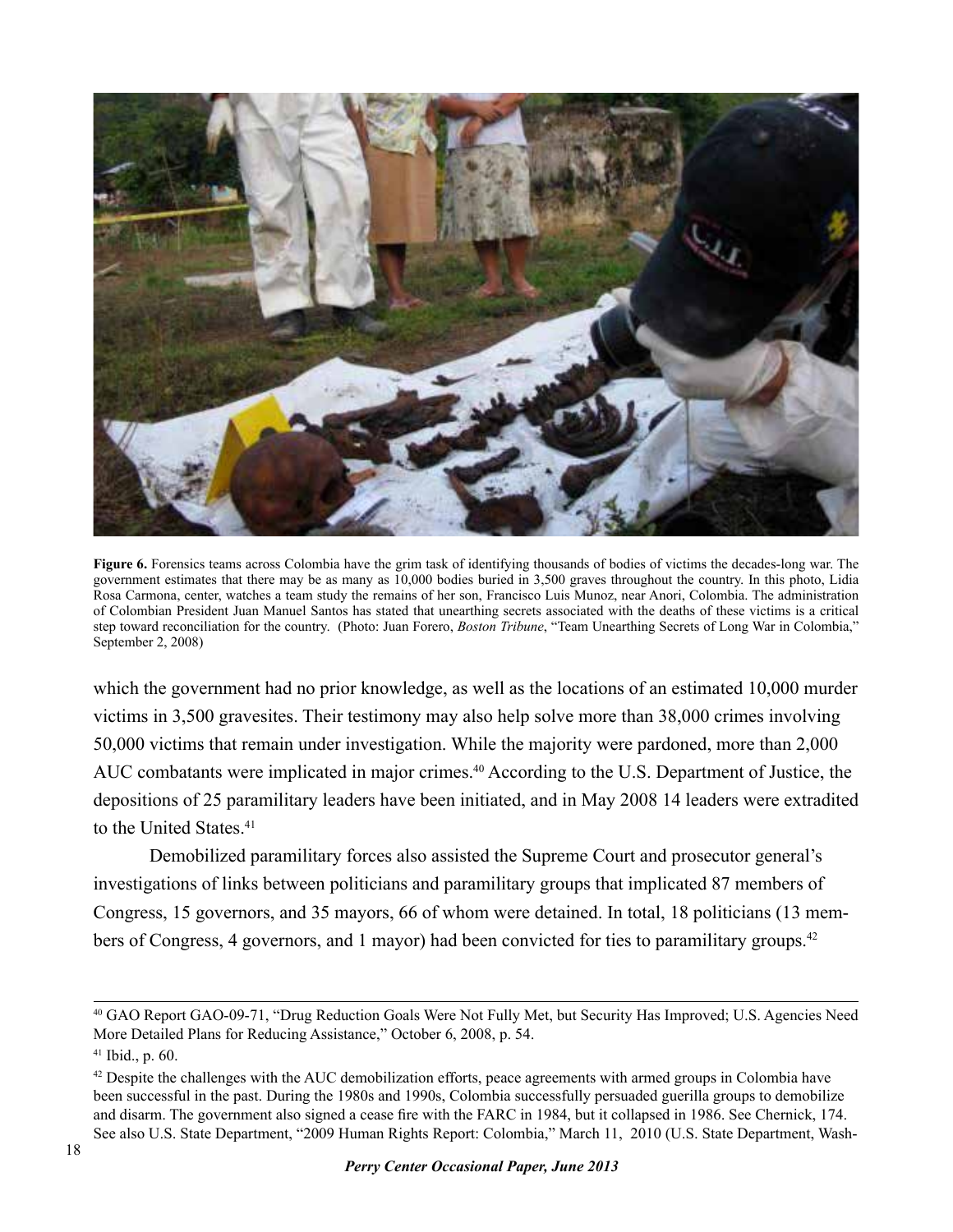

**Figure 6.** Forensics teams across Colombia have the grim task of identifying thousands of bodies of victims the decades-long war. The government estimates that there may be as many as 10,000 bodies buried in 3,500 graves throughout the country. In this photo, Lidia Rosa Carmona, center, watches a team study the remains of her son, Francisco Luis Munoz, near Anori, Colombia. The administration of Colombian President Juan Manuel Santos has stated that unearthing secrets associated with the deaths of these victims is a critical step toward reconciliation for the country. (Photo: Juan Forero, *Boston Tribune*, "Team Unearthing Secrets of Long War in Colombia," September 2, 2008)

which the government had no prior knowledge, as well as the locations of an estimated 10,000 murder victims in 3,500 gravesites. Their testimony may also help solve more than 38,000 crimes involving 50,000 victims that remain under investigation. While the majority were pardoned, more than 2,000 AUC combatants were implicated in major crimes.<sup>40</sup> According to the U.S. Department of Justice, the depositions of 25 paramilitary leaders have been initiated, and in May 2008 14 leaders were extradited to the United States.<sup>41</sup>

Demobilized paramilitary forces also assisted the Supreme Court and prosecutor general's investigations of links between politicians and paramilitary groups that implicated 87 members of Congress, 15 governors, and 35 mayors, 66 of whom were detained. In total, 18 politicians (13 members of Congress, 4 governors, and 1 mayor) had been convicted for ties to paramilitary groups.<sup>42</sup>

<sup>40</sup> GAO Report GAO-09-71, "Drug Reduction Goals Were Not Fully Met, but Security Has Improved; U.S. Agencies Need More Detailed Plans for Reducing Assistance," October 6, 2008, p. 54.

 $41$  Ibid., p. 60.

<sup>&</sup>lt;sup>42</sup> Despite the challenges with the AUC demobilization efforts, peace agreements with armed groups in Colombia have been successful in the past. During the 1980s and 1990s, Colombia successfully persuaded guerilla groups to demobilize and disarm. The government also signed a cease fire with the FARC in 1984, but it collapsed in 1986. See Chernick, 174. See also U.S. State Department, "2009 Human Rights Report: Colombia," March 11, 2010 (U.S. State Department, Wash-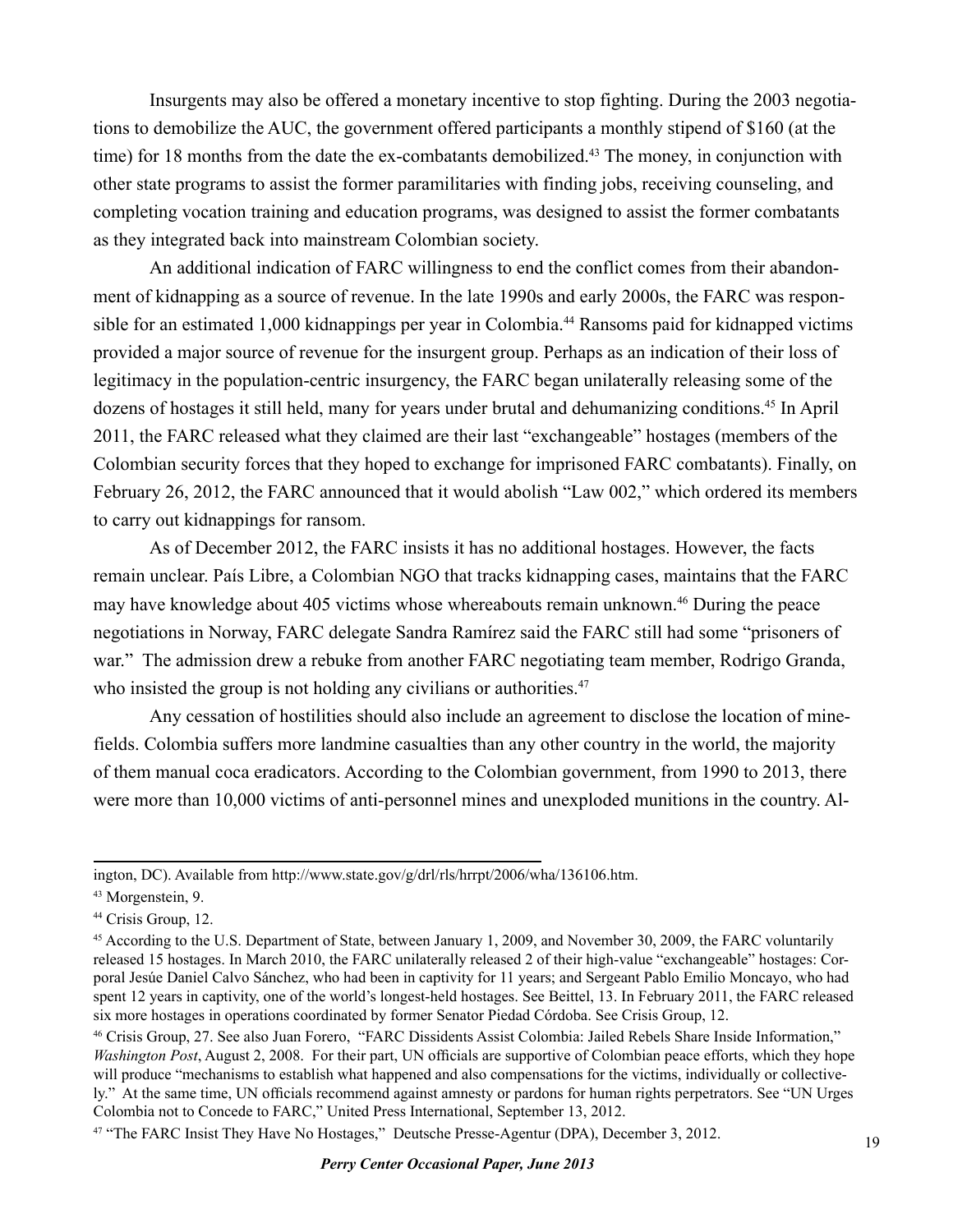Insurgents may also be offered a monetary incentive to stop fighting. During the 2003 negotiations to demobilize the AUC, the government offered participants a monthly stipend of \$160 (at the time) for 18 months from the date the ex-combatants demobilized.<sup>43</sup> The money, in conjunction with other state programs to assist the former paramilitaries with finding jobs, receiving counseling, and completing vocation training and education programs, was designed to assist the former combatants as they integrated back into mainstream Colombian society.

An additional indication of FARC willingness to end the conflict comes from their abandonment of kidnapping as a source of revenue. In the late 1990s and early 2000s, the FARC was responsible for an estimated 1,000 kidnappings per year in Colombia.<sup>44</sup> Ransoms paid for kidnapped victims provided a major source of revenue for the insurgent group. Perhaps as an indication of their loss of legitimacy in the population-centric insurgency, the FARC began unilaterally releasing some of the dozens of hostages it still held, many for years under brutal and dehumanizing conditions.45 In April 2011, the FARC released what they claimed are their last "exchangeable" hostages (members of the Colombian security forces that they hoped to exchange for imprisoned FARC combatants). Finally, on February 26, 2012, the FARC announced that it would abolish "Law 002," which ordered its members to carry out kidnappings for ransom.

As of December 2012, the FARC insists it has no additional hostages. However, the facts remain unclear. País Libre, a Colombian NGO that tracks kidnapping cases, maintains that the FARC may have knowledge about 405 victims whose whereabouts remain unknown.46 During the peace negotiations in Norway, FARC delegate Sandra Ramírez said the FARC still had some "prisoners of war." The admission drew a rebuke from another FARC negotiating team member, Rodrigo Granda, who insisted the group is not holding any civilians or authorities.<sup>47</sup>

Any cessation of hostilities should also include an agreement to disclose the location of minefields. Colombia suffers more landmine casualties than any other country in the world, the majority of them manual coca eradicators. According to the Colombian government, from 1990 to 2013, there were more than 10,000 victims of anti-personnel mines and unexploded munitions in the country. Al-

ington, DC). Available from http://www.state.gov/g/drl/rls/hrrpt/2006/wha/136106.htm.

<sup>43</sup> Morgenstein, 9.

<sup>44</sup> Crisis Group, 12.

<sup>&</sup>lt;sup>45</sup> According to the U.S. Department of State, between January 1, 2009, and November 30, 2009, the FARC voluntarily released 15 hostages. In March 2010, the FARC unilaterally released 2 of their high-value "exchangeable" hostages: Corporal Jesúe Daniel Calvo Sánchez, who had been in captivity for 11 years; and Sergeant Pablo Emilio Moncayo, who had spent 12 years in captivity, one of the world's longest-held hostages. See Beittel, 13. In February 2011, the FARC released six more hostages in operations coordinated by former Senator Piedad Córdoba. See Crisis Group, 12.

<sup>46</sup> Crisis Group, 27. See also Juan Forero, "FARC Dissidents Assist Colombia: Jailed Rebels Share Inside Information," *Washington Post*, August 2, 2008. For their part, UN officials are supportive of Colombian peace efforts, which they hope will produce "mechanisms to establish what happened and also compensations for the victims, individually or collectively." At the same time, UN officials recommend against amnesty or pardons for human rights perpetrators. See "UN Urges Colombia not to Concede to FARC," United Press International, September 13, 2012.

<sup>47 &</sup>quot;The FARC Insist They Have No Hostages," Deutsche Presse-Agentur (DPA), December 3, 2012.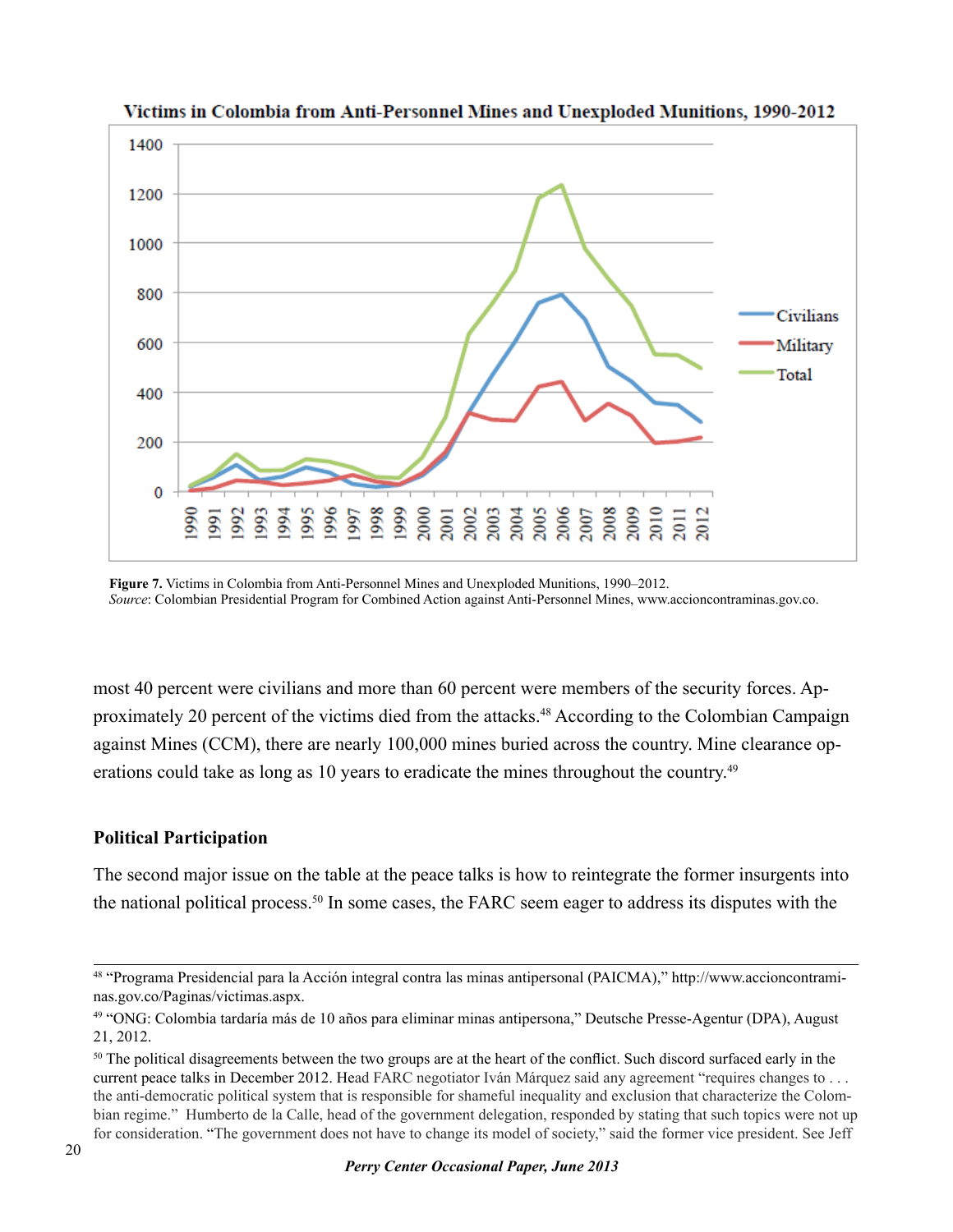

Victims in Colombia from Anti-Personnel Mines and Unexploded Munitions, 1990-2012

**Figure 7.** Victims in Colombia from Anti-Personnel Mines and Unexploded Munitions, 1990–2012. *Source*: Colombian Presidential Program for Combined Action against Anti-Personnel Mines, www.accioncontraminas.gov.co.

most 40 percent were civilians and more than 60 percent were members of the security forces. Approximately 20 percent of the victims died from the attacks.<sup>48</sup> According to the Colombian Campaign against Mines (CCM), there are nearly 100,000 mines buried across the country. Mine clearance operations could take as long as 10 years to eradicate the mines throughout the country.<sup>49</sup>

#### **Political Participation**

The second major issue on the table at the peace talks is how to reintegrate the former insurgents into the national political process.50 In some cases, the FARC seem eager to address its disputes with the

<sup>48 &</sup>quot;Programa Presidencial para la Acción integral contra las minas antipersonal (PAICMA)," http://www.accioncontraminas.gov.co/Paginas/victimas.aspx.

<sup>49 &</sup>quot;ONG: Colombia tardaría más de 10 años para eliminar minas antipersona," Deutsche Presse-Agentur (DPA), August 21, 2012.

<sup>&</sup>lt;sup>50</sup> The political disagreements between the two groups are at the heart of the conflict. Such discord surfaced early in the current peace talks in December 2012. Head FARC negotiator Iván Márquez said any agreement "requires changes to . . . the anti-democratic political system that is responsible for shameful inequality and exclusion that characterize the Colombian regime." Humberto de la Calle, head of the government delegation, responded by stating that such topics were not up for consideration. "The government does not have to change its model of society," said the former vice president. See Jeff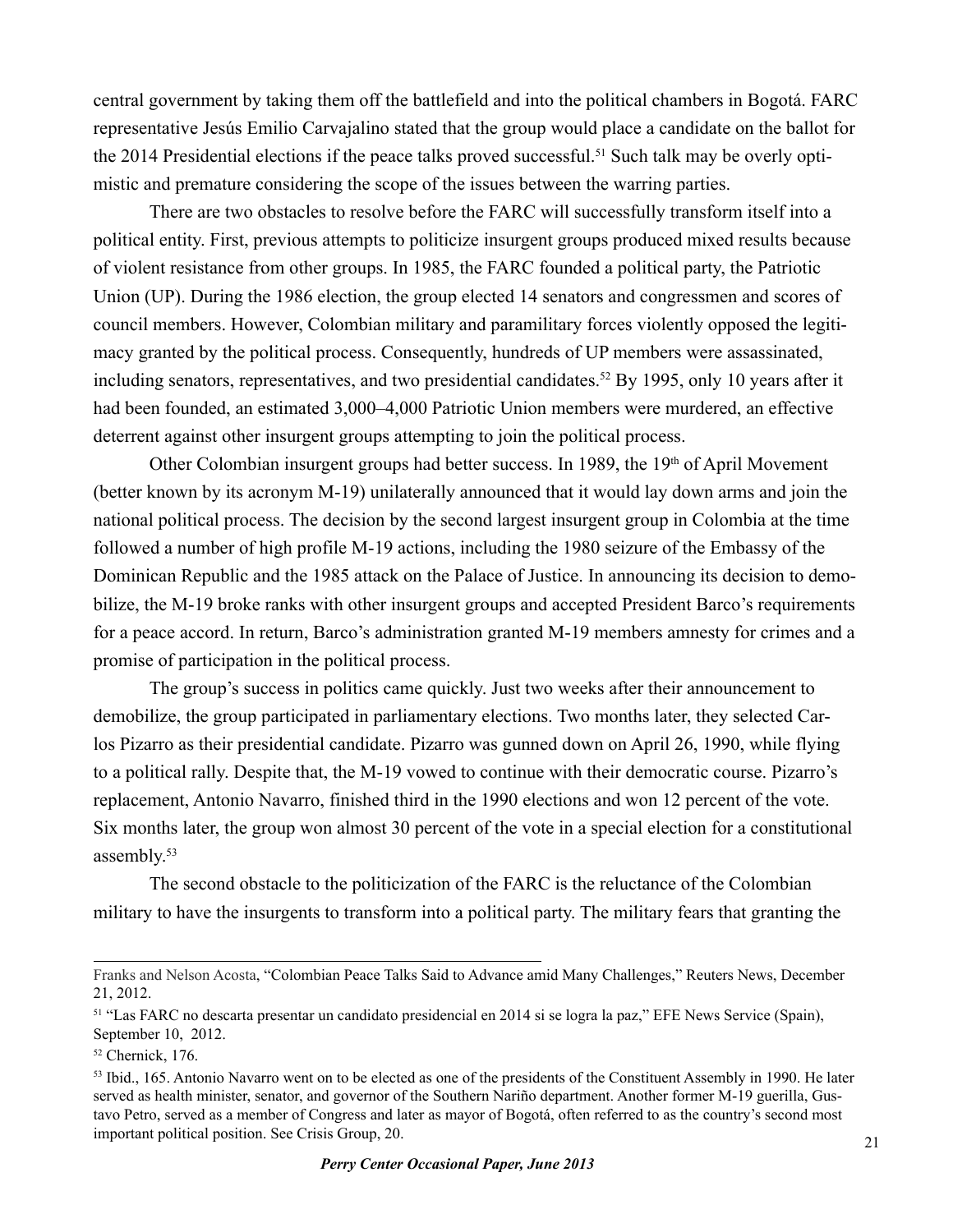central government by taking them off the battlefield and into the political chambers in Bogotá. FARC representative Jesús Emilio Carvajalino stated that the group would place a candidate on the ballot for the 2014 Presidential elections if the peace talks proved successful.<sup>51</sup> Such talk may be overly optimistic and premature considering the scope of the issues between the warring parties.

There are two obstacles to resolve before the FARC will successfully transform itself into a political entity. First, previous attempts to politicize insurgent groups produced mixed results because of violent resistance from other groups. In 1985, the FARC founded a political party, the Patriotic Union (UP). During the 1986 election, the group elected 14 senators and congressmen and scores of council members. However, Colombian military and paramilitary forces violently opposed the legitimacy granted by the political process. Consequently, hundreds of UP members were assassinated, including senators, representatives, and two presidential candidates.52 By 1995, only 10 years after it had been founded, an estimated 3,000–4,000 Patriotic Union members were murdered, an effective deterrent against other insurgent groups attempting to join the political process.

Other Colombian insurgent groups had better success. In 1989, the  $19<sup>th</sup>$  of April Movement (better known by its acronym M-19) unilaterally announced that it would lay down arms and join the national political process. The decision by the second largest insurgent group in Colombia at the time followed a number of high profile M-19 actions, including the 1980 seizure of the Embassy of the Dominican Republic and the 1985 attack on the Palace of Justice. In announcing its decision to demobilize, the M-19 broke ranks with other insurgent groups and accepted President Barco's requirements for a peace accord. In return, Barco's administration granted M-19 members amnesty for crimes and a promise of participation in the political process.

The group's success in politics came quickly. Just two weeks after their announcement to demobilize, the group participated in parliamentary elections. Two months later, they selected Carlos Pizarro as their presidential candidate. Pizarro was gunned down on April 26, 1990, while flying to a political rally. Despite that, the M-19 vowed to continue with their democratic course. Pizarro's replacement, Antonio Navarro, finished third in the 1990 elections and won 12 percent of the vote. Six months later, the group won almost 30 percent of the vote in a special election for a constitutional assembly.<sup>53</sup>

The second obstacle to the politicization of the FARC is the reluctance of the Colombian military to have the insurgents to transform into a political party. The military fears that granting the

Franks and Nelson Acosta, "Colombian Peace Talks Said to Advance amid Many Challenges," Reuters News, December 21, 2012.

<sup>51 &</sup>quot;Las FARC no descarta presentar un candidato presidencial en 2014 si se logra la paz," EFE News Service (Spain), September 10, 2012.

<sup>52</sup> Chernick, 176.

<sup>&</sup>lt;sup>53</sup> Ibid., 165. Antonio Navarro went on to be elected as one of the presidents of the Constituent Assembly in 1990. He later served as health minister, senator, and governor of the Southern Nariño department. Another former M-19 guerilla, Gustavo Petro, served as a member of Congress and later as mayor of Bogotá, often referred to as the country's second most important political position. See Crisis Group, 20.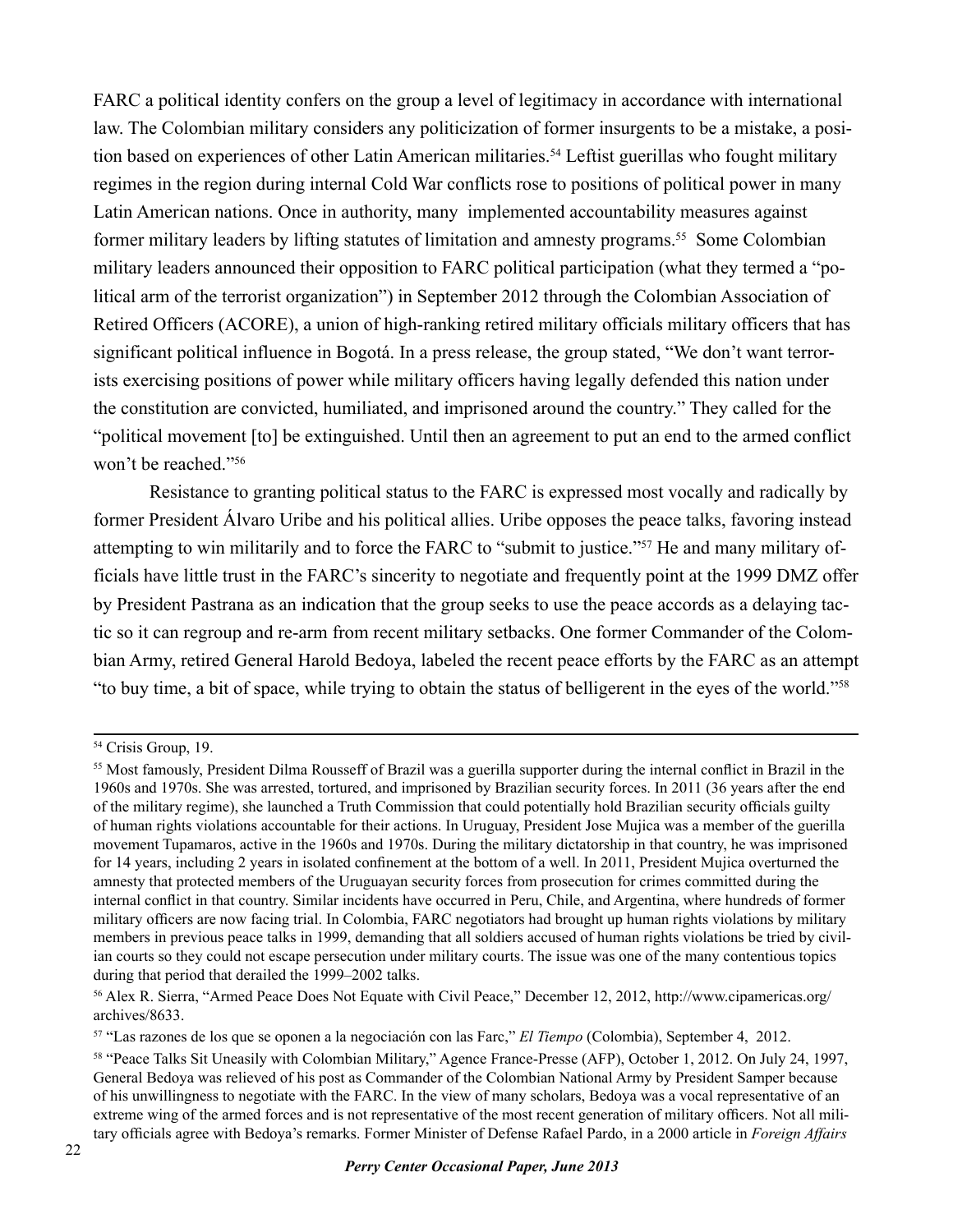FARC a political identity confers on the group a level of legitimacy in accordance with international law. The Colombian military considers any politicization of former insurgents to be a mistake, a position based on experiences of other Latin American militaries.<sup>54</sup> Leftist guerillas who fought military regimes in the region during internal Cold War conflicts rose to positions of political power in many Latin American nations. Once in authority, many implemented accountability measures against former military leaders by lifting statutes of limitation and amnesty programs.<sup>55</sup> Some Colombian military leaders announced their opposition to FARC political participation (what they termed a "political arm of the terrorist organization") in September 2012 through the Colombian Association of Retired Officers (ACORE), a union of high-ranking retired military officials military officers that has significant political influence in Bogotá. In a press release, the group stated, "We don't want terrorists exercising positions of power while military officers having legally defended this nation under the constitution are convicted, humiliated, and imprisoned around the country." They called for the "political movement [to] be extinguished. Until then an agreement to put an end to the armed conflict won't be reached."56

Resistance to granting political status to the FARC is expressed most vocally and radically by former President Álvaro Uribe and his political allies. Uribe opposes the peace talks, favoring instead attempting to win militarily and to force the FARC to "submit to justice."57 He and many military officials have little trust in the FARC's sincerity to negotiate and frequently point at the 1999 DMZ offer by President Pastrana as an indication that the group seeks to use the peace accords as a delaying tactic so it can regroup and re-arm from recent military setbacks. One former Commander of the Colombian Army, retired General Harold Bedoya, labeled the recent peace efforts by the FARC as an attempt "to buy time, a bit of space, while trying to obtain the status of belligerent in the eyes of the world."58

<sup>54</sup> Crisis Group, 19.

<sup>&</sup>lt;sup>55</sup> Most famously, President Dilma Rousseff of Brazil was a guerilla supporter during the internal conflict in Brazil in the 1960s and 1970s. She was arrested, tortured, and imprisoned by Brazilian security forces. In 2011 (36 years after the end of the military regime), she launched a Truth Commission that could potentially hold Brazilian security officials guilty of human rights violations accountable for their actions. In Uruguay, President Jose Mujica was a member of the guerilla movement Tupamaros, active in the 1960s and 1970s. During the military dictatorship in that country, he was imprisoned for 14 years, including 2 years in isolated confinement at the bottom of a well. In 2011, President Mujica overturned the amnesty that protected members of the Uruguayan security forces from prosecution for crimes committed during the internal conflict in that country. Similar incidents have occurred in Peru, Chile, and Argentina, where hundreds of former military officers are now facing trial. In Colombia, FARC negotiators had brought up human rights violations by military members in previous peace talks in 1999, demanding that all soldiers accused of human rights violations be tried by civilian courts so they could not escape persecution under military courts. The issue was one of the many contentious topics during that period that derailed the 1999–2002 talks.

<sup>56</sup> Alex R. Sierra, "Armed Peace Does Not Equate with Civil Peace," December 12, 2012, http://www.cipamericas.org/ archives/8633.

<sup>57 &</sup>quot;Las razones de los que se oponen a la negociación con las Farc," *El Tiempo* (Colombia), September 4, 2012.

<sup>58 &</sup>quot;Peace Talks Sit Uneasily with Colombian Military," Agence France-Presse (AFP), October 1, 2012. On July 24, 1997, General Bedoya was relieved of his post as Commander of the Colombian National Army by President Samper because of his unwillingness to negotiate with the FARC. In the view of many scholars, Bedoya was a vocal representative of an extreme wing of the armed forces and is not representative of the most recent generation of military officers. Not all military officials agree with Bedoya's remarks. Former Minister of Defense Rafael Pardo, in a 2000 article in *Foreign Affairs*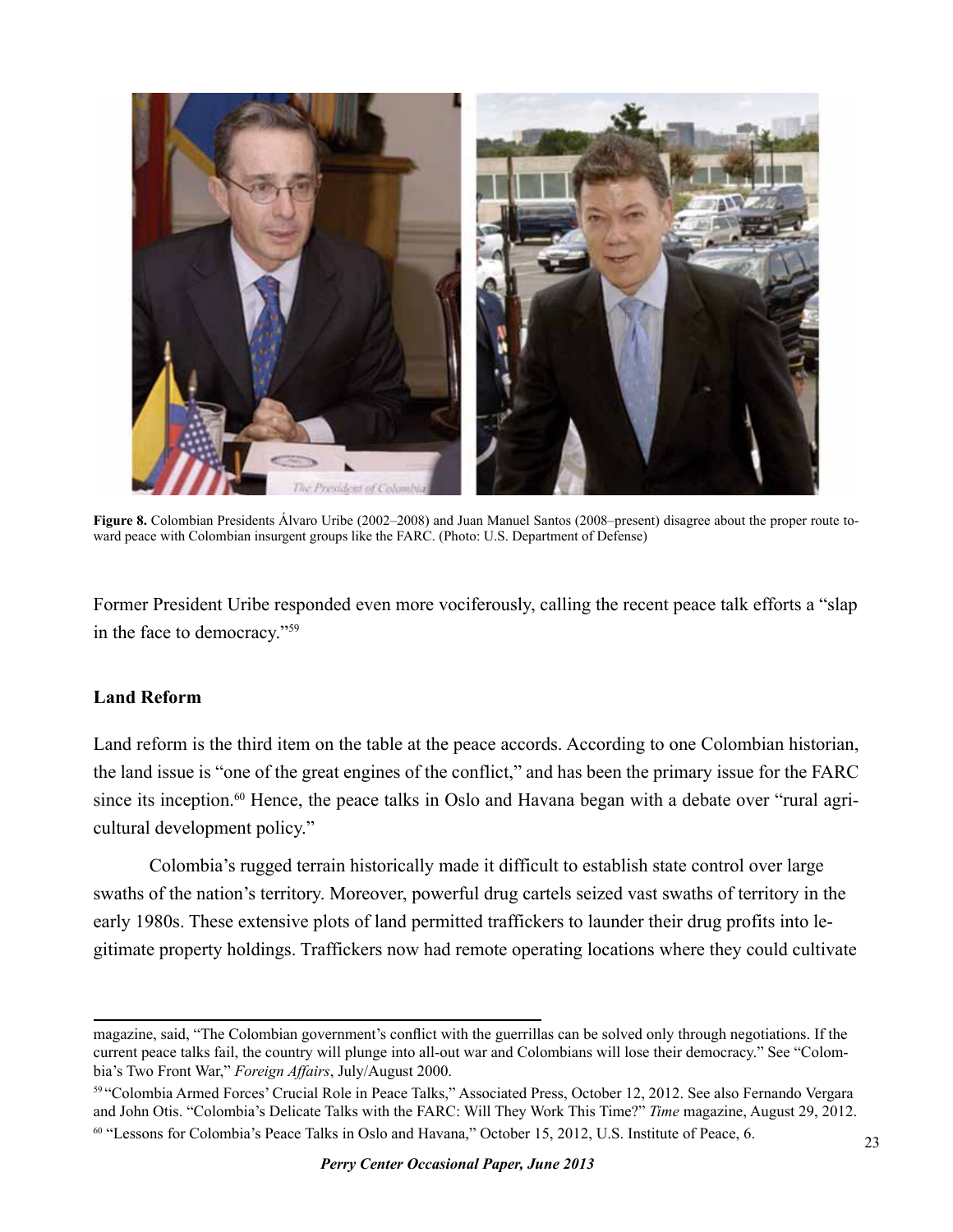

**Figure 8.** Colombian Presidents Álvaro Uribe (2002–2008) and Juan Manuel Santos (2008–present) disagree about the proper route toward peace with Colombian insurgent groups like the FARC. (Photo: U.S. Department of Defense)

Former President Uribe responded even more vociferously, calling the recent peace talk efforts a "slap in the face to democracy."59

#### **Land Reform**

Land reform is the third item on the table at the peace accords. According to one Colombian historian, the land issue is "one of the great engines of the conflict," and has been the primary issue for the FARC since its inception.<sup>60</sup> Hence, the peace talks in Oslo and Havana began with a debate over "rural agricultural development policy."

Colombia's rugged terrain historically made it difficult to establish state control over large swaths of the nation's territory. Moreover, powerful drug cartels seized vast swaths of territory in the early 1980s. These extensive plots of land permitted traffickers to launder their drug profits into legitimate property holdings. Traffickers now had remote operating locations where they could cultivate

magazine, said, "The Colombian government's conflict with the guerrillas can be solved only through negotiations. If the current peace talks fail, the country will plunge into all-out war and Colombians will lose their democracy." See "Colombia's Two Front War," *Foreign Affairs*, July/August 2000.

<sup>59 &</sup>quot;Colombia Armed Forces' Crucial Role in Peace Talks," Associated Press, October 12, 2012. See also Fernando Vergara and John Otis. "Colombia's Delicate Talks with the FARC: Will They Work This Time?" *Time* magazine, August 29, 2012. <sup>60</sup> "Lessons for Colombia's Peace Talks in Oslo and Havana," October 15, 2012, U.S. Institute of Peace, 6.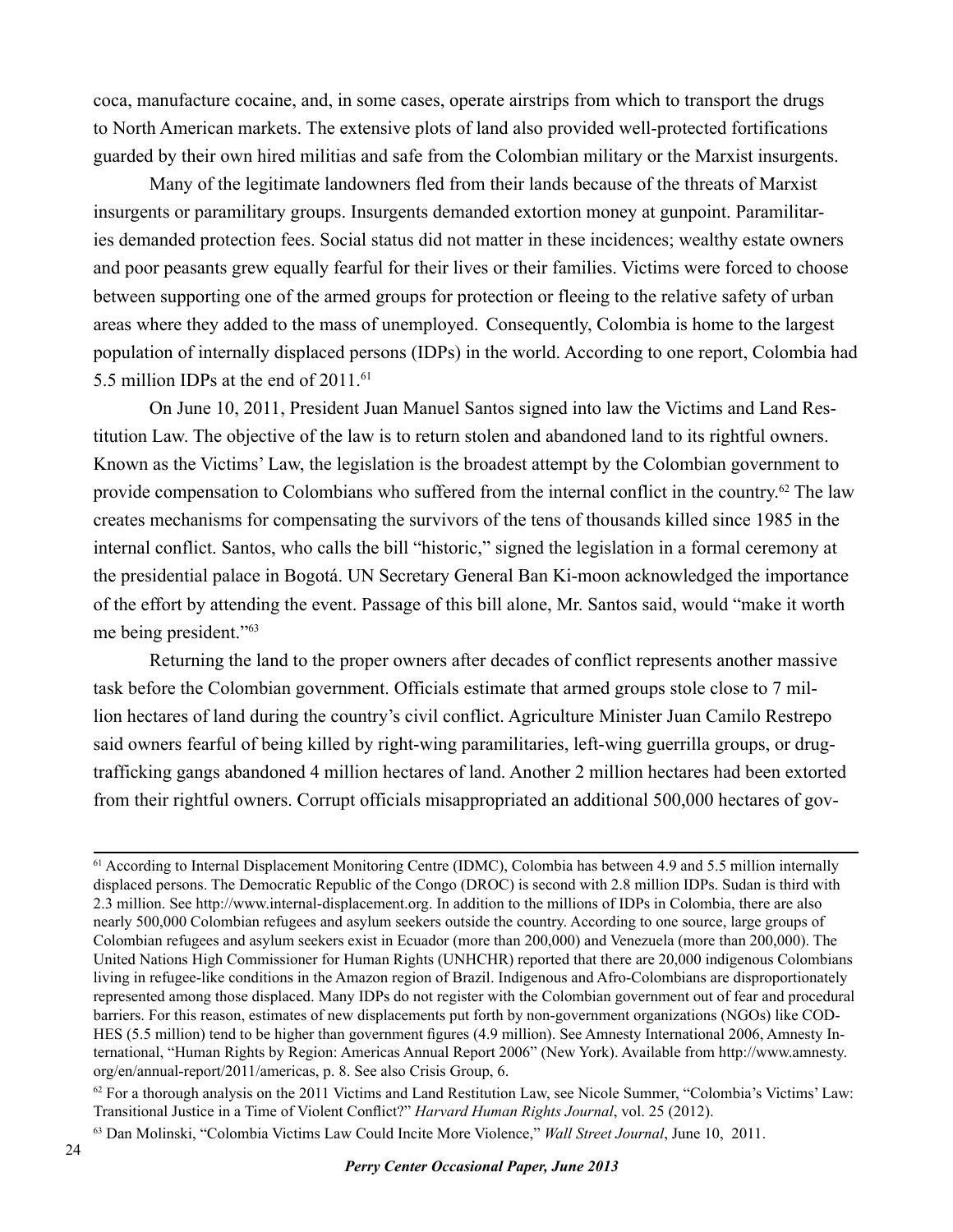coca, manufacture cocaine, and, in some cases, operate airstrips from which to transport the drugs to North American markets. The extensive plots of land also provided well-protected fortifications guarded by their own hired militias and safe from the Colombian military or the Marxist insurgents.

Many of the legitimate landowners fled from their lands because of the threats of Marxist insurgents or paramilitary groups. Insurgents demanded extortion money at gunpoint. Paramilitaries demanded protection fees. Social status did not matter in these incidences; wealthy estate owners and poor peasants grew equally fearful for their lives or their families. Victims were forced to choose between supporting one of the armed groups for protection or fleeing to the relative safety of urban areas where they added to the mass of unemployed. Consequently, Colombia is home to the largest population of internally displaced persons (IDPs) in the world. According to one report, Colombia had 5.5 million IDPs at the end of 2011.<sup>61</sup>

On June 10, 2011, President Juan Manuel Santos signed into law the Victims and Land Restitution Law. The objective of the law is to return stolen and abandoned land to its rightful owners. Known as the Victims' Law, the legislation is the broadest attempt by the Colombian government to provide compensation to Colombians who suffered from the internal conflict in the country.62 The law creates mechanisms for compensating the survivors of the tens of thousands killed since 1985 in the internal conflict. Santos, who calls the bill "historic," signed the legislation in a formal ceremony at the presidential palace in Bogotá. UN Secretary General Ban Ki-moon acknowledged the importance of the effort by attending the event. Passage of this bill alone, Mr. Santos said, would "make it worth me being president."63

Returning the land to the proper owners after decades of conflict represents another massive task before the Colombian government. Officials estimate that armed groups stole close to 7 million hectares of land during the country's civil conflict. Agriculture Minister Juan Camilo Restrepo said owners fearful of being killed by right-wing paramilitaries, left-wing guerrilla groups, or drugtrafficking gangs abandoned 4 million hectares of land. Another 2 million hectares had been extorted from their rightful owners. Corrupt officials misappropriated an additional 500,000 hectares of gov-

<sup>&</sup>lt;sup>61</sup> According to Internal Displacement Monitoring Centre (IDMC), Colombia has between 4.9 and 5.5 million internally displaced persons. The Democratic Republic of the Congo (DROC) is second with 2.8 million IDPs. Sudan is third with 2.3 million. See http://www.internal-displacement.org. In addition to the millions of IDPs in Colombia, there are also nearly 500,000 Colombian refugees and asylum seekers outside the country. According to one source, large groups of Colombian refugees and asylum seekers exist in Ecuador (more than 200,000) and Venezuela (more than 200,000). The United Nations High Commissioner for Human Rights (UNHCHR) reported that there are 20,000 indigenous Colombians living in refugee-like conditions in the Amazon region of Brazil. Indigenous and Afro-Colombians are disproportionately represented among those displaced. Many IDPs do not register with the Colombian government out of fear and procedural barriers. For this reason, estimates of new displacements put forth by non-government organizations (NGOs) like COD-HES (5.5 million) tend to be higher than government figures (4.9 million). See Amnesty International 2006, Amnesty International, "Human Rights by Region: Americas Annual Report 2006" (New York). Available from http://www.amnesty. org/en/annual-report/2011/americas, p. 8. See also Crisis Group, 6.

 $62$  For a thorough analysis on the 2011 Victims and Land Restitution Law, see Nicole Summer, "Colombia's Victims' Law: Transitional Justice in a Time of Violent Conflict?" *Harvard Human Rights Journal*, vol. 25 (2012).

<sup>63</sup> Dan Molinski, "Colombia Victims Law Could Incite More Violence," *Wall Street Journal*, June 10, 2011.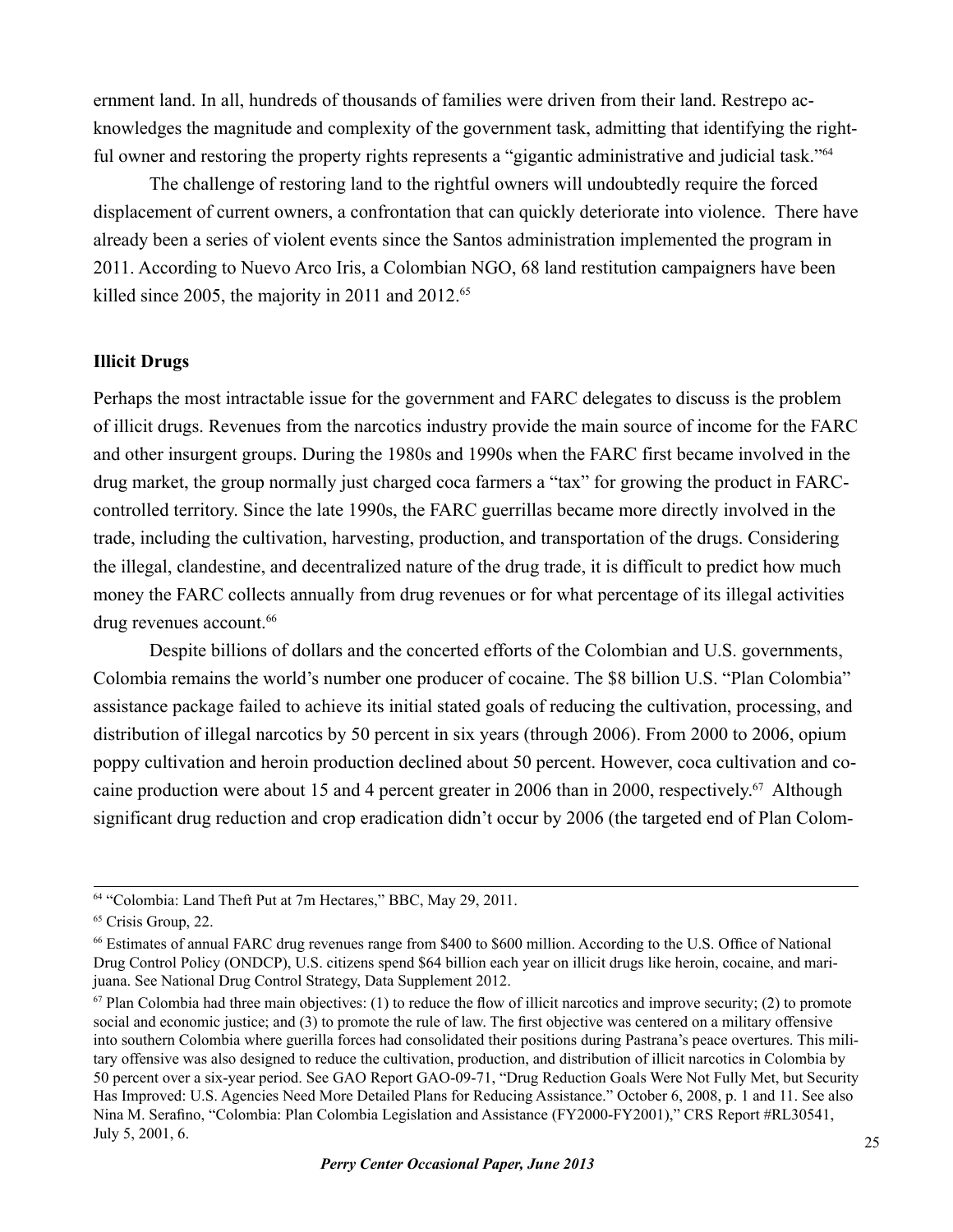ernment land. In all, hundreds of thousands of families were driven from their land. Restrepo acknowledges the magnitude and complexity of the government task, admitting that identifying the rightful owner and restoring the property rights represents a "gigantic administrative and judicial task."<sup>64</sup>

The challenge of restoring land to the rightful owners will undoubtedly require the forced displacement of current owners, a confrontation that can quickly deteriorate into violence. There have already been a series of violent events since the Santos administration implemented the program in 2011. According to Nuevo Arco Iris, a Colombian NGO, 68 land restitution campaigners have been killed since 2005, the majority in 2011 and 2012.<sup>65</sup>

#### **Illicit Drugs**

Perhaps the most intractable issue for the government and FARC delegates to discuss is the problem of illicit drugs. Revenues from the narcotics industry provide the main source of income for the FARC and other insurgent groups. During the 1980s and 1990s when the FARC first became involved in the drug market, the group normally just charged coca farmers a "tax" for growing the product in FARCcontrolled territory. Since the late 1990s, the FARC guerrillas became more directly involved in the trade, including the cultivation, harvesting, production, and transportation of the drugs. Considering the illegal, clandestine, and decentralized nature of the drug trade, it is difficult to predict how much money the FARC collects annually from drug revenues or for what percentage of its illegal activities drug revenues account.<sup>66</sup>

Despite billions of dollars and the concerted efforts of the Colombian and U.S. governments, Colombia remains the world's number one producer of cocaine. The \$8 billion U.S. "Plan Colombia" assistance package failed to achieve its initial stated goals of reducing the cultivation, processing, and distribution of illegal narcotics by 50 percent in six years (through 2006). From 2000 to 2006, opium poppy cultivation and heroin production declined about 50 percent. However, coca cultivation and cocaine production were about 15 and 4 percent greater in 2006 than in 2000, respectively. <sup>67</sup> Although significant drug reduction and crop eradication didn't occur by 2006 (the targeted end of Plan Colom-

<sup>64 &</sup>quot;Colombia: Land Theft Put at 7m Hectares," BBC, May 29, 2011.

<sup>&</sup>lt;sup>65</sup> Crisis Group, 22.

<sup>66</sup> Estimates of annual FARC drug revenues range from \$400 to \$600 million. According to the U.S. Office of National Drug Control Policy (ONDCP), U.S. citizens spend \$64 billion each year on illicit drugs like heroin, cocaine, and marijuana. See National Drug Control Strategy, Data Supplement 2012.

 $67$  Plan Colombia had three main objectives: (1) to reduce the flow of illicit narcotics and improve security; (2) to promote social and economic justice; and (3) to promote the rule of law. The first objective was centered on a military offensive into southern Colombia where guerilla forces had consolidated their positions during Pastrana's peace overtures. This military offensive was also designed to reduce the cultivation, production, and distribution of illicit narcotics in Colombia by 50 percent over a six-year period. See GAO Report GAO-09-71, "Drug Reduction Goals Were Not Fully Met, but Security Has Improved: U.S. Agencies Need More Detailed Plans for Reducing Assistance." October 6, 2008, p. 1 and 11. See also Nina M. Serafino, "Colombia: Plan Colombia Legislation and Assistance (FY2000-FY2001)," CRS Report #RL30541, July 5, 2001, 6.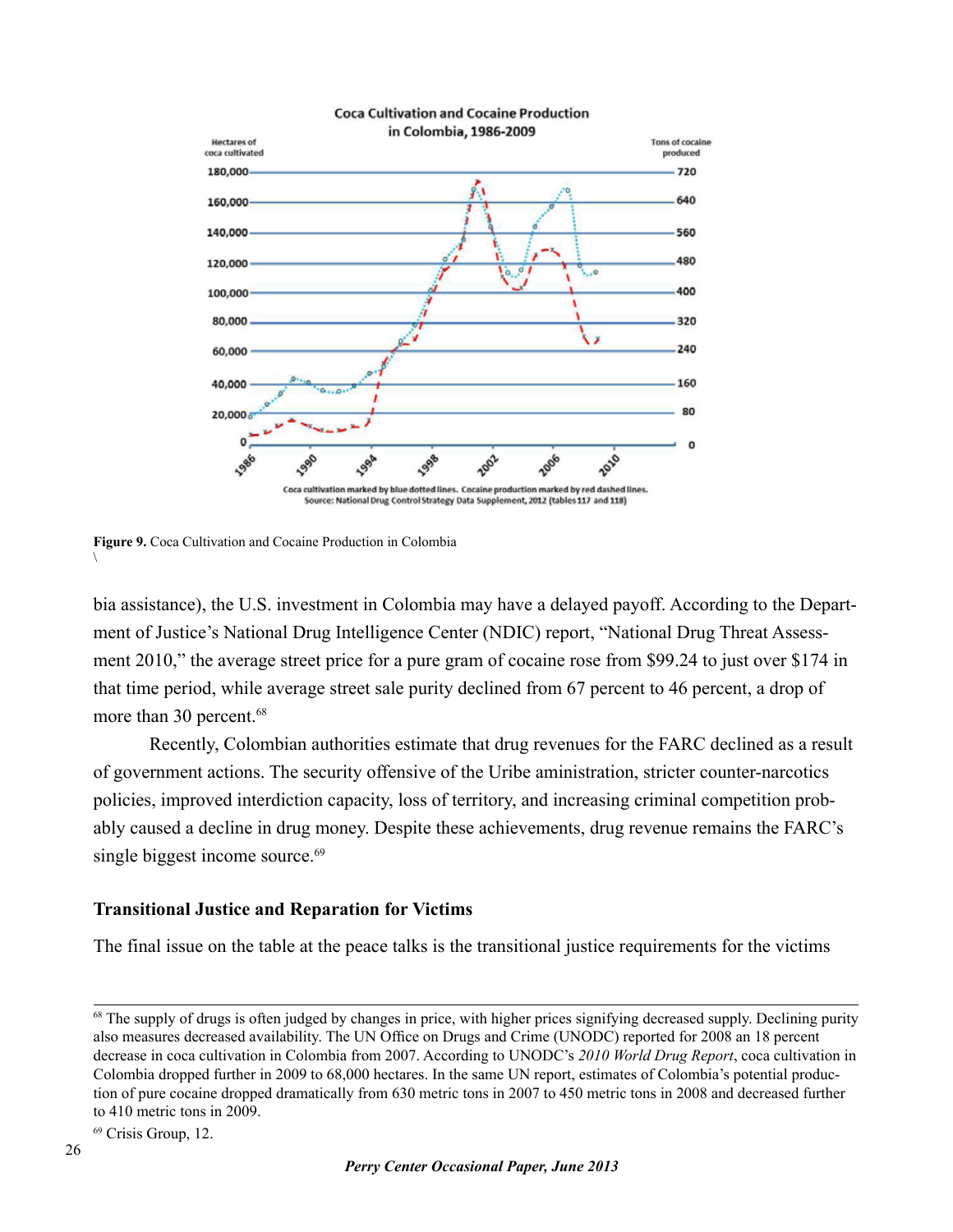

#### **Coca Cultivation and Cocaine Production**

**Figure 9.** Coca Cultivation and Cocaine Production in Colombia

bia assistance), the U.S. investment in Colombia may have a delayed payoff. According to the Department of Justice's National Drug Intelligence Center (NDIC) report, "National Drug Threat Assessment 2010," the average street price for a pure gram of cocaine rose from \$99.24 to just over \$174 in that time period, while average street sale purity declined from 67 percent to 46 percent, a drop of more than 30 percent.<sup>68</sup>

Recently, Colombian authorities estimate that drug revenues for the FARC declined as a result of government actions. The security offensive of the Uribe aministration, stricter counter-narcotics policies, improved interdiction capacity, loss of territory, and increasing criminal competition probably caused a decline in drug money. Despite these achievements, drug revenue remains the FARC's single biggest income source.<sup>69</sup>

#### **Transitional Justice and Reparation for Victims**

The final issue on the table at the peace talks is the transitional justice requirements for the victims

<sup>69</sup> Crisis Group, 12.

 $\setminus$ 

<sup>&</sup>lt;sup>68</sup> The supply of drugs is often judged by changes in price, with higher prices signifying decreased supply. Declining purity also measures decreased availability. The UN Office on Drugs and Crime (UNODC) reported for 2008 an 18 percent decrease in coca cultivation in Colombia from 2007. According to UNODC's *2010 World Drug Report*, coca cultivation in Colombia dropped further in 2009 to 68,000 hectares. In the same UN report, estimates of Colombia's potential production of pure cocaine dropped dramatically from 630 metric tons in 2007 to 450 metric tons in 2008 and decreased further to 410 metric tons in 2009.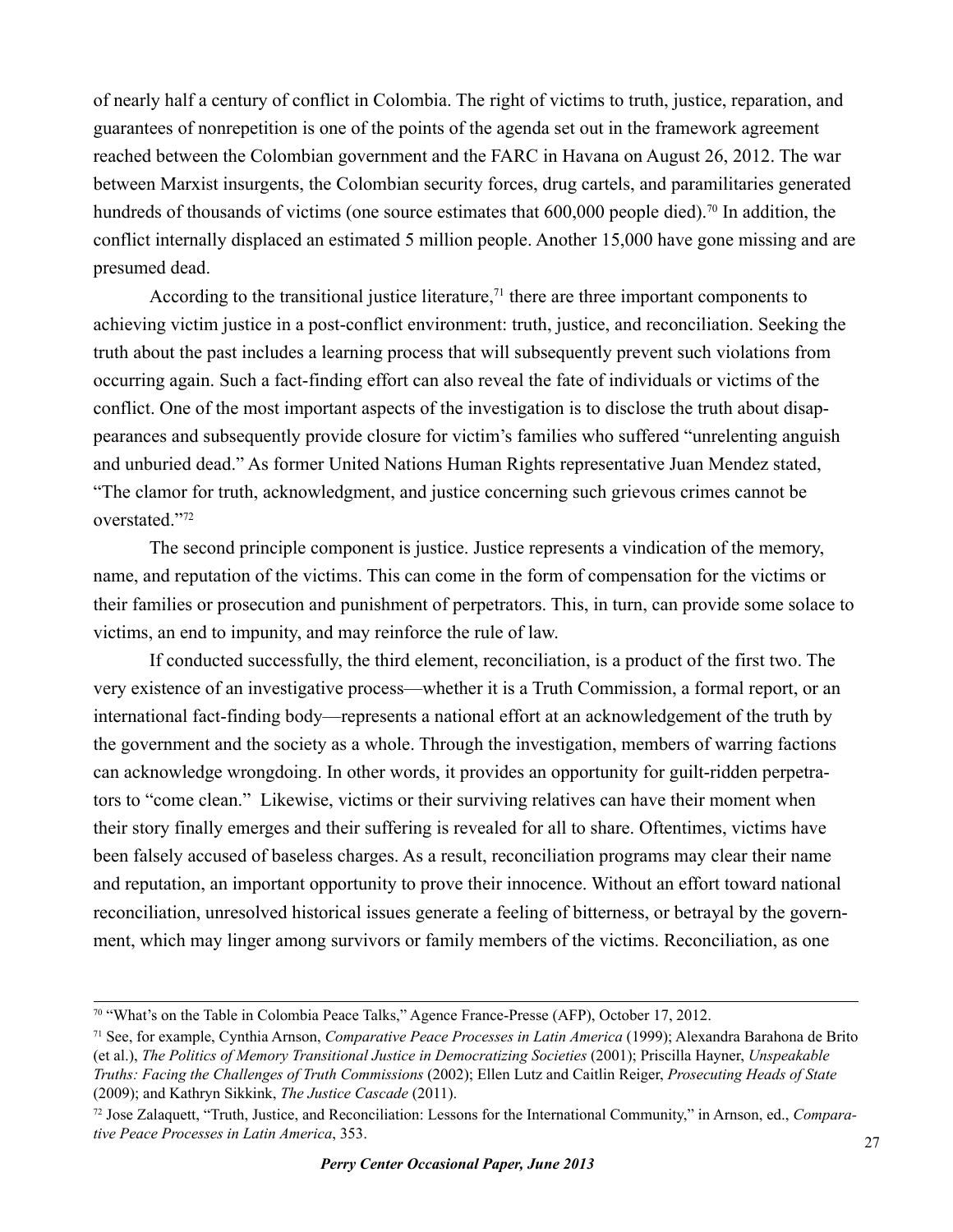of nearly half a century of conflict in Colombia. The right of victims to truth, justice, reparation, and guarantees of nonrepetition is one of the points of the agenda set out in the framework agreement reached between the Colombian government and the FARC in Havana on August 26, 2012. The war between Marxist insurgents, the Colombian security forces, drug cartels, and paramilitaries generated hundreds of thousands of victims (one source estimates that 600,000 people died).<sup>70</sup> In addition, the conflict internally displaced an estimated 5 million people. Another 15,000 have gone missing and are presumed dead.

According to the transitional justice literature,<sup>71</sup> there are three important components to achieving victim justice in a post-conflict environment: truth, justice, and reconciliation. Seeking the truth about the past includes a learning process that will subsequently prevent such violations from occurring again. Such a fact-finding effort can also reveal the fate of individuals or victims of the conflict. One of the most important aspects of the investigation is to disclose the truth about disappearances and subsequently provide closure for victim's families who suffered "unrelenting anguish and unburied dead." As former United Nations Human Rights representative Juan Mendez stated, "The clamor for truth, acknowledgment, and justice concerning such grievous crimes cannot be overstated."72

The second principle component is justice. Justice represents a vindication of the memory, name, and reputation of the victims. This can come in the form of compensation for the victims or their families or prosecution and punishment of perpetrators. This, in turn, can provide some solace to victims, an end to impunity, and may reinforce the rule of law.

If conducted successfully, the third element, reconciliation, is a product of the first two. The very existence of an investigative process—whether it is a Truth Commission, a formal report, or an international fact-finding body—represents a national effort at an acknowledgement of the truth by the government and the society as a whole. Through the investigation, members of warring factions can acknowledge wrongdoing. In other words, it provides an opportunity for guilt-ridden perpetrators to "come clean." Likewise, victims or their surviving relatives can have their moment when their story finally emerges and their suffering is revealed for all to share. Oftentimes, victims have been falsely accused of baseless charges. As a result, reconciliation programs may clear their name and reputation, an important opportunity to prove their innocence. Without an effort toward national reconciliation, unresolved historical issues generate a feeling of bitterness, or betrayal by the government, which may linger among survivors or family members of the victims. Reconciliation, as one

<sup>70 &</sup>quot;What's on the Table in Colombia Peace Talks," Agence France-Presse (AFP), October 17, 2012.

<sup>71</sup> See, for example, Cynthia Arnson, *Comparative Peace Processes in Latin America* (1999); Alexandra Barahona de Brito (et al.), *The Politics of Memory Transitional Justice in Democratizing Societies* (2001); Priscilla Hayner, *Unspeakable Truths: Facing the Challenges of Truth Commissions* (2002); Ellen Lutz and Caitlin Reiger, *Prosecuting Heads of State* (2009); and Kathryn Sikkink, *The Justice Cascade* (2011).

<sup>72</sup> Jose Zalaquett, "Truth, Justice, and Reconciliation: Lessons for the International Community," in Arnson, ed., *Comparative Peace Processes in Latin America*, 353.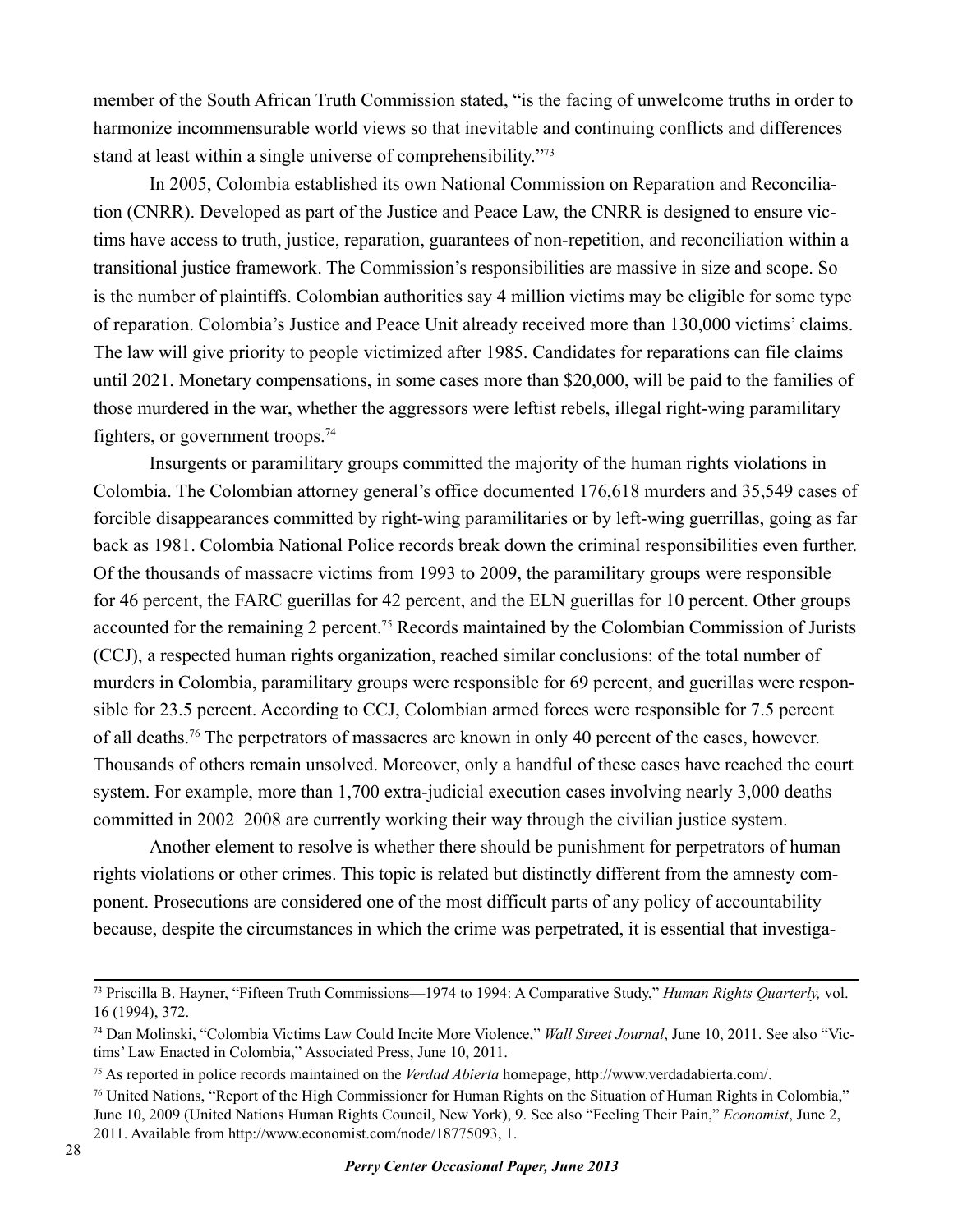member of the South African Truth Commission stated, "is the facing of unwelcome truths in order to harmonize incommensurable world views so that inevitable and continuing conflicts and differences stand at least within a single universe of comprehensibility."73

In 2005, Colombia established its own National Commission on Reparation and Reconciliation (CNRR). Developed as part of the Justice and Peace Law, the CNRR is designed to ensure victims have access to truth, justice, reparation, guarantees of non-repetition, and reconciliation within a transitional justice framework. The Commission's responsibilities are massive in size and scope. So is the number of plaintiffs. Colombian authorities say 4 million victims may be eligible for some type of reparation. Colombia's Justice and Peace Unit already received more than 130,000 victims' claims. The law will give priority to people victimized after 1985. Candidates for reparations can file claims until 2021. Monetary compensations, in some cases more than \$20,000, will be paid to the families of those murdered in the war, whether the aggressors were leftist rebels, illegal right-wing paramilitary fighters, or government troops.74

Insurgents or paramilitary groups committed the majority of the human rights violations in Colombia. The Colombian attorney general's office documented 176,618 murders and 35,549 cases of forcible disappearances committed by right-wing paramilitaries or by left-wing guerrillas, going as far back as 1981. Colombia National Police records break down the criminal responsibilities even further. Of the thousands of massacre victims from 1993 to 2009, the paramilitary groups were responsible for 46 percent, the FARC guerillas for 42 percent, and the ELN guerillas for 10 percent. Other groups accounted for the remaining 2 percent.75 Records maintained by the Colombian Commission of Jurists (CCJ), a respected human rights organization, reached similar conclusions: of the total number of murders in Colombia, paramilitary groups were responsible for 69 percent, and guerillas were responsible for 23.5 percent. According to CCJ, Colombian armed forces were responsible for 7.5 percent of all deaths.76 The perpetrators of massacres are known in only 40 percent of the cases, however. Thousands of others remain unsolved. Moreover, only a handful of these cases have reached the court system. For example, more than 1,700 extra-judicial execution cases involving nearly 3,000 deaths committed in 2002–2008 are currently working their way through the civilian justice system.

Another element to resolve is whether there should be punishment for perpetrators of human rights violations or other crimes. This topic is related but distinctly different from the amnesty component. Prosecutions are considered one of the most difficult parts of any policy of accountability because, despite the circumstances in which the crime was perpetrated, it is essential that investiga-

<sup>73</sup> Priscilla B. Hayner, "Fifteen Truth Commissions—1974 to 1994: A Comparative Study," *Human Rights Quarterly,* vol. 16 (1994), 372.

<sup>74</sup> Dan Molinski, "Colombia Victims Law Could Incite More Violence," *Wall Street Journal*, June 10, 2011. See also "Victims' Law Enacted in Colombia," Associated Press, June 10, 2011.

<sup>75</sup> As reported in police records maintained on the *Verdad Abierta* homepage, http://www.verdadabierta.com/.

<sup>76</sup> United Nations, "Report of the High Commissioner for Human Rights on the Situation of Human Rights in Colombia," June 10, 2009 (United Nations Human Rights Council, New York), 9. See also "Feeling Their Pain," *Economist*, June 2, 2011. Available from http://www.economist.com/node/18775093, 1.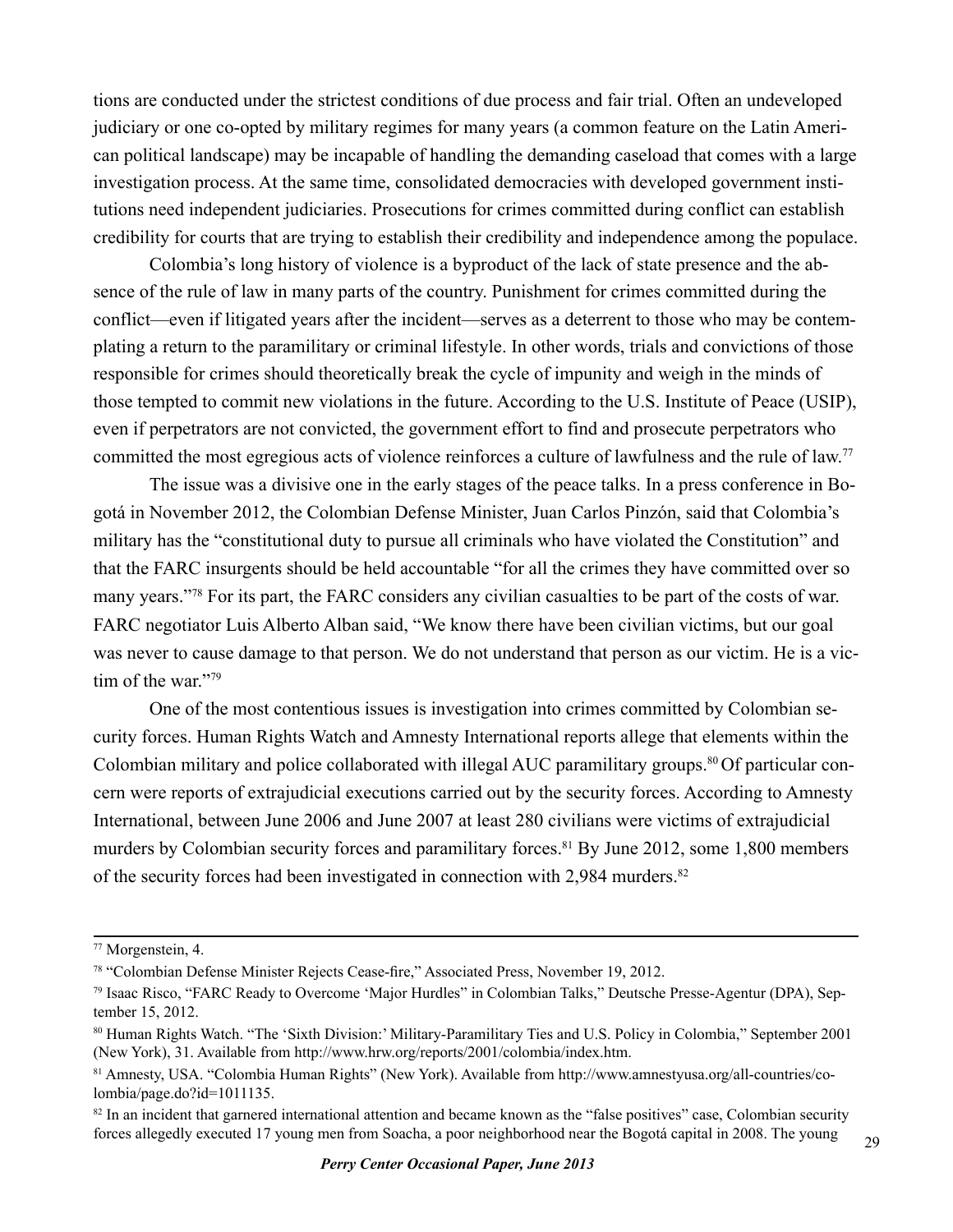tions are conducted under the strictest conditions of due process and fair trial. Often an undeveloped judiciary or one co-opted by military regimes for many years (a common feature on the Latin American political landscape) may be incapable of handling the demanding caseload that comes with a large investigation process. At the same time, consolidated democracies with developed government institutions need independent judiciaries. Prosecutions for crimes committed during conflict can establish credibility for courts that are trying to establish their credibility and independence among the populace.

Colombia's long history of violence is a byproduct of the lack of state presence and the absence of the rule of law in many parts of the country. Punishment for crimes committed during the conflict—even if litigated years after the incident—serves as a deterrent to those who may be contemplating a return to the paramilitary or criminal lifestyle. In other words, trials and convictions of those responsible for crimes should theoretically break the cycle of impunity and weigh in the minds of those tempted to commit new violations in the future. According to the U.S. Institute of Peace (USIP), even if perpetrators are not convicted, the government effort to find and prosecute perpetrators who committed the most egregious acts of violence reinforces a culture of lawfulness and the rule of law. 77

The issue was a divisive one in the early stages of the peace talks. In a press conference in Bogotá in November 2012, the Colombian Defense Minister, Juan Carlos Pinzón, said that Colombia's military has the "constitutional duty to pursue all criminals who have violated the Constitution" and that the FARC insurgents should be held accountable "for all the crimes they have committed over so many years."78 For its part, the FARC considers any civilian casualties to be part of the costs of war. FARC negotiator Luis Alberto Alban said, "We know there have been civilian victims, but our goal was never to cause damage to that person. We do not understand that person as our victim. He is a victim of the war."79

One of the most contentious issues is investigation into crimes committed by Colombian security forces. Human Rights Watch and Amnesty International reports allege that elements within the Colombian military and police collaborated with illegal AUC paramilitary groups.<sup>80</sup> Of particular concern were reports of extrajudicial executions carried out by the security forces. According to Amnesty International, between June 2006 and June 2007 at least 280 civilians were victims of extrajudicial murders by Colombian security forces and paramilitary forces.<sup>81</sup> By June 2012, some 1,800 members of the security forces had been investigated in connection with 2,984 murders.<sup>82</sup>

<sup>77</sup> Morgenstein, 4.

<sup>78 &</sup>quot;Colombian Defense Minister Rejects Cease-fire," Associated Press, November 19, 2012.

<sup>79</sup> Isaac Risco, "FARC Ready to Overcome 'Major Hurdles" in Colombian Talks," Deutsche Presse-Agentur (DPA), September 15, 2012.

<sup>80</sup> Human Rights Watch. "The 'Sixth Division:' Military-Paramilitary Ties and U.S. Policy in Colombia," September 2001 (New York), 31. Available from http://www.hrw.org/reports/2001/colombia/index.htm.

<sup>81</sup> Amnesty, USA. "Colombia Human Rights" (New York). Available from http://www.amnestyusa.org/all-countries/colombia/page.do?id=1011135.

<sup>&</sup>lt;sup>82</sup> In an incident that garnered international attention and became known as the "false positives" case, Colombian security forces allegedly executed 17 young men from Soacha, a poor neighborhood near the Bogotá capital in 2008. The young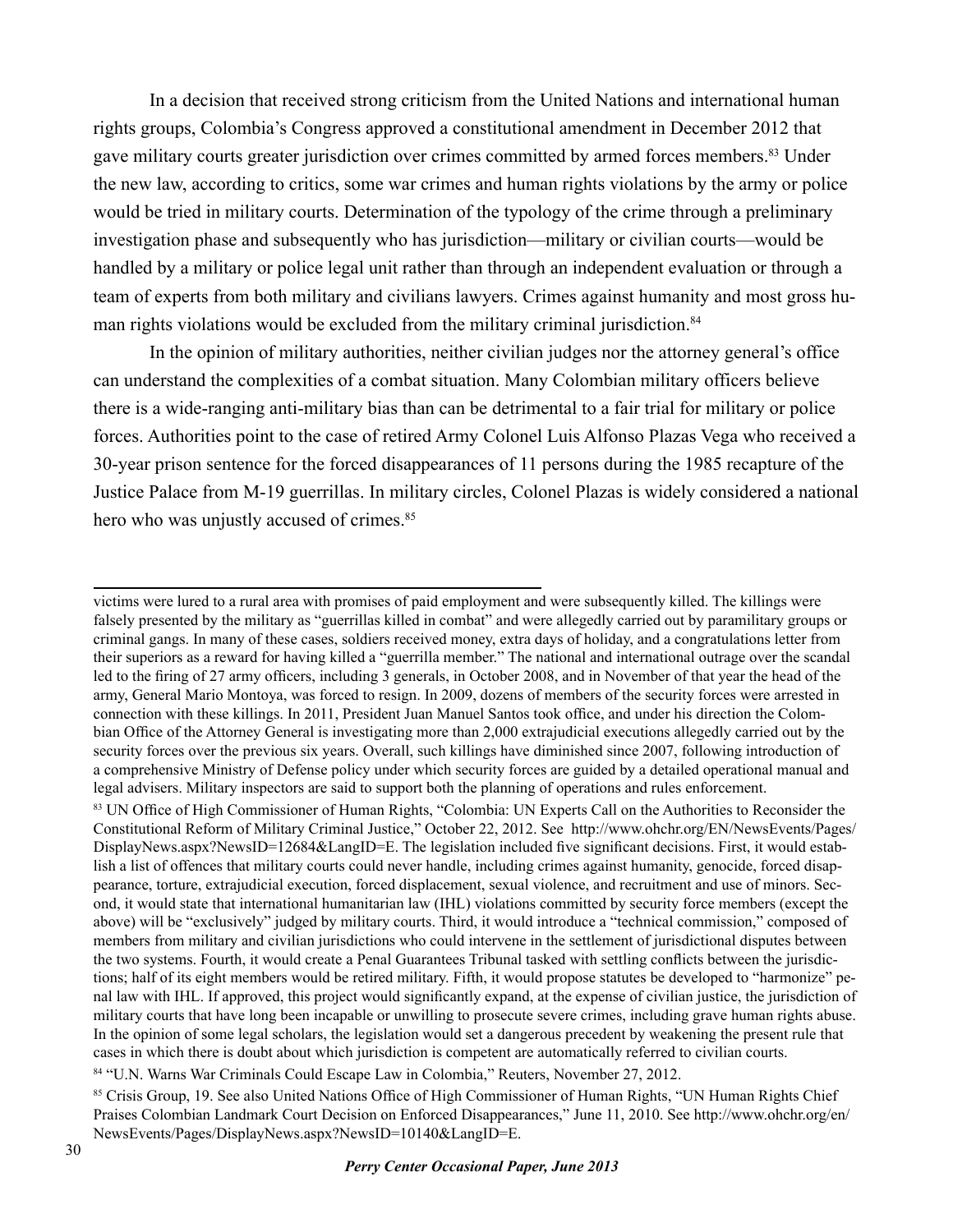In a decision that received strong criticism from the United Nations and international human rights groups, Colombia's Congress approved a constitutional amendment in December 2012 that gave military courts greater jurisdiction over crimes committed by armed forces members.83 Under the new law, according to critics, some war crimes and human rights violations by the army or police would be tried in military courts. Determination of the typology of the crime through a preliminary investigation phase and subsequently who has jurisdiction—military or civilian courts—would be handled by a military or police legal unit rather than through an independent evaluation or through a team of experts from both military and civilians lawyers. Crimes against humanity and most gross human rights violations would be excluded from the military criminal jurisdiction.<sup>84</sup>

In the opinion of military authorities, neither civilian judges nor the attorney general's office can understand the complexities of a combat situation. Many Colombian military officers believe there is a wide-ranging anti-military bias than can be detrimental to a fair trial for military or police forces. Authorities point to the case of retired Army Colonel Luis Alfonso Plazas Vega who received a 30-year prison sentence for the forced disappearances of 11 persons during the 1985 recapture of the Justice Palace from M-19 guerrillas. In military circles, Colonel Plazas is widely considered a national hero who was unjustly accused of crimes.<sup>85</sup>

victims were lured to a rural area with promises of paid employment and were subsequently killed. The killings were falsely presented by the military as "guerrillas killed in combat" and were allegedly carried out by paramilitary groups or criminal gangs. In many of these cases, soldiers received money, extra days of holiday, and a congratulations letter from their superiors as a reward for having killed a "guerrilla member." The national and international outrage over the scandal led to the firing of 27 army officers, including 3 generals, in October 2008, and in November of that year the head of the army, General Mario Montoya, was forced to resign. In 2009, dozens of members of the security forces were arrested in connection with these killings. In 2011, President Juan Manuel Santos took office, and under his direction the Colombian Office of the Attorney General is investigating more than 2,000 extrajudicial executions allegedly carried out by the security forces over the previous six years. Overall, such killings have diminished since 2007, following introduction of a comprehensive Ministry of Defense policy under which security forces are guided by a detailed operational manual and legal advisers. Military inspectors are said to support both the planning of operations and rules enforcement.

<sup>83</sup> UN Office of High Commissioner of Human Rights, "Colombia: UN Experts Call on the Authorities to Reconsider the Constitutional Reform of Military Criminal Justice," October 22, 2012. See http://www.ohchr.org/EN/NewsEvents/Pages/ DisplayNews.aspx?NewsID=12684&LangID=E. The legislation included five significant decisions. First, it would establish a list of offences that military courts could never handle, including crimes against humanity, genocide, forced disappearance, torture, extrajudicial execution, forced displacement, sexual violence, and recruitment and use of minors. Second, it would state that international humanitarian law (IHL) violations committed by security force members (except the above) will be "exclusively" judged by military courts. Third, it would introduce a "technical commission," composed of members from military and civilian jurisdictions who could intervene in the settlement of jurisdictional disputes between the two systems. Fourth, it would create a Penal Guarantees Tribunal tasked with settling conflicts between the jurisdictions; half of its eight members would be retired military. Fifth, it would propose statutes be developed to "harmonize" penal law with IHL. If approved, this project would significantly expand, at the expense of civilian justice, the jurisdiction of military courts that have long been incapable or unwilling to prosecute severe crimes, including grave human rights abuse. In the opinion of some legal scholars, the legislation would set a dangerous precedent by weakening the present rule that cases in which there is doubt about which jurisdiction is competent are automatically referred to civilian courts.

<sup>84 &</sup>quot;U.N. Warns War Criminals Could Escape Law in Colombia," Reuters, November 27, 2012.

<sup>85</sup> Crisis Group, 19. See also United Nations Office of High Commissioner of Human Rights, "UN Human Rights Chief Praises Colombian Landmark Court Decision on Enforced Disappearances," June 11, 2010. See http://www.ohchr.org/en/ NewsEvents/Pages/DisplayNews.aspx?NewsID=10140&LangID=E.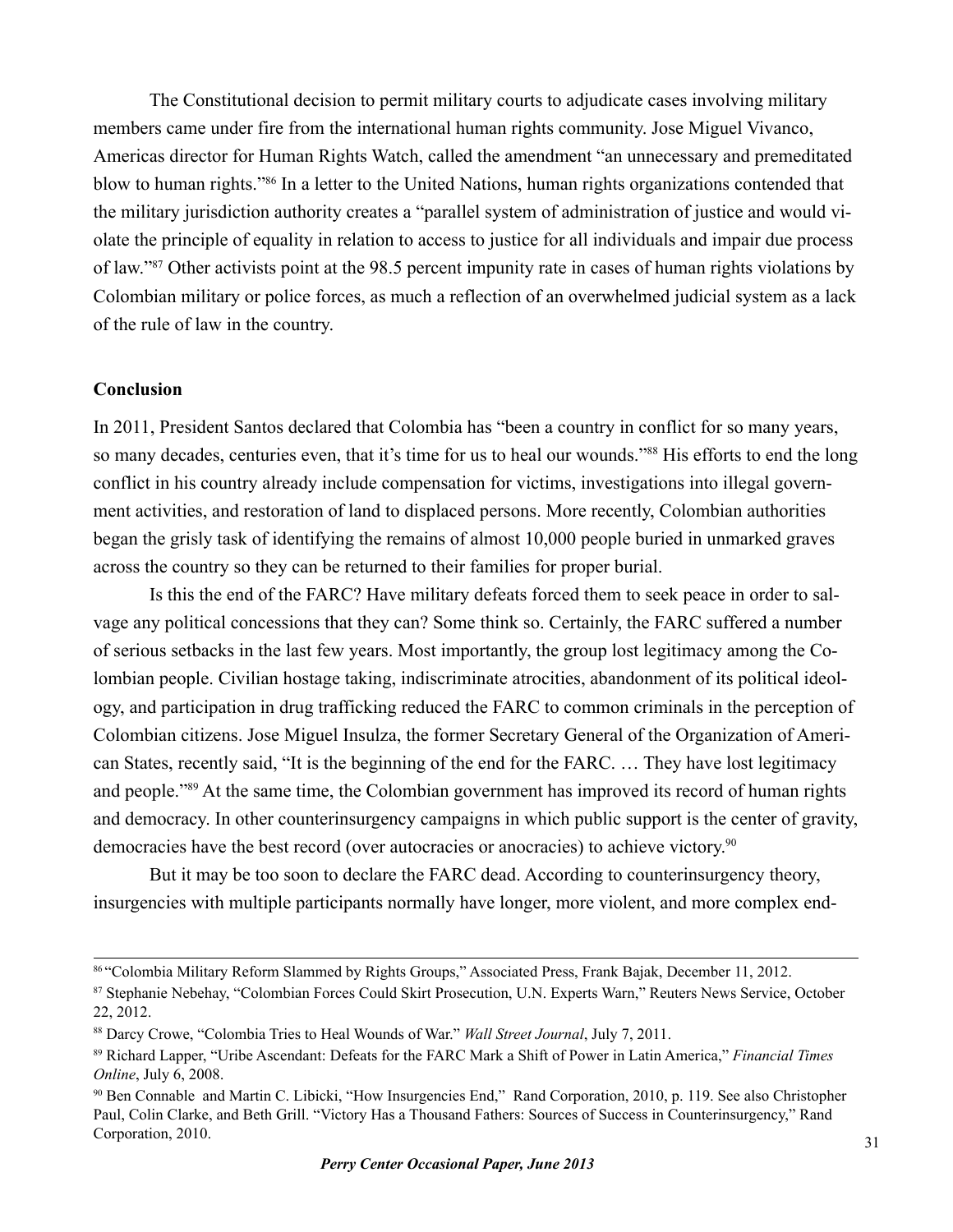The Constitutional decision to permit military courts to adjudicate cases involving military members came under fire from the international human rights community. Jose Miguel Vivanco, Americas director for Human Rights Watch, called the amendment "an unnecessary and premeditated blow to human rights."86 In a letter to the United Nations, human rights organizations contended that the military jurisdiction authority creates a "parallel system of administration of justice and would violate the principle of equality in relation to access to justice for all individuals and impair due process of law."87 Other activists point at the 98.5 percent impunity rate in cases of human rights violations by Colombian military or police forces, as much a reflection of an overwhelmed judicial system as a lack of the rule of law in the country.

#### **Conclusion**

In 2011, President Santos declared that Colombia has "been a country in conflict for so many years, so many decades, centuries even, that it's time for us to heal our wounds."<sup>88</sup> His efforts to end the long conflict in his country already include compensation for victims, investigations into illegal government activities, and restoration of land to displaced persons. More recently, Colombian authorities began the grisly task of identifying the remains of almost 10,000 people buried in unmarked graves across the country so they can be returned to their families for proper burial.

Is this the end of the FARC? Have military defeats forced them to seek peace in order to salvage any political concessions that they can? Some think so. Certainly, the FARC suffered a number of serious setbacks in the last few years. Most importantly, the group lost legitimacy among the Colombian people. Civilian hostage taking, indiscriminate atrocities, abandonment of its political ideology, and participation in drug trafficking reduced the FARC to common criminals in the perception of Colombian citizens. Jose Miguel Insulza, the former Secretary General of the Organization of American States, recently said, "It is the beginning of the end for the FARC. … They have lost legitimacy and people."89 At the same time, the Colombian government has improved its record of human rights and democracy. In other counterinsurgency campaigns in which public support is the center of gravity, democracies have the best record (over autocracies or anocracies) to achieve victory. 90

But it may be too soon to declare the FARC dead. According to counterinsurgency theory, insurgencies with multiple participants normally have longer, more violent, and more complex end-

<sup>86 &</sup>quot;Colombia Military Reform Slammed by Rights Groups," Associated Press, Frank Bajak, December 11, 2012.

<sup>87</sup> Stephanie Nebehay, "Colombian Forces Could Skirt Prosecution, U.N. Experts Warn," Reuters News Service, October 22, 2012.

<sup>88</sup> Darcy Crowe, "Colombia Tries to Heal Wounds of War." *Wall Street Journal*, July 7, 2011.

<sup>89</sup> Richard Lapper, "Uribe Ascendant: Defeats for the FARC Mark a Shift of Power in Latin America," *Financial Times Online*, July 6, 2008.

<sup>90</sup> Ben Connable and Martin C. Libicki, "How Insurgencies End," Rand Corporation, 2010, p. 119. See also Christopher Paul, Colin Clarke, and Beth Grill. "Victory Has a Thousand Fathers: Sources of Success in Counterinsurgency," Rand Corporation, 2010.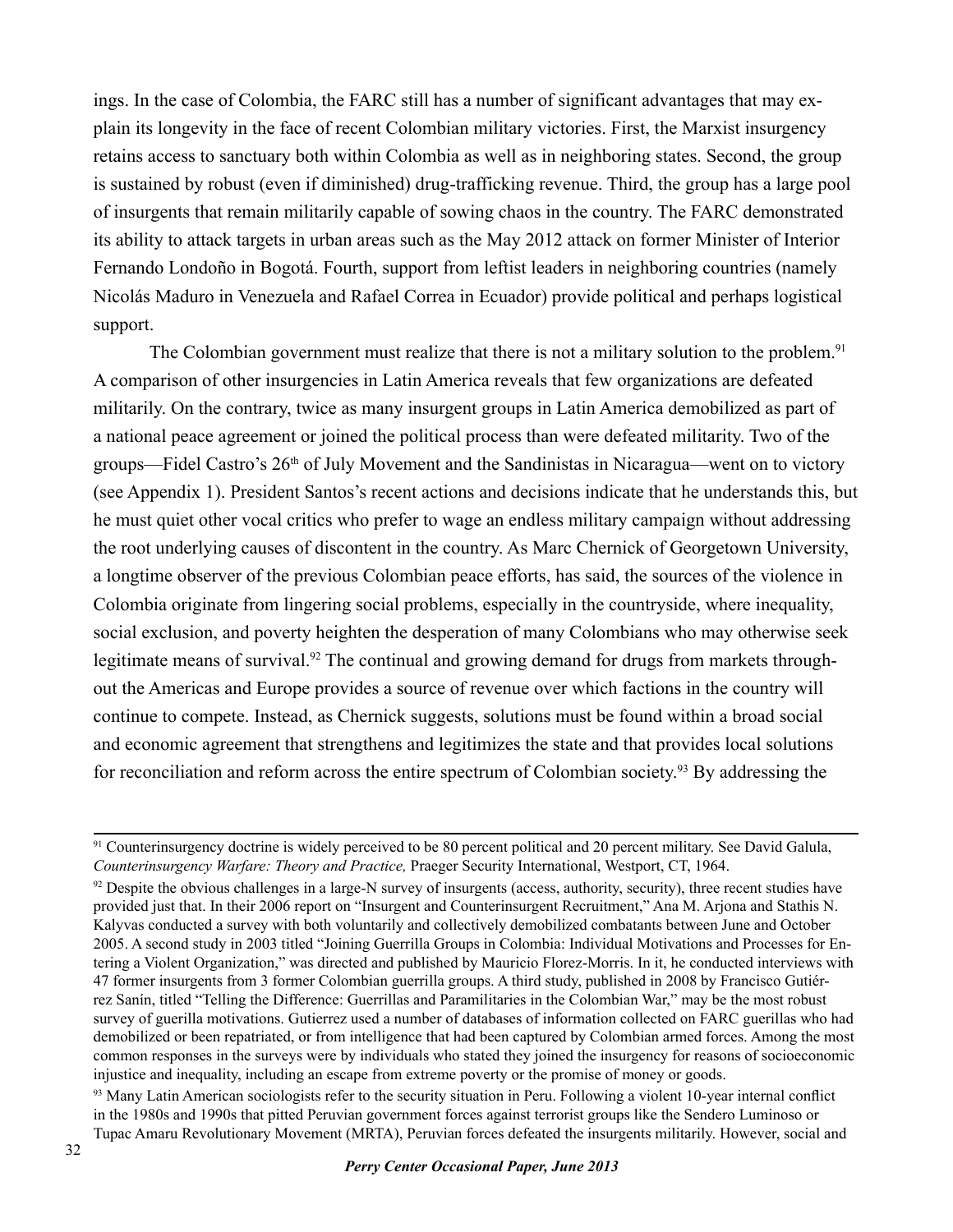ings. In the case of Colombia, the FARC still has a number of significant advantages that may explain its longevity in the face of recent Colombian military victories. First, the Marxist insurgency retains access to sanctuary both within Colombia as well as in neighboring states. Second, the group is sustained by robust (even if diminished) drug-trafficking revenue. Third, the group has a large pool of insurgents that remain militarily capable of sowing chaos in the country. The FARC demonstrated its ability to attack targets in urban areas such as the May 2012 attack on former Minister of Interior Fernando Londoño in Bogotá. Fourth, support from leftist leaders in neighboring countries (namely Nicolás Maduro in Venezuela and Rafael Correa in Ecuador) provide political and perhaps logistical support.

The Colombian government must realize that there is not a military solution to the problem.<sup>91</sup> A comparison of other insurgencies in Latin America reveals that few organizations are defeated militarily. On the contrary, twice as many insurgent groups in Latin America demobilized as part of a national peace agreement or joined the political process than were defeated militarity. Two of the groups—Fidel Castro's 26th of July Movement and the Sandinistas in Nicaragua—went on to victory (see Appendix 1). President Santos's recent actions and decisions indicate that he understands this, but he must quiet other vocal critics who prefer to wage an endless military campaign without addressing the root underlying causes of discontent in the country. As Marc Chernick of Georgetown University, a longtime observer of the previous Colombian peace efforts, has said, the sources of the violence in Colombia originate from lingering social problems, especially in the countryside, where inequality, social exclusion, and poverty heighten the desperation of many Colombians who may otherwise seek legitimate means of survival.<sup>92</sup> The continual and growing demand for drugs from markets throughout the Americas and Europe provides a source of revenue over which factions in the country will continue to compete. Instead, as Chernick suggests, solutions must be found within a broad social and economic agreement that strengthens and legitimizes the state and that provides local solutions for reconciliation and reform across the entire spectrum of Colombian society. <sup>93</sup> By addressing the

<sup>93</sup> Many Latin American sociologists refer to the security situation in Peru. Following a violent 10-year internal conflict in the 1980s and 1990s that pitted Peruvian government forces against terrorist groups like the Sendero Luminoso or Tupac Amaru Revolutionary Movement (MRTA), Peruvian forces defeated the insurgents militarily. However, social and

<sup>&</sup>lt;sup>91</sup> Counterinsurgency doctrine is widely perceived to be 80 percent political and 20 percent military. See David Galula, *Counterinsurgency Warfare: Theory and Practice,* Praeger Security International, Westport, CT, 1964.

 $92$  Despite the obvious challenges in a large-N survey of insurgents (access, authority, security), three recent studies have provided just that. In their 2006 report on "Insurgent and Counterinsurgent Recruitment," Ana M. Arjona and Stathis N. Kalyvas conducted a survey with both voluntarily and collectively demobilized combatants between June and October 2005. A second study in 2003 titled "Joining Guerrilla Groups in Colombia: Individual Motivations and Processes for Entering a Violent Organization," was directed and published by Mauricio Florez-Morris. In it, he conducted interviews with 47 former insurgents from 3 former Colombian guerrilla groups. A third study, published in 2008 by Francisco Gutiérrez Sanín, titled "Telling the Difference: Guerrillas and Paramilitaries in the Colombian War," may be the most robust survey of guerilla motivations. Gutierrez used a number of databases of information collected on FARC guerillas who had demobilized or been repatriated, or from intelligence that had been captured by Colombian armed forces. Among the most common responses in the surveys were by individuals who stated they joined the insurgency for reasons of socioeconomic injustice and inequality, including an escape from extreme poverty or the promise of money or goods.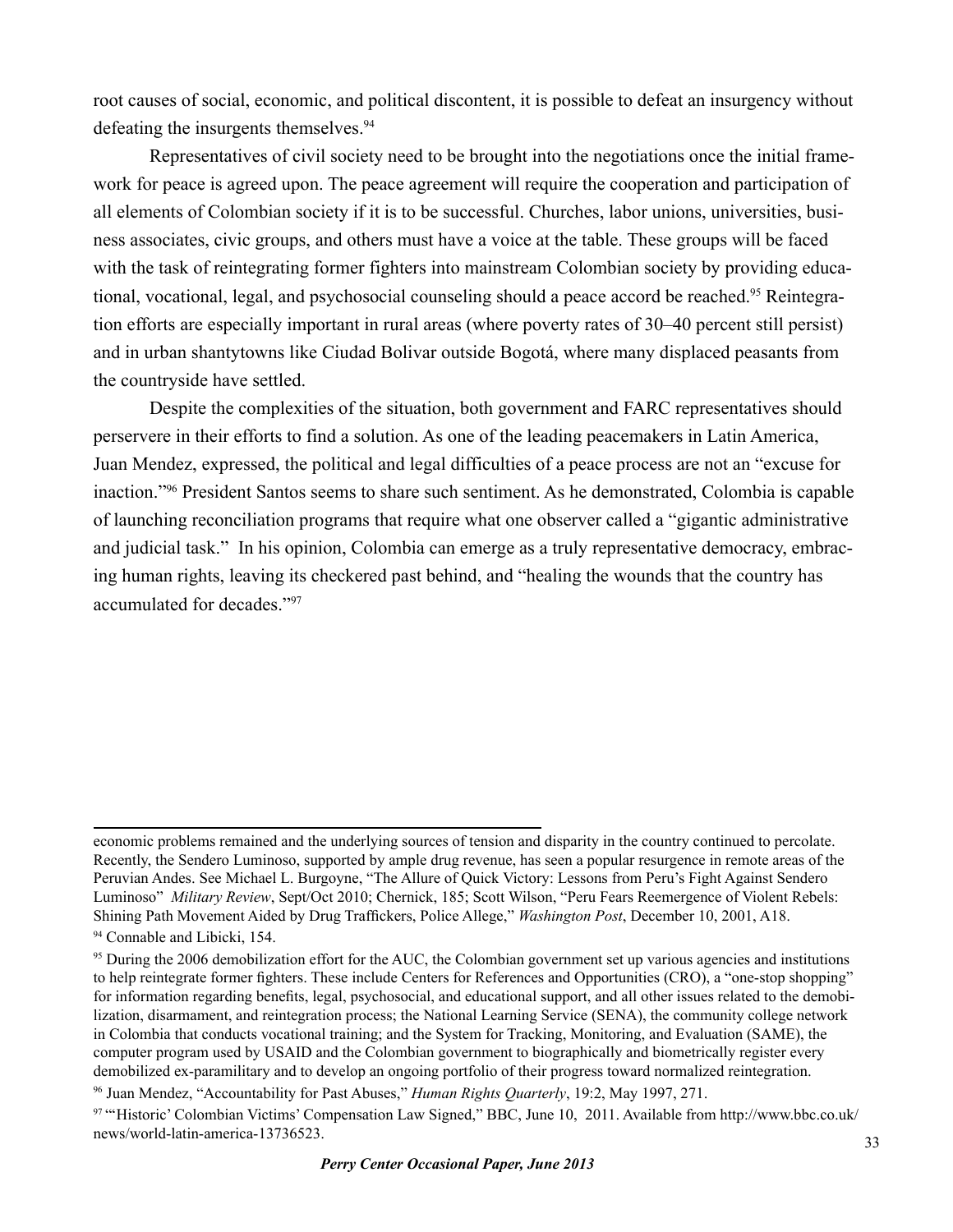root causes of social, economic, and political discontent, it is possible to defeat an insurgency without defeating the insurgents themselves.<sup>94</sup>

Representatives of civil society need to be brought into the negotiations once the initial framework for peace is agreed upon. The peace agreement will require the cooperation and participation of all elements of Colombian society if it is to be successful. Churches, labor unions, universities, business associates, civic groups, and others must have a voice at the table. These groups will be faced with the task of reintegrating former fighters into mainstream Colombian society by providing educational, vocational, legal, and psychosocial counseling should a peace accord be reached.95 Reintegration efforts are especially important in rural areas (where poverty rates of 30–40 percent still persist) and in urban shantytowns like Ciudad Bolivar outside Bogotá, where many displaced peasants from the countryside have settled.

Despite the complexities of the situation, both government and FARC representatives should perservere in their efforts to find a solution. As one of the leading peacemakers in Latin America, Juan Mendez, expressed, the political and legal difficulties of a peace process are not an "excuse for inaction."96 President Santos seems to share such sentiment. As he demonstrated, Colombia is capable of launching reconciliation programs that require what one observer called a "gigantic administrative and judicial task." In his opinion, Colombia can emerge as a truly representative democracy, embracing human rights, leaving its checkered past behind, and "healing the wounds that the country has accumulated for decades."97

economic problems remained and the underlying sources of tension and disparity in the country continued to percolate. Recently, the Sendero Luminoso, supported by ample drug revenue, has seen a popular resurgence in remote areas of the Peruvian Andes. See Michael L. Burgoyne, "The Allure of Quick Victory: Lessons from Peru's Fight Against Sendero Luminoso" *Military Review*, Sept/Oct 2010; Chernick, 185; Scott Wilson, "Peru Fears Reemergence of Violent Rebels: Shining Path Movement Aided by Drug Traffickers, Police Allege," *Washington Post*, December 10, 2001, A18. <sup>94</sup> Connable and Libicki, 154.

<sup>&</sup>lt;sup>95</sup> During the 2006 demobilization effort for the AUC, the Colombian government set up various agencies and institutions to help reintegrate former fighters. These include Centers for References and Opportunities (CRO), a "one-stop shopping" for information regarding benefits, legal, psychosocial, and educational support, and all other issues related to the demobilization, disarmament, and reintegration process; the National Learning Service (SENA), the community college network in Colombia that conducts vocational training; and the System for Tracking, Monitoring, and Evaluation (SAME), the computer program used by USAID and the Colombian government to biographically and biometrically register every demobilized ex-paramilitary and to develop an ongoing portfolio of their progress toward normalized reintegration.

<sup>96</sup> Juan Mendez, "Accountability for Past Abuses," *Human Rights Quarterly*, 19:2, May 1997, 271.

<sup>97 &</sup>quot;'Historic' Colombian Victims' Compensation Law Signed," BBC, June 10, 2011. Available from http://www.bbc.co.uk/ news/world-latin-america-13736523.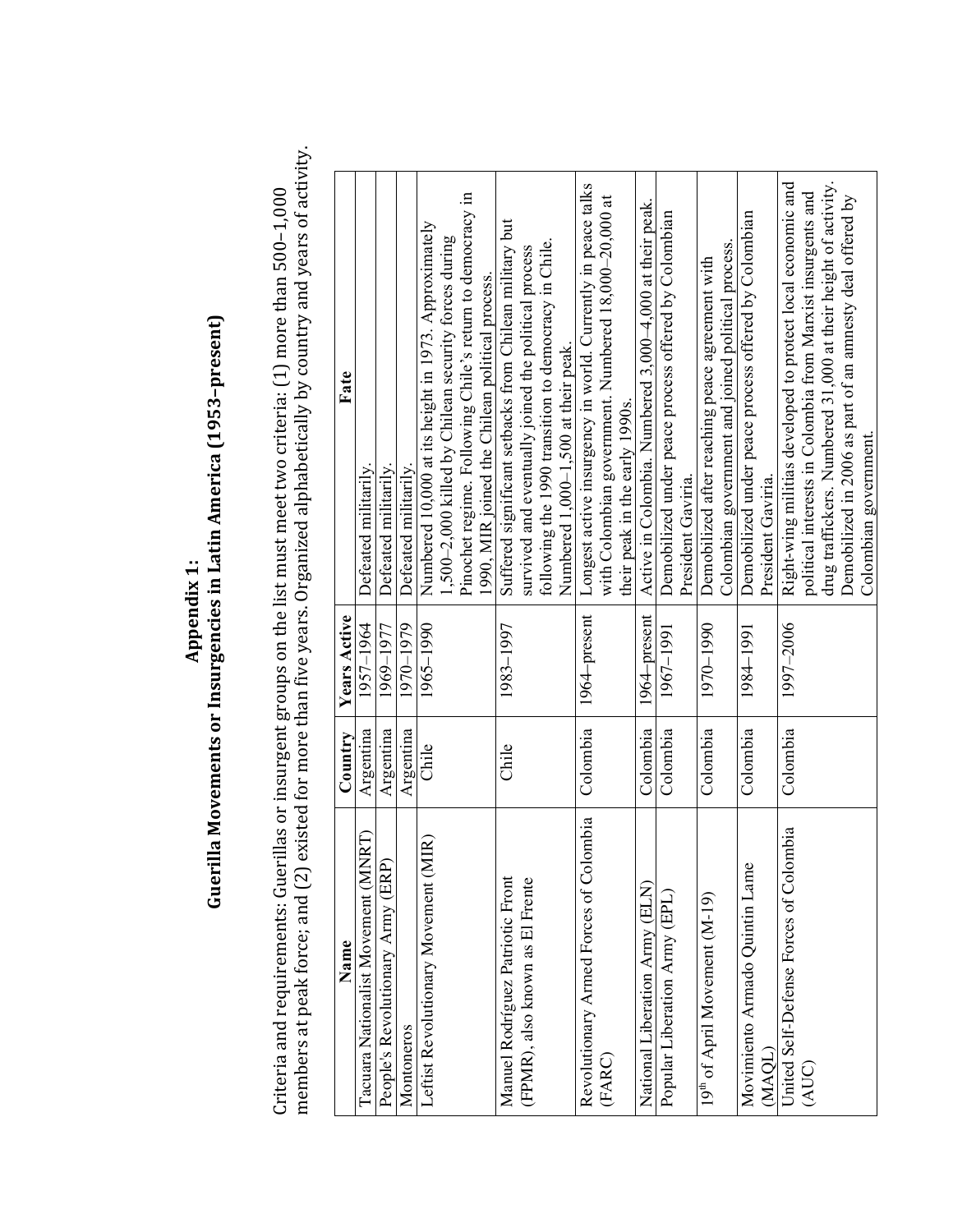# Guerilla Movements or Insurgencies in Latin America (1953-present) **Guerilla Movements or Insurgencies in Latin America (1953-present)** Appendix 1: **Appendix 
1:**

members at peak force; and (2) existed for more than five years. Organized alphabetically by country and years of activity. members at peak force; and (2) existed for more than five years. Organized alphabetically by country and years of activity. Criteria and requirements: Guerillas or insurgent groups on the list must meet two criteria: (1) more than 500-1,000 Criteria and requirements: Guerillas or insurgent groups on the list must meet two criteria:  $(1)$  more than  $500-1,000$ 

| Name                                                        | Country   | <b>Years Active</b> | Fate                                                           |
|-------------------------------------------------------------|-----------|---------------------|----------------------------------------------------------------|
| $\mathbb{R} \mathbb{T}$<br>Tacuara Nationalist Movement (MN | Argentina | 1957-1964           | Defeated militarily                                            |
| People's Revolutionary Army (ERP)                           | Argentina | 1969-1977           | Defeated militarily.                                           |
| Montoneros                                                  | Argentina | 1970-1979           | Defeated militarily                                            |
| $\widehat{IR}$<br>Leftist Revolutionary Movement (M         | Chile     | 1965-1990           | Numbered 10,000 at its height in 1973. Approximately           |
|                                                             |           |                     | 1,500-2,000 killed by Chilean security forces during           |
|                                                             |           |                     | Pinochet regime. Following Chile's return to democracy in      |
|                                                             |           |                     | 1990, MIR joined the Chilean political process.                |
| Manuel Rodríguez Patriotic Front                            | Chile     | 1983-1997           | Suffered significant setbacks from Chilean military but        |
| (FPMR), also known as El Frente                             |           |                     | survived and eventually joined the political process           |
|                                                             |           |                     | following the 1990 transition to democracy in Chile.           |
|                                                             |           |                     | Numbered $1,000-1,500$ at their peak.                          |
| ombia<br>Revolutionary Armed Forces of Col                  | Colombia  | 1964–present        | Longest active insurgency in world. Currently in peace talks   |
| (FARC)                                                      |           |                     | with Colombian government. Numbered 18,000-20,000 at           |
|                                                             |           |                     | their peak in the early 1990s.                                 |
| National Liberation Army (ELN)                              | Colombia  | 1964–present        | Active in Colombia. Numbered 3,000-4,000 at their peak.        |
| Popular Liberation Army (EPL)                               | Colombia  | 1967-1991           | Demobilized under peace process offered by Colombian           |
|                                                             |           |                     | President Gaviria.                                             |
| 19 <sup>th</sup> of April Movement (M-19)                   | Colombia  | 1970-1990           | Demobilized after reaching peace agreement with                |
|                                                             |           |                     | Colombian government and joined political process              |
| Movimiento Armado Quintin Lame                              | Colombia  | 1984-1991           | Demobilized under peace process offered by Colombian           |
| (MAQL)                                                      |           |                     | President Gaviria.                                             |
| United Self-Defense Forces of Colombia                      | Colombia  | 1997-2006           | Right-wing militias developed to protect local economic and    |
| (AUC)                                                       |           |                     | political interests in Colombia from Marxist insurgents and    |
|                                                             |           |                     | drug traffickers. Numbered 31,000 at their height of activity. |
|                                                             |           |                     | Demobilized in 2006 as part of an amnesty deal offered by      |
|                                                             |           |                     | Colombian government.                                          |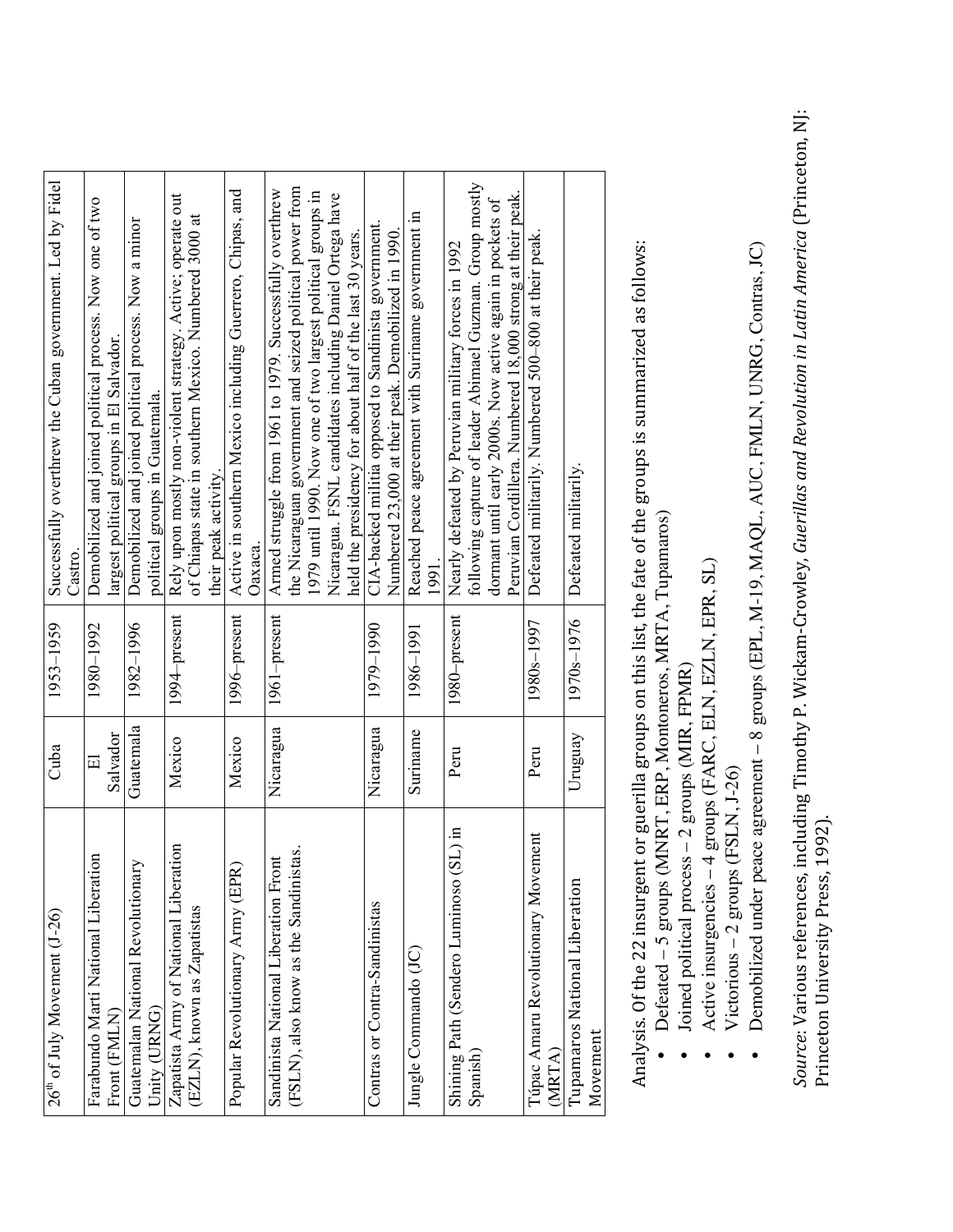| $26th$ of July Movement (J-26)            | Cuba      | 1953-1959               | Successfully overthrew the Cuban government. Led by Fidel                    |
|-------------------------------------------|-----------|-------------------------|------------------------------------------------------------------------------|
|                                           |           |                         | Castro.                                                                      |
| Farabundo Martí National Liberation       | $\Xi$     | 1980-1992               | Demobilized and joined political process. Now one of two                     |
| Front (FMLN)                              | Salvador  |                         | largest political groups in El Salvador.                                     |
| Guatemalan National Revolutionary         | Guatemala | 1982-1996               | Demobilized and joined political process. Now a minor                        |
| Unity (URNG)                              |           |                         | political groups in Guatemala.                                               |
| Zapatista Army of National Liberation     | Mexico    | 1994-present            | Rely upon mostly non-violent strategy. Active; operate out                   |
| (EZLN), known as Zapatistas               |           |                         | of Chiapas state in southern Mexico. Numbered 3000 at<br>their peak activity |
| Popular Revolutionary Army (EPR)          | Mexico    | 1996-present            | Active in southern Mexico including Guerrero, Chipas, and                    |
|                                           |           |                         | Оахаса.                                                                      |
| Sandinista National Liberation Front      | Nicaragua | 1961-present            | Armed struggle from 1961 to 1979. Successfully overthrew                     |
| (FSLN), also know as the Sandinistas.     |           |                         | the Nicaraguan government and seized political power from                    |
|                                           |           |                         | 1979 until 1990. Now one of two largest political groups in                  |
|                                           |           |                         | Nicaragua. FSNL candidates including Daniel Ortega have                      |
|                                           |           |                         | held the presidency for about half of the last 30 years.                     |
| Contras or Contra-Sandinistas             | Nicaragua | 1979-1990               | CIA-backed militia opposed to Sandinista government                          |
|                                           |           |                         | Numbered 23,000 at their peak. Demobilized in 1990                           |
| Jungle Commando (JC)                      | Suriname  | 1986-1991               | Reached peace agreement with Suriname government in                          |
|                                           |           |                         | 1991                                                                         |
| Shining Path (Sendero Luminoso (SL) in    | Peru      | 1980–present            | Nearly defeated by Peruvian military forces in 1992                          |
| Spanish)                                  |           |                         | following capture of leader Abimael Guzman. Group mostly                     |
|                                           |           |                         | dormant until early 2000s. Now active again in pockets of                    |
|                                           |           |                         | Peruvian Cordillera. Numbered 18,000 strong at their peak.                   |
| Túpac Amaru Revolutionary Movement        | Peru      | 1980 <sub>s</sub> -1997 | Defeated militarily. Numbered 500-800 at their peak.                         |
| (MRTA)                                    |           |                         |                                                                              |
| Tupamaros National Liberation<br>Movement | Uruguay   | 1970 <sub>s</sub> -1976 | Defeated militarily.                                                         |
|                                           |           |                         |                                                                              |

Analysis. Of the 22 insurgent or guerilla groups on this list, the fate of the groups is summarized as follows: Analysis. Of the 22 insurgent or guerilla groups on this list, the fate of the groups is summarized as follows:

- Defeated 5 groups (MNRT, ERP, Montoneros, MRTA, Tupamaros) Defeated – 5 groups (MNRT, ERP, Montoneros, MRTA, Tupamaros) •
	- Joined political process 2 groups (MIR, FPMR) Joined political process – 2 groups (MIR, FPMR) •
- Active insurgencies 4 groups (FARC, ELN, EZLN, EPR, SL) Active insurgencies – 4 groups (FARC, ELN, EZLN, EPR, SL) •
	- Victorious  $-2$  groups (FSLN, J-26)  $\bullet$  Victorious – 2 groups (FSLN, J-26) •
- Demobilized under peace agreement 8 groups (EPL, M-19, MAQL, AUC, FMLN, UNRG, Contras, JC) Demobilized under peace agreement – 8 groups (EPL, M-19, MAQL, AUC, FMLN, UNRG, Contras, JC) •

*Source: Various references, including Timothy P. Wickam-Crowley, Guerillas and Revolution in Latin America (Princeton, NJ:* Source: Various references, including Timothy P. Wickam-Crowley, Guerillas and Revolution in Latin America (Princeton, NJ: Princeton University Press, 1992). Princeton University Press, 1992).